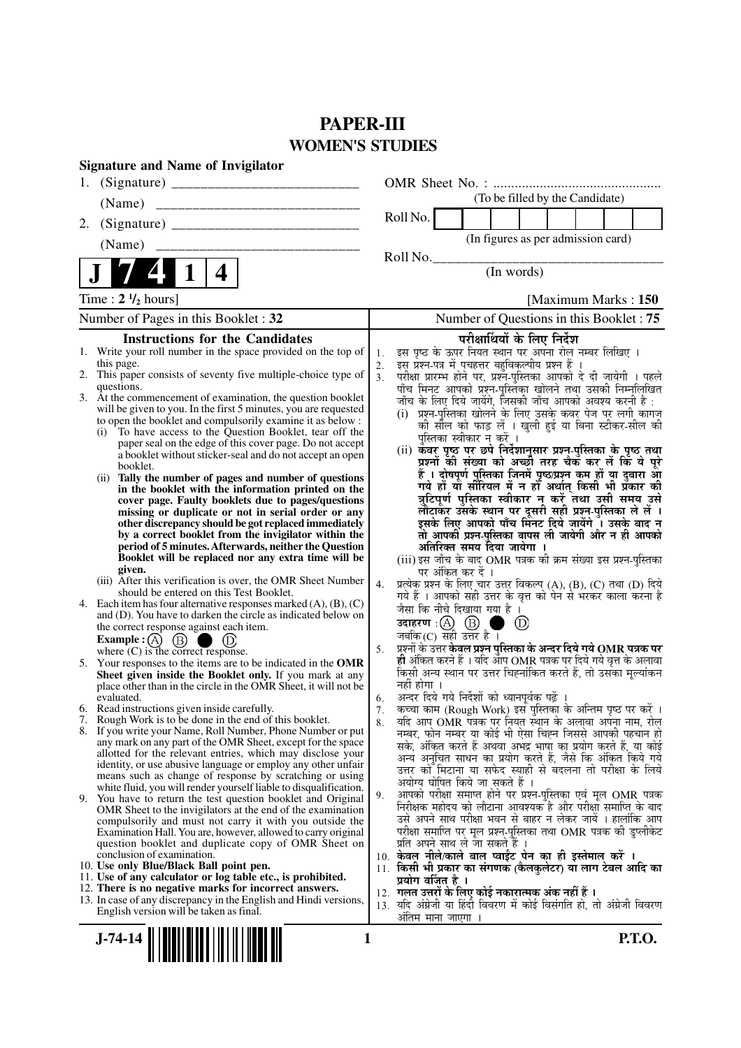# **PAPER-III WOMEN'S STUDIES**

| <b>Signature and Name of Invigilator</b>                                                                                                                                                                                                                                                                                                                                                                                                                                                                                                                                                                                                                                                                                                                                                                                                                                                                                                                                                                                                                                                                                                                                                                                                                                                                                                                                                                                                                                                                                                                                                                                                                                                                                                                                                                                                                                                                                                                                                                                                                                                                                                                                                                                                                                                                                                                                                                                                                                                                                                                                                                                                                                                                                                                                                                                  |                                                                                                                                                                                                                                                                                                                                                                                                                                                                                                                                                                                                                                                                                                                                                                                                                                                                                                                                                                                                                                                                                                                                                                                                                                                                                                                                                                                                                                                                                                                                                                                                                                                                                                                                                                                                                                                                                                                                                                                                                                                                                                                                                                                                                                                                                                                                                                                                                                                                                                                                                                                                                                                                                                                                                                               |
|---------------------------------------------------------------------------------------------------------------------------------------------------------------------------------------------------------------------------------------------------------------------------------------------------------------------------------------------------------------------------------------------------------------------------------------------------------------------------------------------------------------------------------------------------------------------------------------------------------------------------------------------------------------------------------------------------------------------------------------------------------------------------------------------------------------------------------------------------------------------------------------------------------------------------------------------------------------------------------------------------------------------------------------------------------------------------------------------------------------------------------------------------------------------------------------------------------------------------------------------------------------------------------------------------------------------------------------------------------------------------------------------------------------------------------------------------------------------------------------------------------------------------------------------------------------------------------------------------------------------------------------------------------------------------------------------------------------------------------------------------------------------------------------------------------------------------------------------------------------------------------------------------------------------------------------------------------------------------------------------------------------------------------------------------------------------------------------------------------------------------------------------------------------------------------------------------------------------------------------------------------------------------------------------------------------------------------------------------------------------------------------------------------------------------------------------------------------------------------------------------------------------------------------------------------------------------------------------------------------------------------------------------------------------------------------------------------------------------------------------------------------------------------------------------------------------------|-------------------------------------------------------------------------------------------------------------------------------------------------------------------------------------------------------------------------------------------------------------------------------------------------------------------------------------------------------------------------------------------------------------------------------------------------------------------------------------------------------------------------------------------------------------------------------------------------------------------------------------------------------------------------------------------------------------------------------------------------------------------------------------------------------------------------------------------------------------------------------------------------------------------------------------------------------------------------------------------------------------------------------------------------------------------------------------------------------------------------------------------------------------------------------------------------------------------------------------------------------------------------------------------------------------------------------------------------------------------------------------------------------------------------------------------------------------------------------------------------------------------------------------------------------------------------------------------------------------------------------------------------------------------------------------------------------------------------------------------------------------------------------------------------------------------------------------------------------------------------------------------------------------------------------------------------------------------------------------------------------------------------------------------------------------------------------------------------------------------------------------------------------------------------------------------------------------------------------------------------------------------------------------------------------------------------------------------------------------------------------------------------------------------------------------------------------------------------------------------------------------------------------------------------------------------------------------------------------------------------------------------------------------------------------------------------------------------------------------------------------------------------------|
| 1.                                                                                                                                                                                                                                                                                                                                                                                                                                                                                                                                                                                                                                                                                                                                                                                                                                                                                                                                                                                                                                                                                                                                                                                                                                                                                                                                                                                                                                                                                                                                                                                                                                                                                                                                                                                                                                                                                                                                                                                                                                                                                                                                                                                                                                                                                                                                                                                                                                                                                                                                                                                                                                                                                                                                                                                                                        |                                                                                                                                                                                                                                                                                                                                                                                                                                                                                                                                                                                                                                                                                                                                                                                                                                                                                                                                                                                                                                                                                                                                                                                                                                                                                                                                                                                                                                                                                                                                                                                                                                                                                                                                                                                                                                                                                                                                                                                                                                                                                                                                                                                                                                                                                                                                                                                                                                                                                                                                                                                                                                                                                                                                                                               |
|                                                                                                                                                                                                                                                                                                                                                                                                                                                                                                                                                                                                                                                                                                                                                                                                                                                                                                                                                                                                                                                                                                                                                                                                                                                                                                                                                                                                                                                                                                                                                                                                                                                                                                                                                                                                                                                                                                                                                                                                                                                                                                                                                                                                                                                                                                                                                                                                                                                                                                                                                                                                                                                                                                                                                                                                                           | (To be filled by the Candidate)                                                                                                                                                                                                                                                                                                                                                                                                                                                                                                                                                                                                                                                                                                                                                                                                                                                                                                                                                                                                                                                                                                                                                                                                                                                                                                                                                                                                                                                                                                                                                                                                                                                                                                                                                                                                                                                                                                                                                                                                                                                                                                                                                                                                                                                                                                                                                                                                                                                                                                                                                                                                                                                                                                                                               |
| 2.                                                                                                                                                                                                                                                                                                                                                                                                                                                                                                                                                                                                                                                                                                                                                                                                                                                                                                                                                                                                                                                                                                                                                                                                                                                                                                                                                                                                                                                                                                                                                                                                                                                                                                                                                                                                                                                                                                                                                                                                                                                                                                                                                                                                                                                                                                                                                                                                                                                                                                                                                                                                                                                                                                                                                                                                                        | Roll No.                                                                                                                                                                                                                                                                                                                                                                                                                                                                                                                                                                                                                                                                                                                                                                                                                                                                                                                                                                                                                                                                                                                                                                                                                                                                                                                                                                                                                                                                                                                                                                                                                                                                                                                                                                                                                                                                                                                                                                                                                                                                                                                                                                                                                                                                                                                                                                                                                                                                                                                                                                                                                                                                                                                                                                      |
| (Name)                                                                                                                                                                                                                                                                                                                                                                                                                                                                                                                                                                                                                                                                                                                                                                                                                                                                                                                                                                                                                                                                                                                                                                                                                                                                                                                                                                                                                                                                                                                                                                                                                                                                                                                                                                                                                                                                                                                                                                                                                                                                                                                                                                                                                                                                                                                                                                                                                                                                                                                                                                                                                                                                                                                                                                                                                    | (In figures as per admission card)                                                                                                                                                                                                                                                                                                                                                                                                                                                                                                                                                                                                                                                                                                                                                                                                                                                                                                                                                                                                                                                                                                                                                                                                                                                                                                                                                                                                                                                                                                                                                                                                                                                                                                                                                                                                                                                                                                                                                                                                                                                                                                                                                                                                                                                                                                                                                                                                                                                                                                                                                                                                                                                                                                                                            |
| 4                                                                                                                                                                                                                                                                                                                                                                                                                                                                                                                                                                                                                                                                                                                                                                                                                                                                                                                                                                                                                                                                                                                                                                                                                                                                                                                                                                                                                                                                                                                                                                                                                                                                                                                                                                                                                                                                                                                                                                                                                                                                                                                                                                                                                                                                                                                                                                                                                                                                                                                                                                                                                                                                                                                                                                                                                         | Roll No.<br>(In words)                                                                                                                                                                                                                                                                                                                                                                                                                                                                                                                                                                                                                                                                                                                                                                                                                                                                                                                                                                                                                                                                                                                                                                                                                                                                                                                                                                                                                                                                                                                                                                                                                                                                                                                                                                                                                                                                                                                                                                                                                                                                                                                                                                                                                                                                                                                                                                                                                                                                                                                                                                                                                                                                                                                                                        |
| Time: $2 \frac{1}{2}$ hours]                                                                                                                                                                                                                                                                                                                                                                                                                                                                                                                                                                                                                                                                                                                                                                                                                                                                                                                                                                                                                                                                                                                                                                                                                                                                                                                                                                                                                                                                                                                                                                                                                                                                                                                                                                                                                                                                                                                                                                                                                                                                                                                                                                                                                                                                                                                                                                                                                                                                                                                                                                                                                                                                                                                                                                                              | [Maximum Marks: 150]                                                                                                                                                                                                                                                                                                                                                                                                                                                                                                                                                                                                                                                                                                                                                                                                                                                                                                                                                                                                                                                                                                                                                                                                                                                                                                                                                                                                                                                                                                                                                                                                                                                                                                                                                                                                                                                                                                                                                                                                                                                                                                                                                                                                                                                                                                                                                                                                                                                                                                                                                                                                                                                                                                                                                          |
| Number of Pages in this Booklet: 32                                                                                                                                                                                                                                                                                                                                                                                                                                                                                                                                                                                                                                                                                                                                                                                                                                                                                                                                                                                                                                                                                                                                                                                                                                                                                                                                                                                                                                                                                                                                                                                                                                                                                                                                                                                                                                                                                                                                                                                                                                                                                                                                                                                                                                                                                                                                                                                                                                                                                                                                                                                                                                                                                                                                                                                       | Number of Questions in this Booklet: 75                                                                                                                                                                                                                                                                                                                                                                                                                                                                                                                                                                                                                                                                                                                                                                                                                                                                                                                                                                                                                                                                                                                                                                                                                                                                                                                                                                                                                                                                                                                                                                                                                                                                                                                                                                                                                                                                                                                                                                                                                                                                                                                                                                                                                                                                                                                                                                                                                                                                                                                                                                                                                                                                                                                                       |
| <b>Instructions for the Candidates</b><br>Write your roll number in the space provided on the top of<br>this page.<br>2. This paper consists of seventy five multiple-choice type of<br>questions.<br>3. At the commencement of examination, the question booklet<br>will be given to you. In the first 5 minutes, you are requested<br>to open the booklet and compulsorily examine it as below :<br>To have access to the Question Booklet, tear off the<br>(i)<br>paper seal on the edge of this cover page. Do not accept<br>a booklet without sticker-seal and do not accept an open<br>booklet.<br>Tally the number of pages and number of questions<br>(i)<br>in the booklet with the information printed on the<br>cover page. Faulty booklets due to pages/questions<br>missing or duplicate or not in serial order or any<br>other discrepancy should be got replaced immediately<br>by a correct booklet from the invigilator within the<br>period of 5 minutes. Afterwards, neither the Question<br>Booklet will be replaced nor any extra time will be<br>given.<br>(iii) After this verification is over, the OMR Sheet Number<br>should be entered on this Test Booklet.<br>Each item has four alternative responses marked $(A)$ , $(B)$ , $(C)$<br>4.<br>and (D). You have to darken the circle as indicated below on<br>the correct response against each item.<br>Example : (A) $(B)$<br>where $(C)$ is the correct response.<br>5. Your responses to the items are to be indicated in the OMR<br>Sheet given inside the Booklet only. If you mark at any<br>place other than in the circle in the OMR Sheet, it will not be<br>evaluated.<br>6. Read instructions given inside carefully.<br>7. Rough Work is to be done in the end of this booklet.<br>8. If you write your Name, Roll Number, Phone Number or put<br>any mark on any part of the OMR Sheet, except for the space<br>allotted for the relevant entries, which may disclose your<br>identity, or use abusive language or employ any other unfair<br>means such as change of response by scratching or using<br>white fluid, you will render yourself liable to disqualification.<br>9. You have to return the test question booklet and Original<br>OMR Sheet to the invigilators at the end of the examination<br>compulsorily and must not carry it with you outside the<br>Examination Hall. You are, however, allowed to carry original<br>question booklet and duplicate copy of OMR Sheet on<br>conclusion of examination.<br>10. Use only Blue/Black Ball point pen.<br>11. Use of any calculator or log table etc., is prohibited.<br>12. There is no negative marks for incorrect answers.<br>13. In case of any discrepancy in the English and Hindi versions,<br>English version will be taken as final.<br>1<br>$J-74-14$ | परीक्षार्थियों के लिए निर्देश<br>इस पृष्ठ के ऊपर नियत स्थान पर अपना रोल नम्बर लिखिए ।<br>1.<br>इस प्रश्न-पत्र में पचहत्तर बहुविकल्पीय प्रश्न हैं ।<br>2.<br>.<br>परीक्षा प्रारम्भ होने पर, प्रश्नॅं-पुस्तिका आपको दे दी जायेगी । पहले<br>पाँच मिनट आपको प्रश्न-पुस्तिका खोलने तथा उसकी निम्नलिखित<br>3 <sub>1</sub><br>जाँच के लिए दिये जायेंगे, जिसकी जाँच आपको अवश्य करनी है :<br>(i) प्रश्न-पुस्तिका खोलने के लिए उसके कवर पेज पर लगी कागज<br>की सील को फाड़ लें । खुली हुई या बिना स्टीकर-सील की<br>पुस्तिका स्वीकार न करें ।<br>(ii) कवर पृष्ठ पर छपे निर्देशानुसार प्रश्न-पुस्तिका के पृष्ठ तथा<br>प्रश्नों की संख्या को अच्छों तरह चैक कर लें कि ये पुरे<br>हैं । दोषपूर्ण पुस्तिका जिनमें पृष्ठ/प्रश्न कम हों या दुबारा आ<br>गये हों यो सीरियल में न हों अर्थात् किसी भी प्रॅकार की<br>त्रुटिपूर्ण पुस्तिका स्वीकार न करें तथा उसी समय उसे<br>लौटाकर उसके स्थान पर दूसरी सही प्रश्न-पुस्तिका ले लें ।<br>इसके लिए आपको पाँच मिंनट दिये जायेंगे ँ। उसके बाद न<br>तो आपकी प्रश्न-पुस्तिका वापस ली जायेगी और न ही आपको<br>अतिरिक्त समय दिया जायेगा ।<br>(iii) इस जाँच के बाद OMR पत्रक की क्रम संख्या इस प्रश्न-पुस्तिका<br>पर अंकित कर दें ।<br>प्रत्येक प्रश्न के लिए चार उत्तर विकल्प (A), (B), (C) तथा (D) दिये<br>4.<br>गये हैं । आपको सही उत्तर के वृत्त को पेन से भरकर काला करना है<br>जैसा कि नीचे दिखाया गया है ।<br>उदाहरण $\,$ : $(A)$ $\,$ $(B)$<br>(D)<br>जबकि $(C)$ सही उत्तर है ।<br>प्रश्नों के उत्तर केवल प्रश्न पुस्तिका के अन्दर दिये गये $\mathbf{QMR}$ पत्रक पर<br>5.<br>ही अंकित करने हैं । यदि ऑप OMR पत्रक पर दिये गये वृत्त के अलावा<br>किसी अन्य स्थान पर उत्तर चिह्नांकित करते हैं, तो उसका मूल्यांकन<br>नहीं होगा ।<br>अन्दर दिये गये निर्देशों को ध्यानपूर्वक पढ़ें ।<br>6.<br>7. कृच्चा काम (Rough Work) इस पुस्तिका के अन्तिम पृष्ठ पर करें ।<br>र्याद आप OMR पत्रक पर नियत स्थान के अलावा अपना नाम, रोल<br>8.<br>नम्बर, फोन नम्बर या कोई भी ऐसा चिह्न जिससे आपकी पहचान हो<br>सके, अंकित करते हैं अथवा अभद्र भाषा का प्रयोग करते हैं, या कोई<br>अन्य अनुचित साधन का प्रयोग करते हैं, जैसे कि अंकित किये गये<br>उत्तर को मिटाना या सफेद स्याही से बदलना तो परीक्षा के लिये<br>अयोग्य घोषित किये जा सकते हैं ।<br>आपको परीक्षा समाप्त होने पर प्रश्न-पुस्तिका एवं मूल OMR पत्रक<br>9.<br>निरीक्षक महोदय को लौटाना आवश्यक है और परीक्षा समाप्ति के बाद<br>उसे अपने साथ परीक्षा भवन से बाहर न लेकर जायें । हालांकि आप<br>परीक्षा समाप्ति पर मूल प्रश्न-पुस्तिका तथा OMR पत्रक की डुप्लीकेट<br>प्रति अपने साथ ले जा सकते हैं ।<br>10. केवल नीले/काले बाल प्वाईंट पेन का ही इस्तेमाल करें ।<br>11. किसी भी प्रकार का संगणक (कैलकुलेटर) या लाग टेबल आदि का<br>प्रयोग वर्जित है ।<br>12. गलत उत्तरों के लिए कोई नकारात्मक अंक नहीं हैं ।<br>13. यदि अंग्रेजी या हिंदी विवरण में कोई विसंगति हो, तो अंग्रेजी विवरण<br>अंतिम माना जाएगा ।<br>P.T.O. |
|                                                                                                                                                                                                                                                                                                                                                                                                                                                                                                                                                                                                                                                                                                                                                                                                                                                                                                                                                                                                                                                                                                                                                                                                                                                                                                                                                                                                                                                                                                                                                                                                                                                                                                                                                                                                                                                                                                                                                                                                                                                                                                                                                                                                                                                                                                                                                                                                                                                                                                                                                                                                                                                                                                                                                                                                                           |                                                                                                                                                                                                                                                                                                                                                                                                                                                                                                                                                                                                                                                                                                                                                                                                                                                                                                                                                                                                                                                                                                                                                                                                                                                                                                                                                                                                                                                                                                                                                                                                                                                                                                                                                                                                                                                                                                                                                                                                                                                                                                                                                                                                                                                                                                                                                                                                                                                                                                                                                                                                                                                                                                                                                                               |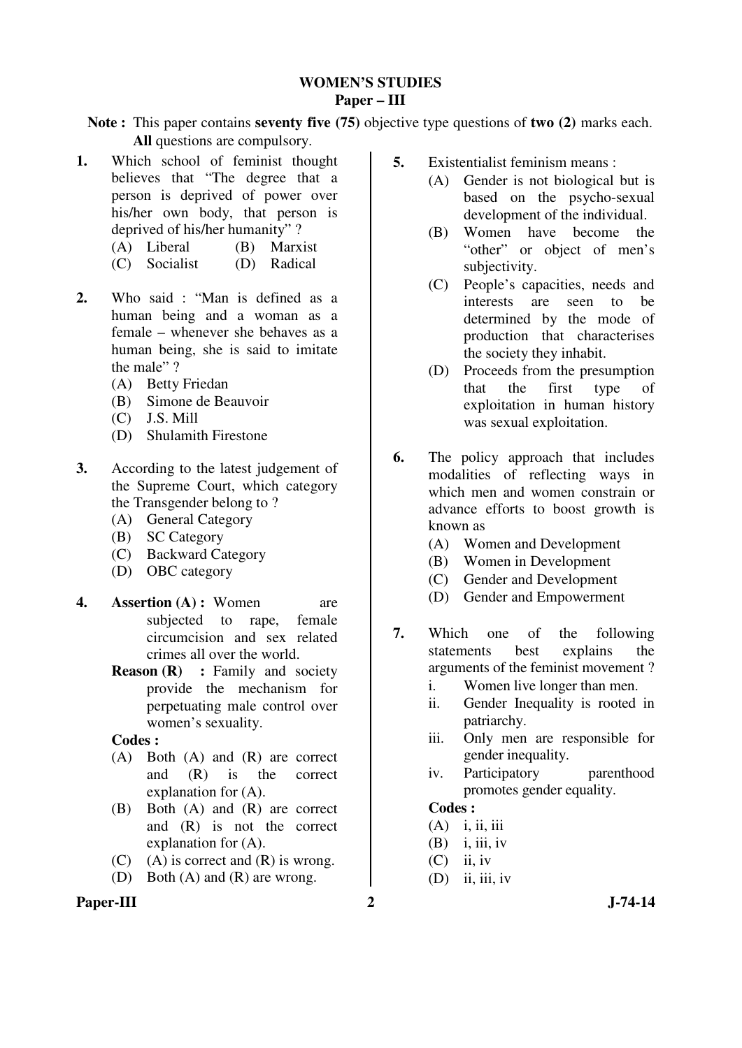### **WOMEN'S STUDIES Paper – III**

**Note :** This paper contains **seventy five (75)** objective type questions of **two (2)** marks each. **All** questions are compulsory.

- **1.** Which school of feminist thought believes that "The degree that a person is deprived of power over his/her own body, that person is deprived of his/her humanity" ?
	- (A) Liberal (B) Marxist
	- (C) Socialist (D) Radical
- **2.** Who said : "Man is defined as a human being and a woman as a female – whenever she behaves as a human being, she is said to imitate the male" ?
	- (A) Betty Friedan
	- (B) Simone de Beauvoir
	- (C) J.S. Mill
	- (D) Shulamith Firestone
- **3.** According to the latest judgement of the Supreme Court, which category the Transgender belong to ?
	- (A) General Category
	- (B) SC Category
	- (C) Backward Category
	- (D) OBC category
- **4. Assertion (A) :** Women are subjected to rape, female circumcision and sex related crimes all over the world.
	- **Reason (R)** : Family and society provide the mechanism for perpetuating male control over women's sexuality.

 **Codes :**

- (A) Both (A) and (R) are correct and (R) is the correct explanation for (A).
- (B) Both (A) and (R) are correct and (R) is not the correct explanation for (A).
- (C) (A) is correct and  $(R)$  is wrong.
- (D) Both (A) and (R) are wrong.
- Paper-III 2 J-74-14
- **5.** Existentialist feminism means :
	- (A) Gender is not biological but is based on the psycho-sexual development of the individual.
	- (B) Women have become the "other" or object of men's subjectivity.
	- (C) People's capacities, needs and interests are seen to be determined by the mode of production that characterises the society they inhabit.
	- (D) Proceeds from the presumption that the first type of exploitation in human history was sexual exploitation.
- **6.** The policy approach that includes modalities of reflecting ways in which men and women constrain or advance efforts to boost growth is known as
	- (A) Women and Development
	- (B) Women in Development
	- (C) Gender and Development
	- (D) Gender and Empowerment
- **7.** Which one of the following statements best explains the arguments of the feminist movement ?
	- i. Women live longer than men.
	- ii. Gender Inequality is rooted in patriarchy.
	- iii. Only men are responsible for gender inequality.
	- iv. Participatory parenthood promotes gender equality.

- (A) i, ii, iii
- $(B)$  i, iii, iv
- $(C)$  ii, iv
- $(D)$  ii, iii, iv
-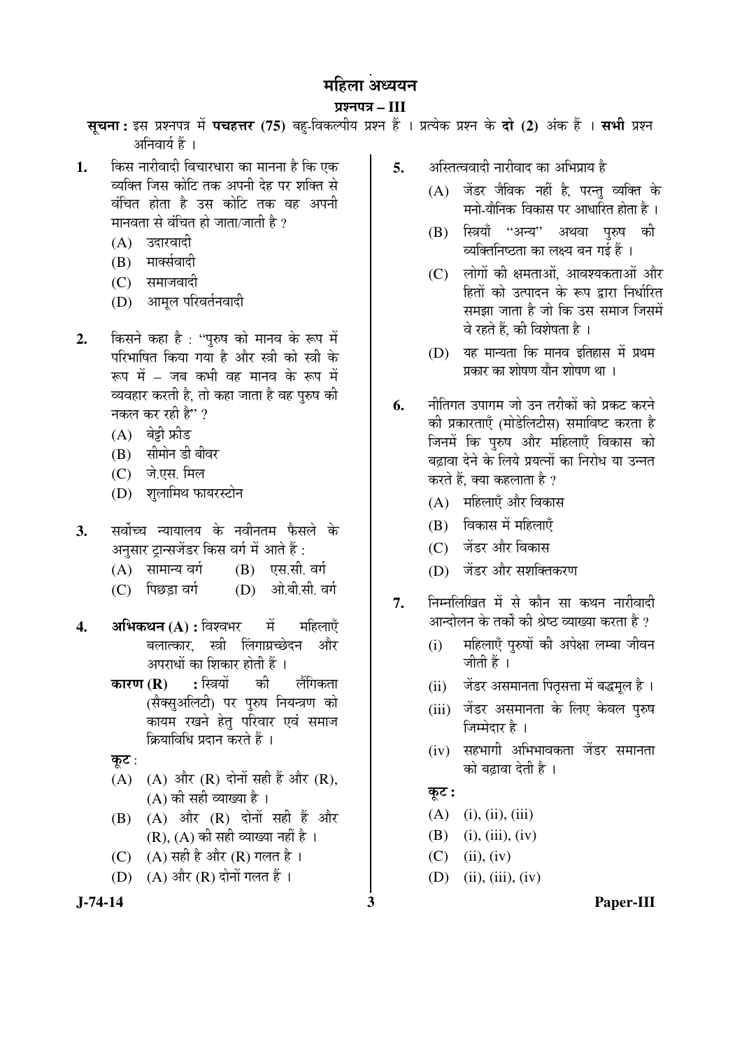# ¯ÖÏ¿®Ö¯Ö¡Ö **– III**

सूचना: इस प्रश्नपत्र में पचहत्तर (75) बहु-विकल्पीय प्रश्न हैं । प्रत्येक प्रश्न के दो (2) अंक हैं । सभी प्रश्न अनिवार्य हैं ।

- 1. किस नारीवादी विचारधारा का मानना है कि एक व्यक्ति जिस कोटि तक अपनी देह पर शक्ति से वंचित होता है उस कोटि तक वह अपनी मानवता से वंचित हो जाता/जाती है ?
	- (A) उदारवादी
	- (B) मार्क्सवादी
	- (C) समाजवादी
	- (D) आमल परिवर्तनवादी
- 2. किसने कहा है : "पुरुष को मानव के रूप में परिभाषित किया गया है और स्त्री को स्त्री के रूप में – जब कभी वह मानव के रूप में व्यवहार करती है, तो कहा जाता है वह पुरुष की नकल कर रही है" ?
	- $(A)$  बेड़ी फ्रीड
	- (B) सीमोन डी बीवर
	- $(C)$  जे.एस. मिल
	- (D) शुलामिथ फायरस्टोन
- 3. सर्वोच्च न्यायालय के नवीनतम फैसले के अनुसार ट्रान्सजेंडर किस वर्ग में आते हैं :
	- $(A)$  सामान्य वर्ग  $(B)$  एस.सी. वर्ग
	- (C) पिछड़ा वर्ग (D) ओ.बी.सी. वर्ग
- **4. अभिकथन (A) :** विश्वभर सें महिलाएँ बलात्कार. स्त्री लिंगाग्रच्छेदन और अपराधों का शिकार होती हैं ।
	- **कारण (R) :** स्त्रियों की लैंगिकता (सैक्सुअलिटी) पर पुरुष नियन्त्रण को कायम रखने हेत् परिवार एवं समाज क्रियाविधि प्रदान करते हैं ।
	- कुट $:$
	- $(A)$   $(A)$  और  $(R)$  दोनों सही हैं और  $(R)$ ,  $(A)$  की सही व्याख्या है।
	- $(B)$   $(A)$  और  $(R)$  दोनों सही हैं और (R),  $(A)$  की सही व्याख्या नहीं है ।
	- (C) (A) सही है और (R) गलत है।
	- $(D)$   $(A)$  और  $(R)$  दोनों गलत हैं ।
- 
- **5.** अस्तित्ववादी नारीवाद का अभिप्राय है
	- (A) जेंडर जैविक नहीं है. परन्तु व्यक्ति के मनो-यौनिक विकास पर आधारित होता है ।
	- (B) स्त्रियाँ "अन्य" अथवा परुष की <u>व्यक्तिनिष्ठता का लक्ष्य बन गई हैं ।</u>
	- (C) लोगों की क्षमताओं, आवश्यकताओं और हितों को उत्पादन के रूप द्वारा निर्धारित समझा जाता है जो कि उस समाज जिसमें वे रहते हैं. की विशेषता है ।
	- $(D)$  यह मान्यता कि मानव इतिहास में प्रथम प्रकार का शोषण यौन शोषण था ।
- **6.** नीतिगत उपागम जो उन तरीकों को प्रकट करने की प्रकारताएँ (मोडेलिटीस) समाविष्ट करता है जिनमें कि पुरुष और महिलाएँ विकास को बढावा देने के लिये प्रयत्नों का निरोध या उन्नत करते हैं, क्या कहलाता है ?
	- (A) महिलाएँ और विकास
	- $(B)$  विकास में महिलाएँ
	- (C) जेंडर और विकास
	- (D) जेंडर और सशक्तिकरण
- 7. निम्नलिखित में से कौन सा कथन नारीवादी आन्दोलन के तर्कों की श्रेष्ठ व्याख्या करता है ?
	- (i) महिलाएँ पुरुषों की अपेक्षा लम्बा जीवन जीती हैं ।
	- (ii) जेंडर असमानता पितृसत्ता में बद्धमूल है ।
	- (iii) जेंडर असमानता के लिए केवल पुरुष जिम्मेदार है ।
	- $(iv)$  सहभागी अभिभावकता जेंडर समानता को बढ़ावा देती है ।

# $\overline{\Phi}$ :

- $(A)$  (i), (ii), (iii)
- (B) (i), (iii), (iv)
- $(C)$  (ii), (iv)
- (D) (ii), (iii), (iv)
- **J-74-14 3 Paper-III**
-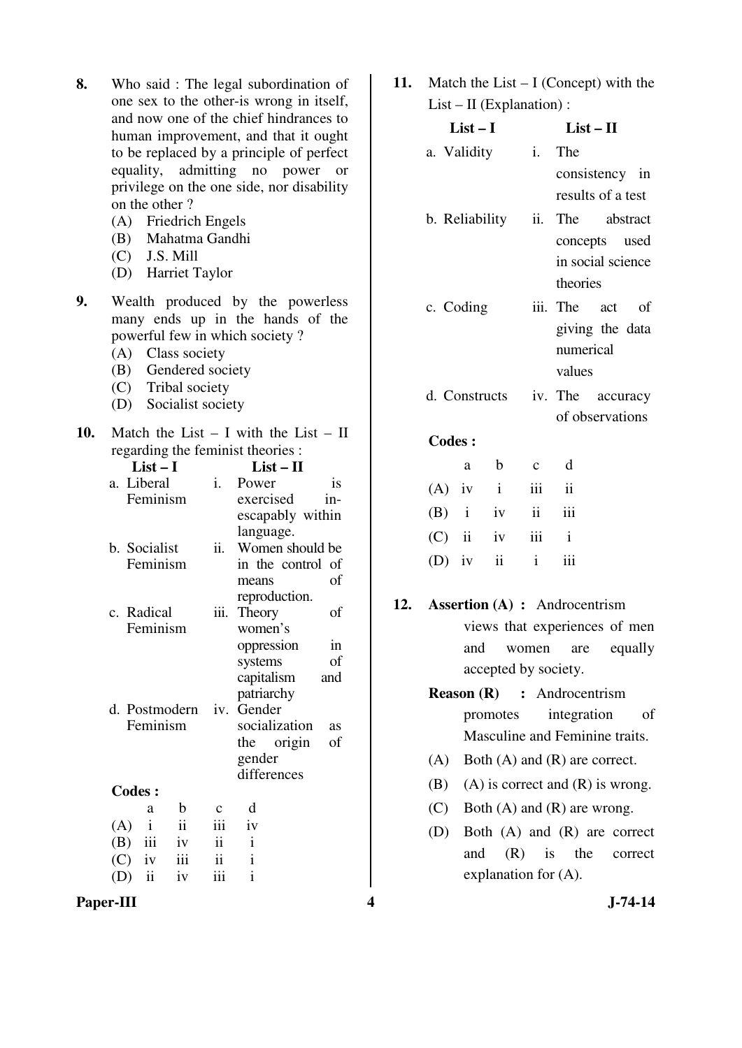- **8.** Who said : The legal subordination of one sex to the other-is wrong in itself, and now one of the chief hindrances to human improvement, and that it ought to be replaced by a principle of perfect equality, admitting no power or privilege on the one side, nor disability on the other ?
	- (A) Friedrich Engels
	- (B) Mahatma Gandhi
	- $(C)$  J.S. Mill
	- (D) Harriet Taylor
- **9.** Wealth produced by the powerless many ends up in the hands of the powerful few in which society ?
	- (A) Class society
	- (B) Gendered society
	- (C) Tribal society
	- (D) Socialist society
- **10.** Match the List I with the List II regarding the feminist theories : **List – I List – II**  a. Liberal Feminism i. Power is exercised inescapably within language. b. Socialist Feminism ii. Women should be in the control of
	- means of reproduction. c. Radical Feminism iii. Theory of women's oppression in systems of capitalism and

patriarchy

gender differences

socialization as the origin of

d. Postmodern Feminism iv. Gender

**Codes :** 

- a b c d  $(A)$  i ii iii iv (B) iii iv ii i  $(C)$  iv iii ii i (D) ii iv iii i
- **Paper-III 4** J-74-14

**11.** Match the List – I (Concept) with the  $List - II$  (Explanation) :

| List – I       | List – H |                   |
|----------------|----------|-------------------|
| a. Validity    |          | i. The            |
|                |          | consistency in    |
|                |          | results of a test |
| b. Reliability | ii.      | The abstract      |
|                |          | concepts used     |
|                |          | in social science |
|                |          | theories          |
| c. Coding      |          | iii. The act of   |
|                |          | giving the data   |
|                |          | numerical         |
|                |          | values            |
| d. Constructs  |          | iv. The accuracy  |
|                |          | of observations   |

|  | a b c d           |  |
|--|-------------------|--|
|  | $(A)$ iv i iii ii |  |
|  | $(B)$ i iv ii iii |  |
|  | $(C)$ ii iv iii i |  |
|  | $(D)$ iv ii i iii |  |

- **12. Assertion (A) :** Androcentrism views that experiences of men and women are equally accepted by society.
	- **Reason (R) :** Androcentrism promotes integration of Masculine and Feminine traits.
	- (A) Both (A) and (R) are correct.
	- (B) (A) is correct and  $(R)$  is wrong.
	- (C) Both (A) and (R) are wrong.
	- (D) Both (A) and (R) are correct and (R) is the correct explanation for (A).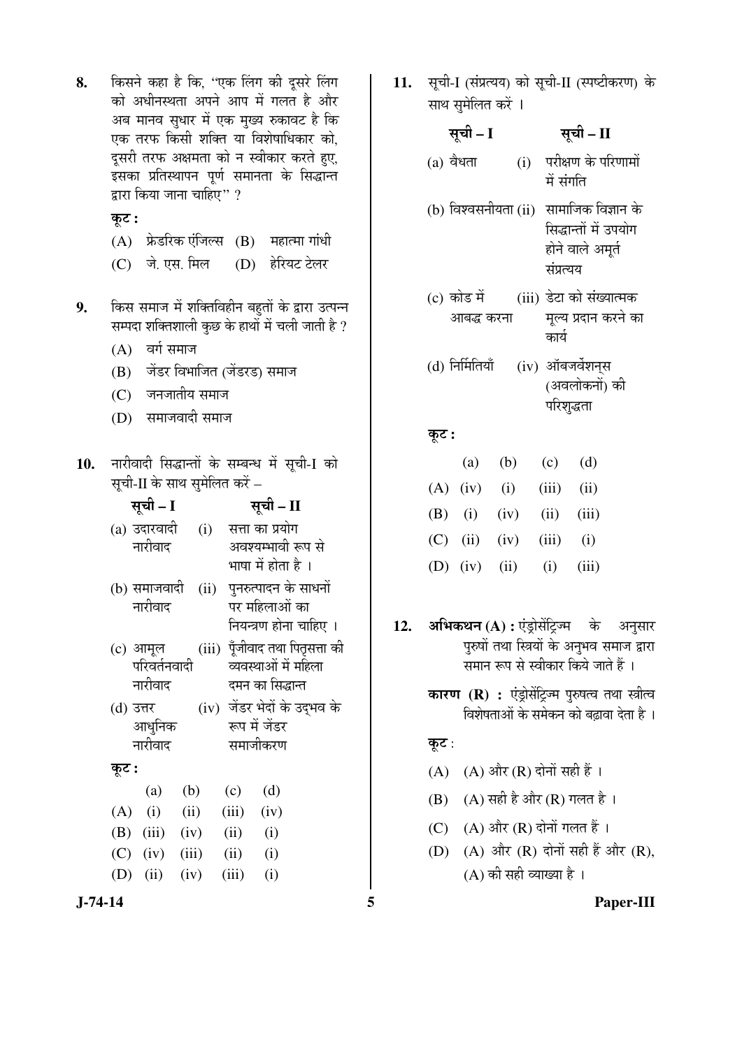- 8. किसने कहा है कि, "एक लिंग की दूसरे लिंग को अधीनस्थता अपने आप में गलत है और अब मानव सुधार में एक मुख्य रुकावट है कि एक तरफ किसी शक्ति या विशेषाधिकार को, दसरी तरफ अक्षमता को न स्वीकार करते हुए, ‡ÃÖÛúÖ ¯ÖÏןÖãÖÖ¯Ö®Ö ¯ÖæÞÖÔ ÃÖ´ÖÖ®ÖŸÖÖ Ûêú ×ÃÖ¨üÖ®ŸÖ द्वारा किया जाना चाहिए" ?
	- कुट :
	- $(A)$  फ्रेडरिक एंजिल्स  $(B)$  महात्मा गांधी
	- (C) जे. एस. मिल (D) हेरियट टेलर
- 9. किस समाज में शक्तिविहीन बहुतों के द्वारा उत्पन्न सम्पदा शक्तिशाली कुछ के हाथों में चली जाती है ?
	- $(A)$  वर्ग समाज
	- (B) जेंडर विभाजित (जेंडरड) समाज
	- $(C)$  जनजातीय समाज
	- (D) समाजवादी समाज

10. नारीवादी सिद्धान्तों के सम्बन्ध में सूची-I को सूची-II के साथ सुमेलित करें –

| सूची – I         |      | सूची – II       |                                 |  |
|------------------|------|-----------------|---------------------------------|--|
| (a) उदारवादी     | (i)  | सत्ता का प्रयोग |                                 |  |
| नारीवाद          |      |                 | अवश्यम्भावी रूप से              |  |
|                  |      |                 | भाषा में होता है ।              |  |
| (b) समाजवादी     | (ii) |                 | पुनरुत्पादन के साधनों           |  |
| नारीवाद          |      |                 | पर महिलाओं का                   |  |
|                  |      |                 | नियन्त्रण होना चाहिए ।          |  |
| (c) आमूल         |      |                 | (iii) पूँजीवाद तथा पितृसत्ता की |  |
| परिवर्तनवादी     |      |                 | व्यवस्थाओं में महिला            |  |
| नारीवाद          |      |                 | दमन का सिद्धान्त                |  |
| (d) उत्तर        |      |                 | (iv) जेंडर भेदों के उद्भव के    |  |
| आधुनिक           |      | रूप में जेंडर   |                                 |  |
| नारीवाद          |      | समाजीकरण        |                                 |  |
| कूट :            |      |                 |                                 |  |
| (a)              | (b)  | (c)             | (d)                             |  |
| (i)<br>(A)       | (ii) | (iii)           | (iv)                            |  |
| $(B)$ (iii)      | (iv) | (ii)            | (i)                             |  |
| $(C)$ (iv) (iii) |      | (ii)            | (i)                             |  |
| (iii)<br>(D)     | (iv) | (iii)           | (i)                             |  |

**J-74-14 5 Paper-III**

11. सूची-I (संप्रत्यय) को सूची-II (स्पष्टीकरण) के साथ सुमेलित करें ।

| सूची – I                  |     | सूची – II                                                                    |
|---------------------------|-----|------------------------------------------------------------------------------|
| $(a)$ वैधता               | (i) | परीक्षण के परिणामों<br>में संगति                                             |
| (b) विश्वसनीयता (ii)      |     | सामाजिक विज्ञान के<br>सिद्धान्तों में उपयोग<br>होने वाले अमृर्त<br>संप्रत्यय |
| (c) कोड में<br>आबद्ध करना |     | (iii) डेटा को संख्यात्मक<br>मूल्य प्रदान करने का<br>कार्य                    |
| (d) निर्मितियाँ           |     | (iv) ऑबजर्वेशन्स<br>(अवलोकनों) की<br>परिशृद्धता                              |
| कूट :                     |     |                                                                              |
|                           |     | $(a)$ (b) $(a)$ (d)                                                          |

|  |  | (a) (b) (c) (d)           |  |
|--|--|---------------------------|--|
|  |  | $(A)$ (iv) (i) (iii) (ii) |  |
|  |  | (B) (i) (iv) (ii) (iii)   |  |
|  |  | (C) (ii) (iv) (iii) (i)   |  |
|  |  | (D) (iv) (ii) (i) (iii)   |  |

- 12. अभिकथन (A) : एंड्रोसेंट्रिज्म के अनुसार पुरुषों तथा स्त्रियों के अनुभव समाज द्वारा समान रूप से स्वीकार किये जाते हैं ।
	- **कारण (R) :** एंड्रोसेंट्रिज्म पुरुषत्व तथा स्त्रीत्व <u>विशेषताओं के समेकन को बढावा देता है</u> ।

# कूट:

- (A)  $(A)$  और  $(R)$  दोनों सही हैं।
- $(B)$   $(A)$  सही है और  $(R)$  गलत है ।
- (C)  $(A)$  और  $(R)$  दोनों गलत हैं।
- (D)  $(A)$  और  $(R)$  दोनों सही हैं और  $(R)$ ,  $(A)$  की सही व्याख्या है ।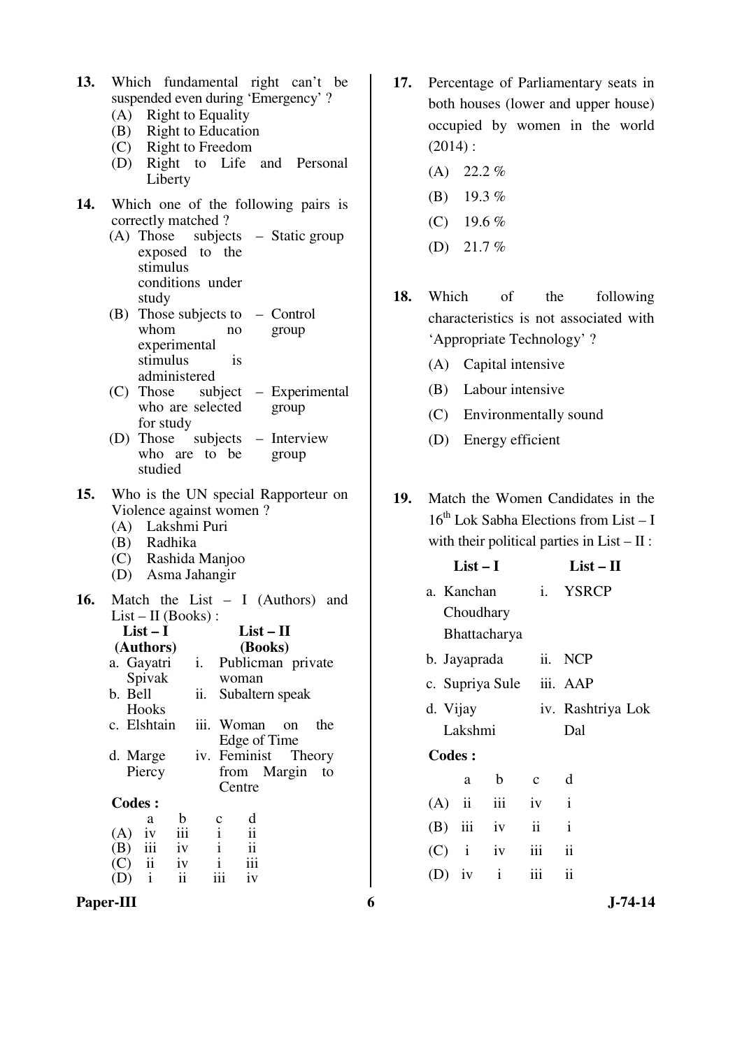- **13.** Which fundamental right can't be suspended even during 'Emergency' ?
	- (A) Right to Equality
	- (B) Right to Education
	- (C) Right to Freedom
	- (D) Right to Life and Personal Liberty
- **14.** Which one of the following pairs is correctly matched ?
	- (A) Those subjects Static group exposed to the stimulus conditions under study
	- (B) Those subjects to Control whom no experimental stimulus is administered group
	- $(C)$  Those who are selected for study – Experimental group
	- $(D)$  Those who are to be studied – Interview group
- **15.** Who is the UN special Rapporteur on Violence against women ?
	- (A) Lakshmi Puri
	- (B) Radhika
	- (C) Rashida Manjoo
	- (D) Asma Jahangir
- **16.** Match the List I (Authors) and List – II (Books) : **List – I (Authors) List – II (Books)**  a. Gayatri Spivak i. Publicman private woman b. Bell **Hooks** ii. Subaltern speak c. Elshtain iii. Woman on the Edge of Time d. Marge Piercy iv. Feminist Theory from Margin to **Centre Codes :**

|           | a                       | b             | $\mathbf c$ | d   |
|-----------|-------------------------|---------------|-------------|-----|
| (A)       | iv                      | iii           |             | ii  |
| $(B)$ iii |                         | iv            |             | ii  |
| (C)       | $\overline{\mathbf{u}}$ | iv            |             | iii |
| (D)       |                         | $\mathbf{ii}$ | iii         | iv  |
|           |                         |               |             |     |

Paper-III 6 **J**-74-14

- **17.** Percentage of Parliamentary seats in both houses (lower and upper house) occupied by women in the world  $(2014)$ :
	- $(A)$  22.2%
	- (B) 19.3 %
	- (C) 19.6 %
	- (D) 21.7  $%$
- **18.** Which of the following characteristics is not associated with 'Appropriate Technology' ?
	- (A) Capital intensive
	- (B) Labour intensive
	- (C) Environmentally sound
	- (D) Energy efficient
- **19.** Match the Women Candidates in the  $16^{th}$  Lok Sabha Elections from List – I with their political parties in  $List - II$ :

|               | $List-I$     |                          |              | $List-II$           |  |
|---------------|--------------|--------------------------|--------------|---------------------|--|
|               | a. Kanchan   |                          |              | i. YSRCP            |  |
|               | Choudhary    |                          |              |                     |  |
|               |              | Bhattacharya             |              |                     |  |
|               | b. Jayaprada |                          |              | ii. NCP             |  |
|               |              | c. Supriya Sule iii. AAP |              |                     |  |
|               | d. Vijay     |                          |              | iv. Rashtriya Lok   |  |
|               | Lakshmi      |                          |              | Dal                 |  |
| <b>Codes:</b> |              |                          |              |                     |  |
|               | a            | $\mathbf b$              | $c \, d$     |                     |  |
|               |              | $(A)$ ii iii iv          | $\mathbf{i}$ |                     |  |
|               |              | $(B)$ iii iv             | ii           | $\mathbf{i}$        |  |
|               |              | $(C)$ i iv               | $iii -$      | $\ddot{\mathbf{i}}$ |  |
| $(D)$ iv      |              | $\mathbf{i}$             | iii          | $\ddot{\mathbf{i}}$ |  |
|               |              |                          |              |                     |  |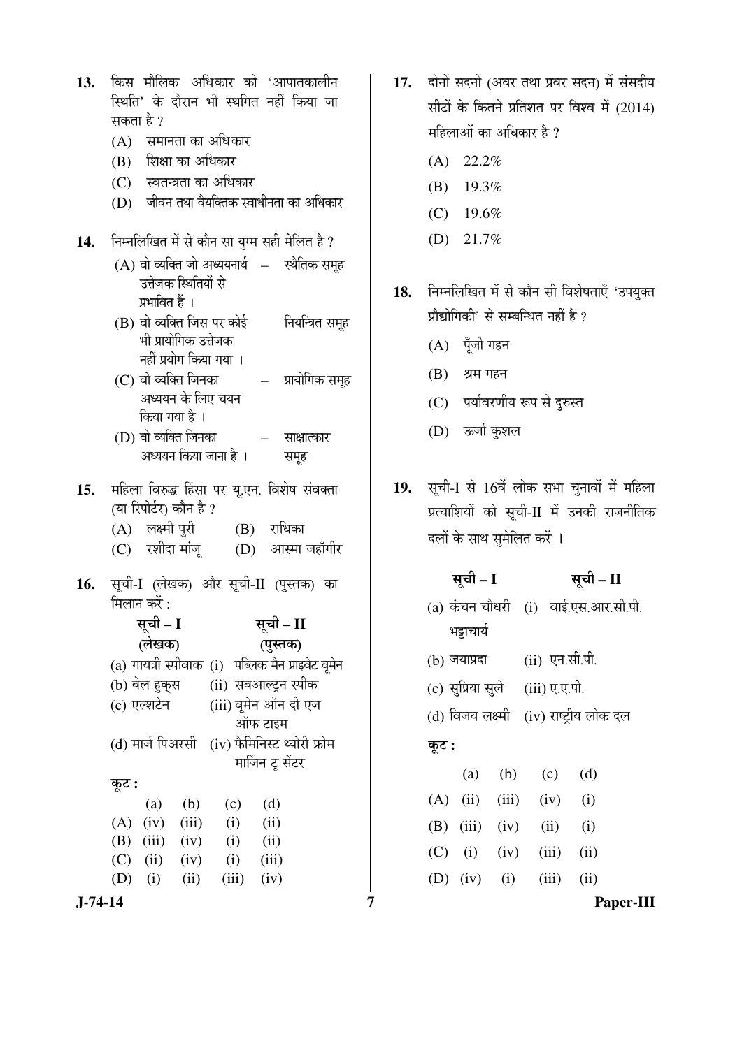| किस मौलिक अधिकार को 'आपातकालीन<br>13.<br>स्थिति' के दौरान भी स्थगित नहीं किया जा                                                                                                                                                                                                                                                                                                  | दोनों सदनों (अवर तथा प्रवर सदन) में संसदीय<br>17.<br>सीटों के कितने प्रतिशत पर विश्व में (2014)                                                                                   |
|-----------------------------------------------------------------------------------------------------------------------------------------------------------------------------------------------------------------------------------------------------------------------------------------------------------------------------------------------------------------------------------|-----------------------------------------------------------------------------------------------------------------------------------------------------------------------------------|
| सकता है ?<br>(A) समानता का अधिकार                                                                                                                                                                                                                                                                                                                                                 | महिलाओं का अधिकार है ?                                                                                                                                                            |
| शिक्षा का अधिकार<br>(B)                                                                                                                                                                                                                                                                                                                                                           | 22.2%<br>(A)                                                                                                                                                                      |
| (C) स्वतन्त्रता का अधिकार                                                                                                                                                                                                                                                                                                                                                         | 19.3%<br>(B)                                                                                                                                                                      |
| (D) जीवन तथा वैयक्तिक स्वाधीनता का अधिकार                                                                                                                                                                                                                                                                                                                                         | 19.6%<br>(C)                                                                                                                                                                      |
| निम्नलिखित में से कौन सा युग्म सही मेलित है ?<br>14.                                                                                                                                                                                                                                                                                                                              | 21.7%<br>(D)                                                                                                                                                                      |
| (A) वो व्यक्ति जो अध्ययनार्थ  —   स्थैतिक समूह<br>उत्तेजक स्थितियों से<br>प्रभावित हैं ।<br>(B) वो व्यक्ति जिस पर कोई वियन्त्रित समूह<br>भी प्रायोगिक उत्तेजक<br>नहीं प्रयोग किया गया ।<br>(C) वो व्यक्ति जिनका                     प्रायोगिक समूह<br>अध्ययन के लिए चयन<br>किया गया है ।<br>(D) वो व्यक्ति जिनका<br>साक्षात्कार<br>$\frac{1}{2}$<br>अध्ययन किया जाना है ।<br>समूह | निम्नलिखित में से कौन सी विशेषताएँ 'उपयुक्त<br>18.<br>प्रौद्योगिकी' से सम्बन्धित नहीं है ?<br>(A) पूँजी गहन<br>(B)<br>श्रम गहन<br>(C) पर्यावरणीय रूप से दुरुस्त<br>(D) ऊर्जा कुशल |
| महिला विरुद्ध हिंसा पर यू.एन. विशेष संवक्ता<br>15.<br>(या रिपोर्टर) कौन है ?<br>(A) लक्ष्मी पुरी (B) राधिका<br>(C) रशीदा मांजू (D) आस्मा जहाँगीर                                                                                                                                                                                                                                  | सूची-I से 16वें लोक सभा चुनावों में महिला<br><b>19.</b><br>प्रत्याशियों को सूची-II में उनकी राजनीतिक<br>दलों के साथ सुमेलित करें ।                                                |
| सूची-I (लेखक) और सूची-II (पुस्तक) का<br>16.<br>मिलान करें :<br>सूची – I सूची – II<br>(लेखक)<br>(पुस्तक)<br>(a) गायत्री स्पीवाक (i) पब्लिक मैन प्राइवेट वूमेन                                                                                                                                                                                                                      | सूची – I<br>सूची – II<br>(a) कंचन चौधरी (i) वाई.एस.आर.सी.पी.<br>भट्टाचार्य<br>(ii) एन.सी.पी.<br>$(b)$ जयाप्रदा                                                                    |
| (ii) सबआल्ट्रन स्पीक<br>(b) बेल हुक् <b>स</b>                                                                                                                                                                                                                                                                                                                                     | (c) सुप्रिया सुले<br>(iii) ए.ए.पी.                                                                                                                                                |
| (iii) वूमेन ऑन दी एज<br>(c) एल्शटेन                                                                                                                                                                                                                                                                                                                                               | (d) विजय लक्ष्मी (iv) राष्ट्रीय लोक दल                                                                                                                                            |
| ऑफ टाइम<br>(iv) फैमिनिस्ट थ्योरी फ्रोम<br>(d) मार्ज पिअरसी<br>मार्जिन टू सेंटर                                                                                                                                                                                                                                                                                                    | कूट :<br>(d)<br>(b)<br>(c)<br>(a)                                                                                                                                                 |
| कूट :                                                                                                                                                                                                                                                                                                                                                                             | (ii)<br>(iii)<br>(A)<br>(i)<br>(iv)                                                                                                                                               |
| (d)<br>(b)<br>(a)<br>(c)<br>(A)<br>(iv)<br>(iii)<br>(i)<br>(ii)                                                                                                                                                                                                                                                                                                                   | (B)<br>(iii)<br>(i)<br>(iv)<br>(ii)                                                                                                                                               |
| (B)<br>(iii)<br>(ii)<br>(iv)<br>(i)                                                                                                                                                                                                                                                                                                                                               | (ii)<br>(iv)<br>(iii)<br>(C)<br>(i)                                                                                                                                               |
| (C)<br>(ii)<br>(iii)<br>(iv)<br>(i)<br>(D)<br>(i)<br>(ii)<br>(iii)<br>(iv)                                                                                                                                                                                                                                                                                                        | (i)<br>(iii)<br>(ii)<br>(D)<br>(iv)                                                                                                                                               |
| $J - 74 - 14$                                                                                                                                                                                                                                                                                                                                                                     | 7<br>Paper-III                                                                                                                                                                    |

- 17. दोनों सदनों (अवर तथा प्रवर सदन) में संसदीय सीटों के कितने प्रतिशत पर विश्व में  $(2014)$ महिलाओं का अधिकार है ?
	- $(A)$  22.2%
	- (B) 19.3%
	- (C)  $19.6\%$
	- (D) 21.7%
- 18. निम्नलिखित में से कौन सी विशेषताएँ 'उपयुक्त प्रौद्योगिकी' से सम्बन्धित नहीं है ?
	- $(A)$  पूँजी गहन
	- $(B)$  श्रम गहन
	- (C) पर्यावरणीय रूप से दुरुस्त
	- (D) ऊर्जा कुशल
- 19. सूची-I से 16वें लोक सभा चुनावों में महिला प्रत्याशियों को सूची- $\rm II$  में उनकी राजनीतिक दलों के साथ सुमेलित करें ।

|       | सूची – I     |                  |                                 | सूची – II                              |
|-------|--------------|------------------|---------------------------------|----------------------------------------|
|       |              |                  |                                 | (a) कंचन चौधरी  (i)  वाई.एस.आर.सी.पी.  |
|       | भट्टाचार्य   |                  |                                 |                                        |
|       | (b) जयाप्रदा |                  | (ii) एन.सी.पी.                  |                                        |
|       |              |                  | (c) सुप्रिया सुले (iii) ए.ए.पी. |                                        |
|       |              |                  |                                 | (d) विजय लक्ष्मी (iv) राष्ट्रीय लोक दल |
| कूट : |              |                  |                                 |                                        |
|       |              | $(a)$ $(b)$      | (c)                             | (d)                                    |
|       | $(A)$ (ii)   |                  | $(iii)$ $(iv)$                  | (i)                                    |
|       |              | $(B)$ (iii) (iv) | (ii)                            | (i)                                    |
|       |              | $(C)$ (i) (iv)   | (iii)                           | (ii)                                   |
|       |              | (D) $(iv)$ (i)   | (iii)                           | (ii)                                   |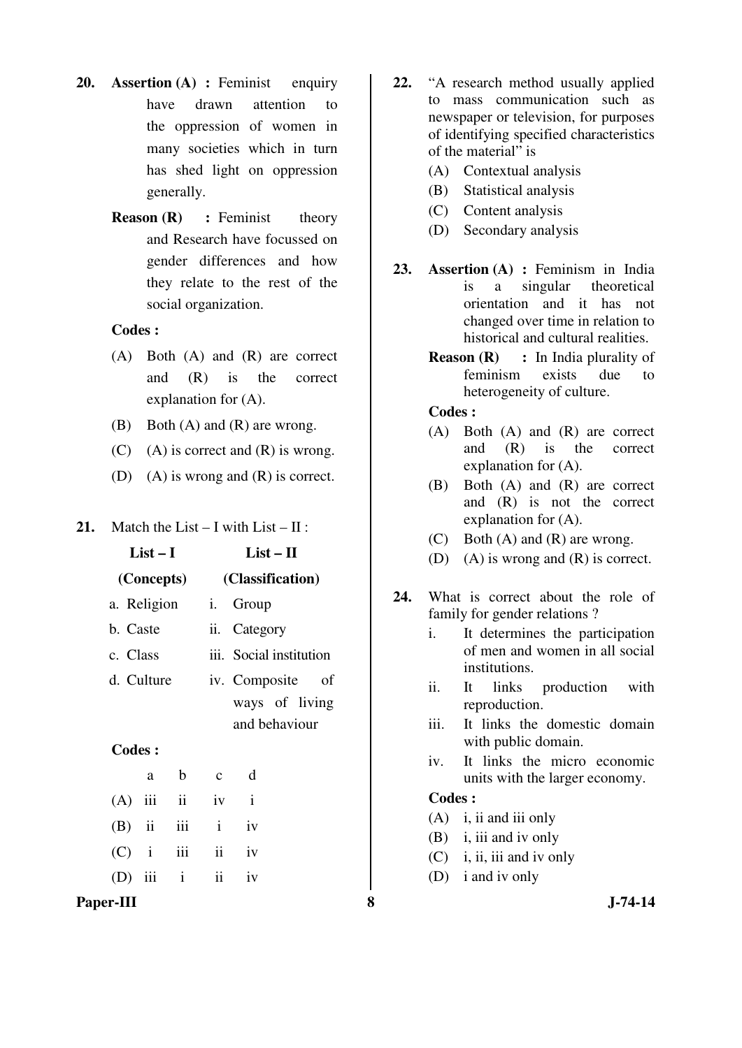- **20. Assertion (A) :** Feminist enquiry have drawn attention to the oppression of women in many societies which in turn has shed light on oppression generally.
	- **Reason (R)** : Feminist theory and Research have focussed on gender differences and how they relate to the rest of the social organization.

- (A) Both (A) and (R) are correct and (R) is the correct explanation for (A).
- (B) Both (A) and (R) are wrong.
- $(C)$  (A) is correct and  $(R)$  is wrong.
- (D) (A) is wrong and (R) is correct.
- **21.** Match the List I with List II :

|               | $List-I$    |                          |              | $List - II$                    |  |  |
|---------------|-------------|--------------------------|--------------|--------------------------------|--|--|
|               |             | (Concepts)               |              | (Classification)               |  |  |
|               | a. Religion |                          |              | i. Group                       |  |  |
|               | b. Caste    |                          |              | ii. Category                   |  |  |
|               | c. Class    |                          |              | iii. Social institution        |  |  |
|               | d. Culture  |                          |              | iv. Composite<br><sub>of</sub> |  |  |
|               |             |                          |              | ways of living                 |  |  |
|               |             |                          |              | and behaviour                  |  |  |
| <b>Codes:</b> |             |                          |              |                                |  |  |
|               | a           | b                        | $\mathbf{c}$ | d                              |  |  |
| (A            | iii         | $\overline{\mathbf{ii}}$ | iv           | $\mathbf{i}$                   |  |  |
|               |             |                          |              |                                |  |  |

 $(B)$  ii iii i iv  $(C)$  i iii ii iv (D) iii i ii iv

# **Paper-III 8 J-74-14**

- **22.** "A research method usually applied to mass communication such as newspaper or television, for purposes of identifying specified characteristics of the material" is
	- (A) Contextual analysis
	- (B) Statistical analysis
	- (C) Content analysis
	- (D) Secondary analysis
- **23. Assertion (A) :** Feminism in India is a singular theoretical orientation and it has not changed over time in relation to historical and cultural realities.
	- **Reason (R)** : In India plurality of feminism exists due to heterogeneity of culture.

 **Codes :**

- (A) Both (A) and (R) are correct and (R) is the correct explanation for (A).
- (B) Both (A) and (R) are correct and (R) is not the correct explanation for (A).
- (C) Both (A) and (R) are wrong.
- (D) (A) is wrong and (R) is correct.
- **24.** What is correct about the role of family for gender relations ?
	- i. It determines the participation of men and women in all social institutions.
	- ii. It links production with reproduction.
	- iii. It links the domestic domain with public domain.
	- iv. It links the micro economic units with the larger economy.

- (A) i, ii and iii only
- (B) i, iii and iv only
- (C) i, ii, iii and iv only
- (D) i and iv only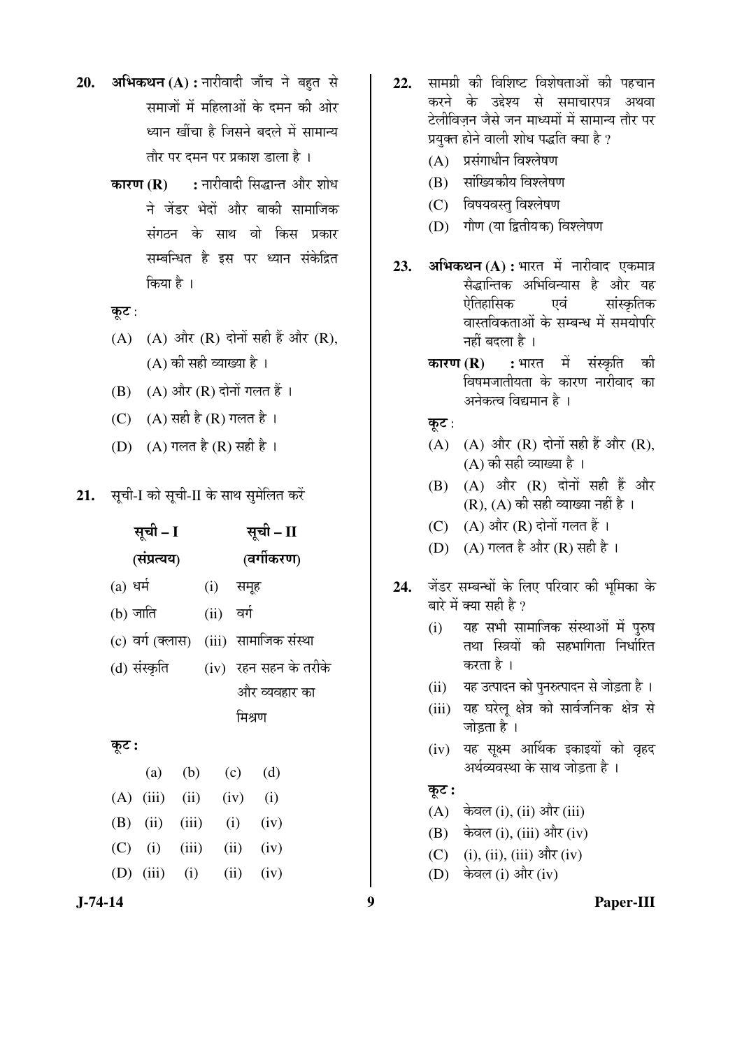- 20. अभिकथन (A) : नारीवादी जाँच ने बहत से समाजों में महिलाओं के दमन की ओर ध्यान खींचा है जिसने बदले में सामान्य तौर पर दमन पर प्रकाश डाला है ।
	- **कारण (R) :** नारीवादी सिद्धान्त और शोध ने जेंडर भेदों और बाकी सामाजिक ्<br>संगठन के साथ वो किस प्रकार सम्बन्धित है इस पर ध्यान संकेद्रित किया है ।

कूट:

- $(A)$   $(A)$  और  $(R)$  दोनों सही हैं और  $(R)$ ,  $(A)$  की सही व्याख्या है।
- $(B)$   $(A)$  और  $(R)$  दोनों गलत हैं।
- (C)  $(A)$  सही है (R) गलत है ।
- (D) (A) गलत है (R) सही है ।
- 21. सूची-I को सूची-II के साथ सुमेलित करें

| सूची – I   |                                         |       |             |        | सूची – II     |                       |
|------------|-----------------------------------------|-------|-------------|--------|---------------|-----------------------|
|            | (संप्रत्यय)                             |       |             |        | (वर्गीकरण)    |                       |
| $(a)$ धर्म |                                         |       | (i) समूह    |        |               |                       |
| (b) जाति   |                                         |       | (ii) वर्ग   |        |               |                       |
|            | (c) वर्ग (क्लास)  (iii)  सामाजिक संस्था |       |             |        |               |                       |
|            | (d) संस्कृति                            |       |             |        |               | (iv) रहन सहन के तरीके |
|            |                                         |       |             |        | और व्यवहार का |                       |
|            |                                         |       |             | मिश्रण |               |                       |
| कूट :      |                                         |       |             |        |               |                       |
|            |                                         |       | (a) (b) (c) |        | (d)           |                       |
|            | $(A)$ (iii) (ii)                        |       |             |        | $(iv)$ (i)    |                       |
|            | $(B)$ (ii) (iii)                        |       |             |        | $(i)$ $(iv)$  |                       |
|            | $(C)$ (i)                               | (iii) |             |        | $(ii)$ $(iv)$ |                       |
|            | (D) $(iii)$ $(i)$                       |       |             | (ii)   | (iv)          |                       |
|            |                                         |       |             |        |               |                       |

- 22. सामग्री की विशिष्ट विशेषताओं की पहचान करने के उद्देश्य से समाचारपत्र अथवा टेलीविजन जैसे जन माध्यमों में सामान्य तौर पर प्रयुक्त होने वाली शोध पद्धति क्या है ?
	- $(A)$  प्रसंगाधीन विश्लेषण
	- (B) सांख्यिकीय विश्लेषण
	- (C) विषयवस्त् विश्लेषण
	- (D) गौण (या द्वितीयक) विश्लेषण
- **23. अभिकथन (A) :** भारत में नारीवाद एकमात्र सैद्धान्तिक अभिविन्यास है और यह ऐतिहासिक एवं सांस्कृतिक वास्तविकताओं के सम्बन्ध में समयोपरि नहीं बदला है ।
	- **कारण (R) :** भारत में संस्कृति की विषमजातीयता के कारण नारीवाद का अनेकत्व विद्यमान है ।

कूट:

- $(A)$   $(A)$  और  $(R)$  दोनों सही हैं और  $(R)$ , (A) की सही व्याख्या है ।
- $(B)$   $(A)$  और  $(R)$  दोनों सही हैं और  $(R)$ ,  $(A)$  की सही व्याख्या नहीं है ।
- $(C)$   $(A)$  और  $(R)$  दोनों गलत हैं।
- (D)  $(A)$  गलत है और  $(R)$  सही है ।
- 24. जेंडर सम्बन्धों के लिए परिवार की भमिका के बारे में क्या सही है ?
	- (i) यह सभी सामाजिक संस्थाओं में पुरुष तथा स्त्रियों की सहभागिता निर्धारित करता है ।
	- (ii) यह उत्पादन को पुनरुत्पादन से जोड़ता है।
	- (iii) यह घरेलू क्षेत्र को सार्वजनिक क्षेत्र से जोडता है ।
	- (iv) यह सूक्ष्म आर्थिक इकाइयों को वृहद अर्थव्यवस्था के साथ जोडता है ।

# कूट :

- $(A)$  केवल (i), (ii) और (iii)
- $(B)$  केवल (i), (iii) और (iv)
- $(C)$  (i), (ii), (iii) और (iv)
- (D) केवल (i) और (iv)

### **J-74-14 9 Paper-III**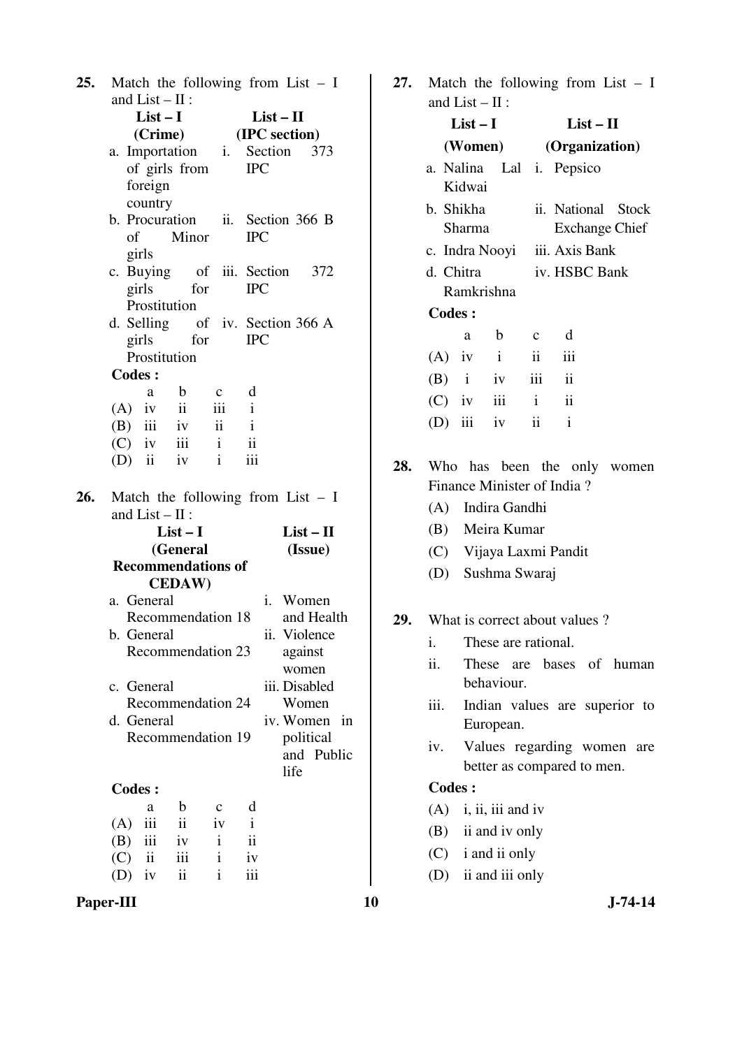| 25. |     |                           |               |              |                         |             | Match the following from List $- I$ |    |
|-----|-----|---------------------------|---------------|--------------|-------------------------|-------------|-------------------------------------|----|
|     |     | and $List - II$ :         |               |              |                         |             |                                     |    |
|     |     | $List-I$                  |               |              |                         | $List - II$ |                                     |    |
|     |     | (Crime) (IPC section)     |               |              |                         |             |                                     |    |
|     |     |                           |               |              |                         |             | a. Importation i. Section 373       |    |
|     |     | of girls from             |               |              | <b>IPC</b>              |             |                                     |    |
|     |     | foreign                   |               |              |                         |             |                                     |    |
|     |     | country                   |               |              |                         |             |                                     |    |
|     |     |                           |               |              |                         |             | b. Procuration ii. Section 366 B    |    |
|     |     | of                        | Minor         |              | <b>IPC</b>              |             |                                     |    |
|     |     | girls                     |               |              |                         |             |                                     |    |
|     |     |                           |               |              |                         |             | c. Buying of iii. Section 372       |    |
|     |     | girls                     | for           |              | <b>IPC</b>              |             |                                     |    |
|     |     | Prostitution              |               |              |                         |             |                                     |    |
|     |     |                           |               |              |                         |             | d. Selling of iv. Section 366 A     |    |
|     |     | girls                     | for           |              | <b>IPC</b>              |             |                                     |    |
|     |     | Prostitution              |               |              |                         |             |                                     |    |
|     |     | <b>Codes:</b>             |               |              |                         |             |                                     |    |
|     |     | a                         | $\mathbf{b}$  | $\mathbf{c}$ | d                       |             |                                     |    |
|     |     | $(A)$ iv ii iii i         |               |              |                         |             |                                     |    |
|     |     | $(B)$ iii iv ii i         |               |              |                         |             |                                     |    |
|     |     | $(C)$ iv iii i            |               |              | $\overline{\mathbf{u}}$ |             |                                     |    |
|     |     | (D) ii iv $i$             |               |              | iii                     |             |                                     |    |
| 26. |     |                           |               |              |                         |             | Match the following from List $- I$ |    |
|     |     | and $List - II$ :         |               |              |                         |             |                                     |    |
|     |     |                           | $List-I$      |              |                         |             | $List - II$                         |    |
|     |     |                           | (General      |              |                         |             | (Issue)                             |    |
|     |     | <b>Recommendations of</b> |               |              |                         |             |                                     |    |
|     |     |                           | <b>CEDAW)</b> |              |                         |             |                                     |    |
|     |     | a. General                |               |              |                         |             | i. Women                            |    |
|     |     | Recommendation 18         |               |              |                         |             | and Health                          |    |
|     |     | b. General                |               |              |                         | 11.         | Violence                            |    |
|     |     | Recommendation 23         |               |              |                         |             | against                             |    |
|     |     |                           |               |              |                         |             | women                               |    |
|     |     | c. General                |               |              |                         |             | iii. Disabled                       |    |
|     |     | Recommendation 24         |               |              |                         |             | Women                               |    |
|     |     | d. General                |               |              |                         |             | iv. Women                           | in |
|     |     | Recommendation 19         |               |              |                         |             | political                           |    |
|     |     |                           |               |              |                         |             | and Public                          |    |
|     |     |                           |               |              |                         | life        |                                     |    |
|     |     | <b>Codes:</b>             |               |              |                         |             |                                     |    |
|     |     | a                         | b             | c            | d                       |             |                                     |    |
|     | (A) | iii                       | ii            | iv           | $\mathbf{i}$            |             |                                     |    |
|     | (B) | iii                       | iv            | i            | $\ddot{\mathbf{i}}$     |             |                                     |    |
|     | (C) | $\rm ii$                  | iii           | i            | iv                      |             |                                     |    |
|     | (D) | iv                        | ii            | i            | iii                     |             |                                     |    |

|     |                               |                               |                     |                        | 27. Match the following from List $- I$ |  |  |
|-----|-------------------------------|-------------------------------|---------------------|------------------------|-----------------------------------------|--|--|
|     |                               | and $List - II$ :<br>$List-I$ |                     |                        | $List - II$                             |  |  |
|     |                               |                               |                     |                        |                                         |  |  |
|     |                               |                               |                     | (Women) (Organization) |                                         |  |  |
|     |                               | Kidwai                        |                     |                        | a. Nalina Lal i. Pepsico                |  |  |
|     |                               |                               |                     |                        |                                         |  |  |
|     |                               | b. Shikha                     |                     |                        | ii. National Stock                      |  |  |
|     |                               | Sharma                        |                     |                        | Exchange Chief                          |  |  |
|     | c. Indra Nooyi iii. Axis Bank |                               |                     |                        |                                         |  |  |
|     | d. Chitra                     |                               |                     |                        | iv. HSBC Bank                           |  |  |
|     |                               |                               | Ramkrishna          |                        |                                         |  |  |
|     | <b>Codes:</b>                 |                               |                     |                        |                                         |  |  |
|     |                               | a b                           |                     | $\mathbf{c}$           | d                                       |  |  |
|     |                               |                               | $(A)$ iv i ii       |                        | $\overline{\mathbf{iii}}$               |  |  |
|     |                               |                               | $(B)$ i iv iii ii   |                        |                                         |  |  |
|     |                               |                               | (C) iv iii i ii     |                        |                                         |  |  |
|     |                               |                               | (D) iii iv ii       |                        | $\mathbf{i}$                            |  |  |
| 28. |                               |                               |                     |                        | Who has been the only women             |  |  |
|     |                               |                               |                     |                        | Finance Minister of India?              |  |  |
|     |                               |                               | (A) Indira Gandhi   |                        |                                         |  |  |
|     |                               |                               | (B) Meira Kumar     |                        |                                         |  |  |
|     |                               |                               |                     |                        | (C) Vijaya Laxmi Pandit                 |  |  |
|     |                               |                               | (D) Sushma Swaraj   |                        |                                         |  |  |
|     |                               |                               |                     |                        |                                         |  |  |
| 29. |                               |                               |                     |                        | What is correct about values?           |  |  |
|     | 1.                            |                               | These are rational. |                        |                                         |  |  |
|     | ii.                           |                               |                     |                        | These are bases of human                |  |  |
|     |                               |                               | behaviour.          |                        |                                         |  |  |
|     | iii.                          |                               |                     |                        | Indian values are superior to           |  |  |
|     |                               |                               | European.           |                        |                                         |  |  |

 iv. Values regarding women are better as compared to men.

**Codes :** 

 (A) i, ii, iii and iv (B) ii and iv only (C) i and ii only (D) ii and iii only

**Paper-III** 10 J-74-14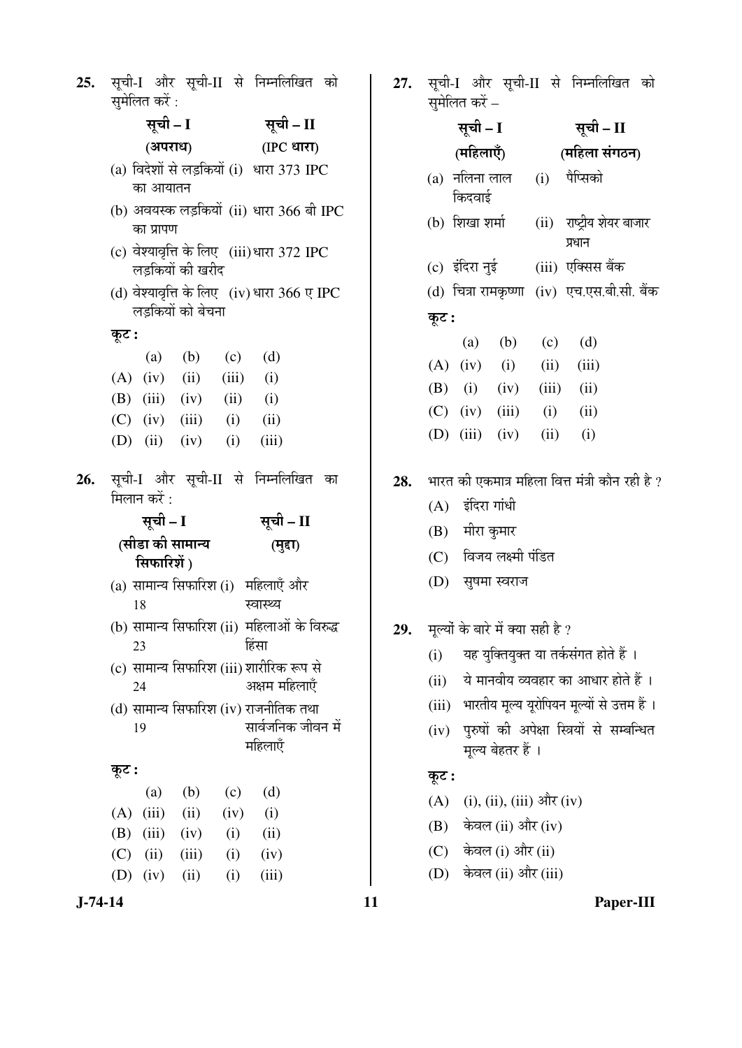| 25. | सूची-I और सूची-II से निम्नलिखित को<br>समेलित करें:                           | 27. |  |  |  |  |  |
|-----|------------------------------------------------------------------------------|-----|--|--|--|--|--|
|     | सूची – I<br>सूची – II                                                        |     |  |  |  |  |  |
|     | (IPC धारा)<br>(अपराध)                                                        |     |  |  |  |  |  |
|     | (a) विदेशों से लड़कियों (i) धारा 373 IPC<br>का आयातन                         |     |  |  |  |  |  |
|     | (b) अवयस्क लड़कियों (ii) धारा 366 बी IPC<br>का प्रापण                        |     |  |  |  |  |  |
|     | (c) वेश्यावृत्ति के लिए (iii)धारा 372 IPC<br>लडकियों की खरीद                 |     |  |  |  |  |  |
|     | (d) वेश्यावृत्ति के लिए (iv) धारा $366$ ए IPC<br>लड़कियों को बेचना           |     |  |  |  |  |  |
|     | कूट :                                                                        |     |  |  |  |  |  |
|     | (a) (b) (c) (d)                                                              |     |  |  |  |  |  |
|     | $(A)$ (iv) (ii) (iii) (i)                                                    |     |  |  |  |  |  |
|     | (B) $(iii)$ $(iv)$ $(ii)$ $(i)$                                              |     |  |  |  |  |  |
|     | $(C)$ (iv) (iii) (i) (ii)                                                    |     |  |  |  |  |  |
|     | (D) (ii) (iv) (i) (iii)                                                      |     |  |  |  |  |  |
| 26. | सूची-I और सूची-II से निम्नलिखित<br>का<br>मिलान करें :                        | 28. |  |  |  |  |  |
|     | सूची – I<br>सूची – II                                                        |     |  |  |  |  |  |
|     | (सीडा की सामान्य<br>(मुद्दा)<br>सिफारिशें)                                   |     |  |  |  |  |  |
|     |                                                                              |     |  |  |  |  |  |
|     | (a) सामान्य सिफारिश (i) महिलाएँ और<br>18<br>स्वास्थ्य                        |     |  |  |  |  |  |
|     | (b) सामान्य सिफारिश (ii) महिलाओं के विरुद्ध<br>हिंसा<br>23                   | 29. |  |  |  |  |  |
|     | (c) सामान्य सिफारिश (iii) शारीरिक रूप से<br>अक्षम महिलाएँ<br>24              |     |  |  |  |  |  |
|     | (d) सामान्य सिफारिश (iv) राजनीतिक तथा<br>सार्वजनिक जीवन में<br>19<br>महिलाएँ |     |  |  |  |  |  |
|     |                                                                              |     |  |  |  |  |  |
|     | कूट :                                                                        |     |  |  |  |  |  |
|     | (b)<br>(d)<br>(a)<br>(c)<br>(iii)<br>(ii)<br>(i)<br>(A)<br>(iv)              |     |  |  |  |  |  |
|     | (iii)<br>(ii)<br>(B)<br>(iv)<br>(i)                                          |     |  |  |  |  |  |
|     | (C)<br>(ii)<br>(iii)<br>(i)<br>(iv)                                          |     |  |  |  |  |  |

सूची-I और सूची-II से निम्नलिखित को ्<br>सोलित कों

|       | लुनासा पर –      |                           |               |                                                               |  |  |
|-------|------------------|---------------------------|---------------|---------------------------------------------------------------|--|--|
|       | सूची - I         |                           |               | सूची – II                                                     |  |  |
|       | (महिलाएँ)        |                           | (महिला संगठन) |                                                               |  |  |
|       | किदवाई           | (a)  नलिना लाल            |               | (i) पैप्सिको                                                  |  |  |
|       | (b) शिखा शर्मा   |                           |               | (ii) राष्ट्रीय शेयर बाजार<br>प्रधान                           |  |  |
|       |                  |                           |               | (c) इंदिरा नुई (iii) एक्सिस बैंक                              |  |  |
|       |                  |                           |               | (d) चित्रा रामकृष्णा (iv) एच.एस.बी.सी. बैंक                   |  |  |
| कूट : |                  |                           |               |                                                               |  |  |
|       |                  | (a) (b) (c) (d)           |               |                                                               |  |  |
|       |                  | $(A)$ (iv) (i) (ii) (iii) |               |                                                               |  |  |
|       |                  | (B) (i) (iv) (iii) (ii)   |               |                                                               |  |  |
|       |                  | $(C)$ (iv) (iii) (i) (ii) |               |                                                               |  |  |
|       |                  | (D) $(iii)$ $(iv)$ $(ii)$ |               | (i)                                                           |  |  |
|       |                  |                           |               | $\,$ 28. $\,$ भारत की एकमात्र महिला वित्त मंत्री कौन रही है ? |  |  |
|       | (A) इंदिरा गांधी |                           |               |                                                               |  |  |

- (B) मीरा कुमार
- $(C)$  विजय लक्ष्मी पंडित
- (D) सुषमा स्वराज
- मूल्यों के बारे में क्या सही है ?
	- $(i)$  यह युक्तियुक्त या तर्कसंगत होते हैं ।
	- $(iii)$  ये मानवीय व्यवहार का आधार होते हैं ।
	- (iii) भारतीय मूल्य यूरोपियन मूल्यों से उत्तम हैं ।
	- (iv) पुरुषों की अपेक्षा स्त्रियों से सम्बन्धित मूल्य बेहतर हैं ।

# कूट :

- (A) (i), (ii), (iii) और (iv)
- $(B)$  केवल (ii) और (iv)
- $(C)$  केवल (i) और (ii)
- (D) केवल (ii) और (iii)

# **J-74-14 11 Paper-III**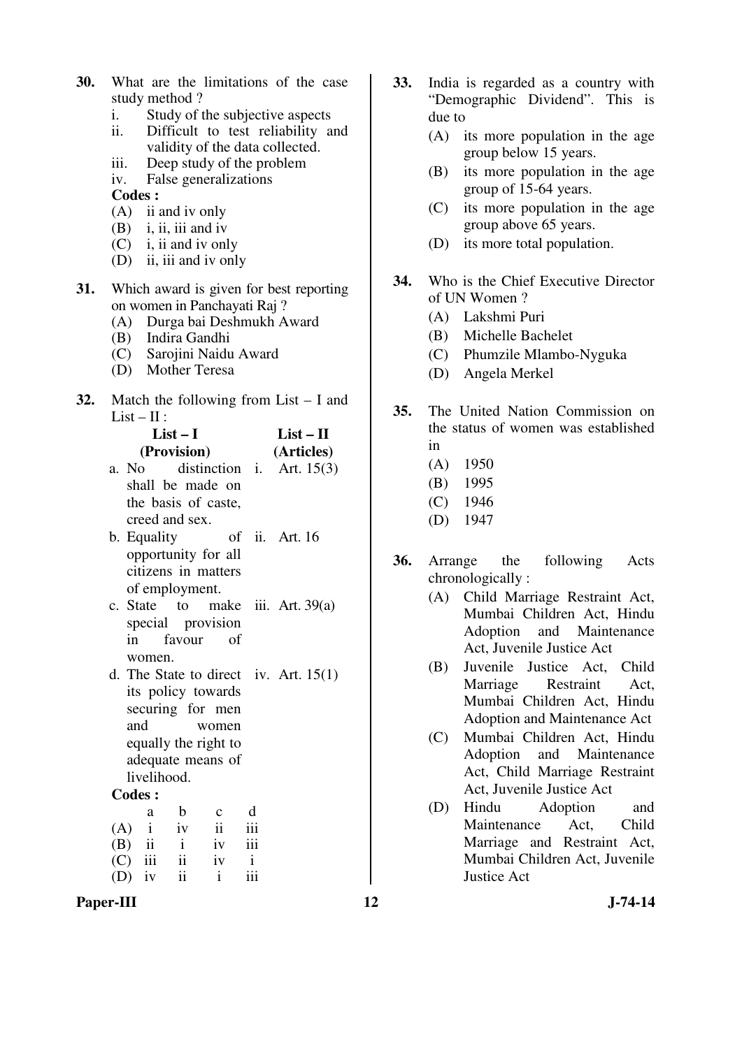|                |  | <b>30.</b> What are the limitations of the case |  |  |
|----------------|--|-------------------------------------------------|--|--|
| study method ? |  |                                                 |  |  |
|                |  |                                                 |  |  |

- i. Study of the subjective aspects<br>ii. Difficult to test reliability a
- Difficult to test reliability and validity of the data collected.
- iii. Deep study of the problem
- iv. False generalizations

- (A) ii and iv only
- (B) i, ii, iii and iv
- (C) i, ii and iv only
- (D) ii, iii and iv only
- **31.** Which award is given for best reporting on women in Panchayati Raj ?
	- (A) Durga bai Deshmukh Award
	- (B) Indira Gandhi
	- (C) Sarojini Naidu Award
	- (D) Mother Teresa
- **32.** Match the following from List I and List –  $\Pi$ :

| List – I<br>(Provision)                  | $List - II$<br>(Articles) |  |  |
|------------------------------------------|---------------------------|--|--|
| a. No $\qquad$ distinction i. Art. 15(3) |                           |  |  |
| shall be made on                         |                           |  |  |
| the basis of caste,                      |                           |  |  |
| creed and sex.                           |                           |  |  |
| b. Equality                              | of ii. Art. 16            |  |  |
| opportunity for all                      |                           |  |  |
| citizens in matters                      |                           |  |  |
| of employment.                           |                           |  |  |
| c. State to make iii. Art. $39(a)$       |                           |  |  |
| special provision                        |                           |  |  |
| in favour of                             |                           |  |  |
| women.                                   |                           |  |  |
| d. The State to direct iv. Art. $15(1)$  |                           |  |  |
| its policy towards                       |                           |  |  |
| securing for men                         |                           |  |  |

and women equally the right to adequate means of livelihood.

#### **Codes :**

|            | a | b                             | $\mathbf{c}$            | d            |
|------------|---|-------------------------------|-------------------------|--------------|
| $(A)$ i iv |   |                               | $\overline{\mathbf{u}}$ | iii          |
| $(B)$ ii   |   | $\mathbf{i}$                  | iv                      | iii          |
| $(C)$ iii  |   | $\overrightarrow{\mathbf{i}}$ | iv                      | $\mathbf{i}$ |
| $(D)$ iv   |   | $\overline{\mathbf{1}}$       | i.                      | iii          |

Paper-III **12** J-74-14

- **33.** India is regarded as a country with "Demographic Dividend". This is due to
	- (A) its more population in the age group below 15 years.
	- (B) its more population in the age group of 15-64 years.
	- (C) its more population in the age group above 65 years.
	- (D) its more total population.
- **34.** Who is the Chief Executive Director of UN Women ?
	- (A) Lakshmi Puri
	- (B) Michelle Bachelet
	- (C) Phumzile Mlambo-Nyguka
	- (D) Angela Merkel
- **35.** The United Nation Commission on the status of women was established in
	- (A) 1950
	- (B) 1995
	- (C) 1946
	- (D) 1947
- **36.** Arrange the following Acts chronologically :
	- (A) Child Marriage Restraint Act, Mumbai Children Act, Hindu Adoption and Maintenance Act, Juvenile Justice Act
	- (B) Juvenile Justice Act, Child Marriage Restraint Act, Mumbai Children Act, Hindu Adoption and Maintenance Act
	- (C) Mumbai Children Act, Hindu Adoption and Maintenance Act, Child Marriage Restraint Act, Juvenile Justice Act
	- (D) Hindu Adoption and Maintenance Act, Child Marriage and Restraint Act, Mumbai Children Act, Juvenile Justice Act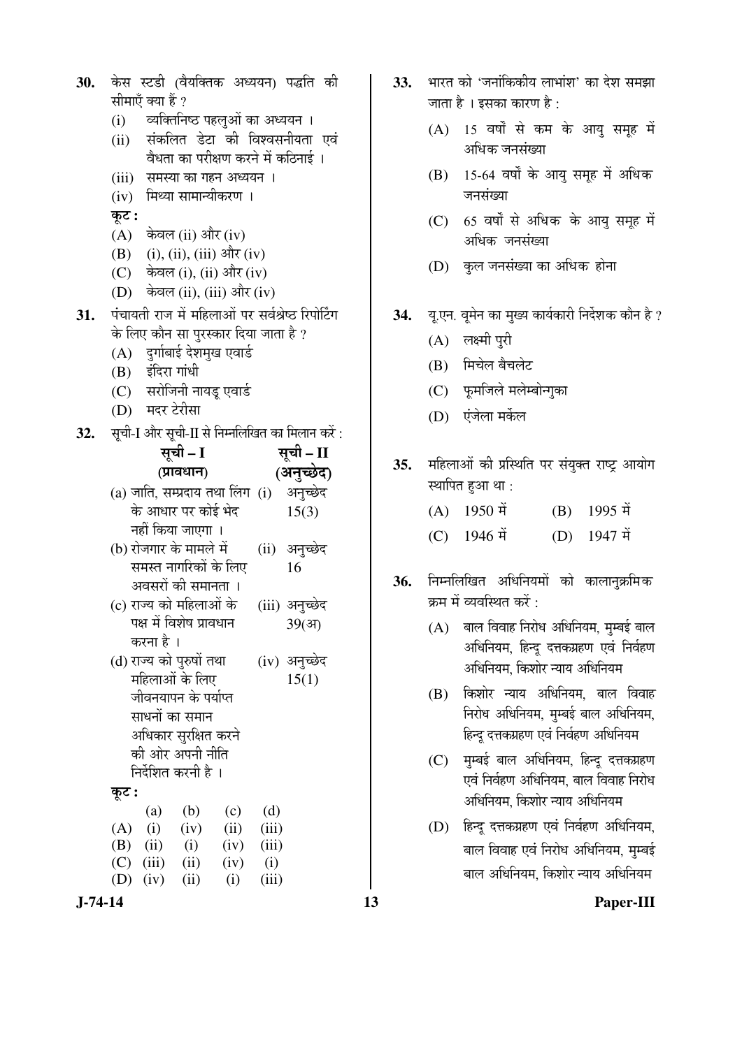| 30.        | केस स्टडी (वैयक्तिक अध्ययन) पद्धति की<br>सीमाएँ क्या हैं ?                                                                                                                                                                                    | 33. | भारत को 'जनांकिकीय लाभांश' का देश समझा<br>जाता है । इसका कारण है :                                                                                                                             |
|------------|-----------------------------------------------------------------------------------------------------------------------------------------------------------------------------------------------------------------------------------------------|-----|------------------------------------------------------------------------------------------------------------------------------------------------------------------------------------------------|
|            | व्यक्तिनिष्ठ पहलुओं का अध्ययन ।<br>(i)<br>संकलित डेटा की विश्वसनीयता एवं<br>(ii)<br>वैधता का परीक्षण करने में कठिनाई ।                                                                                                                        |     | 15 वर्षों से कम के आयु समूह में<br>(A)<br>अधिक जनसंख्या                                                                                                                                        |
|            | (iii) समस्या का गहन अध्ययन ।<br>(iv) मिथ्या सामान्यीकरण ।                                                                                                                                                                                     |     | 15-64 वर्षों के आयु समूह में अधिक<br>(B)<br>जनसंख्या                                                                                                                                           |
|            | कूट :<br>$(A)$ केवल (ii) और (iv)                                                                                                                                                                                                              |     | 65 वर्षों से अधिक के आयु समूह में<br>(C)<br>अधिक जनसंख्या                                                                                                                                      |
|            | (i), (ii), (iii) और (iv)<br>(B)<br>(C) केवल (i), (ii) और (iv)<br>(D) केवल (ii), (iii) और (iv)                                                                                                                                                 |     | (D) कुल जनसंख्या का अधिक होना                                                                                                                                                                  |
| 31.<br>32. | पंचायती राज में महिलाओं पर सर्वश्रेष्ठ रिपोर्टिंग<br>के लिए कौन सा पुरस्कार दिया जाता है ?<br>(A) दुर्गाबाई देशमुख एवार्ड<br>(B) इंदिरा गांधी<br>(C) सरोजिनी नायडू एवार्ड<br>(D) मदर टेरीसा<br>सूची-I और सूची-II से निम्नलिखित का मिलान करें: | 34. | यू.एन. वूमेन का मुख्य कार्यकारी निर्देशक कौन है<br>लक्ष्मी पुरी<br>(A)<br>मिचेल बैचलेट<br>(B)<br>फूमजिले मलेम्बोन्गुका<br>(C)<br>एंजेला मर्केल<br>(D)                                          |
|            | सूची – II<br>सूची – I<br>(अनुच्छेद)<br>(प्रावधान)<br>(a) जाति, सम्प्रदाय तथा लिंग (i) अनुच्छेद<br>के आधार पर कोई भेद<br>15(3)                                                                                                                 | 35. | महिलाओं की प्रस्थिति पर संयुक्त राष्ट्र आयोग<br>स्थापित हुआ था :<br>1950 में<br>1995 में<br>(B)<br>(A)                                                                                         |
|            | नहीं किया जाएगा ।<br>(b) रोजगार के मामले में<br>(ii) अनुच्छेद<br>समस्त नागरिकों के लिए<br>16<br>अवसरों की समानता ।<br>(c) राज्य को महिलाओं के<br>(iii) अनुच्छेद<br>पक्ष में विशेष प्रावधान<br>39(3)                                           | 36. | (C) 1946 में<br>$(D)$ 1947 में<br>निम्नलिखित अधिनियमों को कालानुक्रमिक<br>क्रम में व्यवस्थित करें :<br>(A) बाल विवाह निरोध अधिनियम, मुम्बई बाल                                                 |
|            | करना है ।<br>(d) राज्य को पुरुषों तथा<br>(iv) अनुच्छेद<br>महिलाओं के लिए<br>15(1)<br>जीवनयापन के पर्याप्त<br>साधनों का समान<br>अधिकार सुरक्षित करने                                                                                           |     | अधिनियम, हिन्दू दत्तकग्रहण एवं निर्वहण<br>अधिनियम, किशोर न्याय अधिनियम<br>किशोर न्याय अधिनियम, बाल विवाह<br>(B)<br>निरोध अधिनियम, मुम्बई बाल अधिनियम,<br>हिन्दू दत्तकग्रहण एवं निर्वहण अधिनियम |
|            | की ओर अपनी नीति<br>निर्देशित करनी है ।<br>कूट :                                                                                                                                                                                               |     | मुम्बई बाल अधिनियम, हिन्दू दत्तकग्रहण<br>(C)<br>एवं निर्वहण अधिनियम, बाल विवाह निरोध<br>अधिनियम, किशोर न्याय अधिनियम                                                                           |
|            | (d)<br>(b)<br>(c)<br>(a)<br>(A)<br>(i)<br>(iv)<br>(ii)<br>(iii)<br>(B)<br>(i)<br>(ii)<br>(iv)<br>(iii)<br>(C)<br>(iii)<br>(ii)<br>(i)<br>(iv)                                                                                                 |     | हिन्दू दत्तकग्रहण एवं निर्वहण अधिनियम,<br>(D)<br>बाल विवाह एवं निरोध अधिनियम, मुम्बई<br>बाल अधिनियम, किशोर न्याय अधिनियम                                                                       |
| $J-74-14$  | (D)<br>(i)<br>(iii)<br>(iv)<br>(ii)                                                                                                                                                                                                           | 13  | Paper-III                                                                                                                                                                                      |

- 33. भारत को 'जनांकिकीय लाभांश' का देश समझा जाता है । इसका कारण है :
	- $(A)$  15 वर्षों से कम के आयु समूह में अधिक जनसंख्या
	- $(B)$  15-64 वर्षों के आयु समूह में अधिक जनसंख्या
	- $(C)$  65 वर्षों से अधिक के आयु समूह में अधिक जनसंख्या
	- (D) कल जनसंख्या का अधिक होना
- 34. यू.एन. वूमेन का मुख्य कार्यकारी निर्देशक कौन है ?
	- $(A)$  लक्ष्मी पुरी
	- $(B)$  मिचेल बैचलेट
	- (C) फुमजिले मलेम्बोन्गुका
	- (D) एंजेला मर्केल
- 35. महिलाओं की प्रस्थिति पर संयुक्त राष्ट्र आयोग स्थापित हुआ था :

| $(A)$ 1950 में | $(B)$ 1995 में |
|----------------|----------------|
|                |                |

- (C)  $1946 \text{ H}$  (D)  $1947 \text{ H}$
- 36. निम्नलिखित अधिनियमों को कालानुक्रमिक क्रम में व्यवस्थित करें :
	- $(A)$  बाल विवाह निरोध अधिनियम, मुम्बई बाल अधिनियम, हिन्दू दत्तकग्रहण एवं निर्वहण अधिनियम, किशोर न्याय अधिनियम
	- $(B)$  किशोर न्याय अधिनियम, बाल विवाह <u>निरोध अधिनियम, मुम्बई बाल अधिनियम,</u> हिन्दू दत्तकग्रहण एवं निर्वहण अधिनियम
	- $(C)$  मुम्बई बाल अधिनियम, हिन्दू दत्तकग्रहण एवं निर्वहण अधिनियम, बाल विवाह निरोध अधिनियम, किशोर न्याय अधिनियम
	- (D) हिन्दु दत्तकग्रहण एवं निर्वहण अधिनियम, बाल विवाह एवं निरोध अधिनियम, मम्बई बाल अधिनियम, किशोर न्याय अधिनियम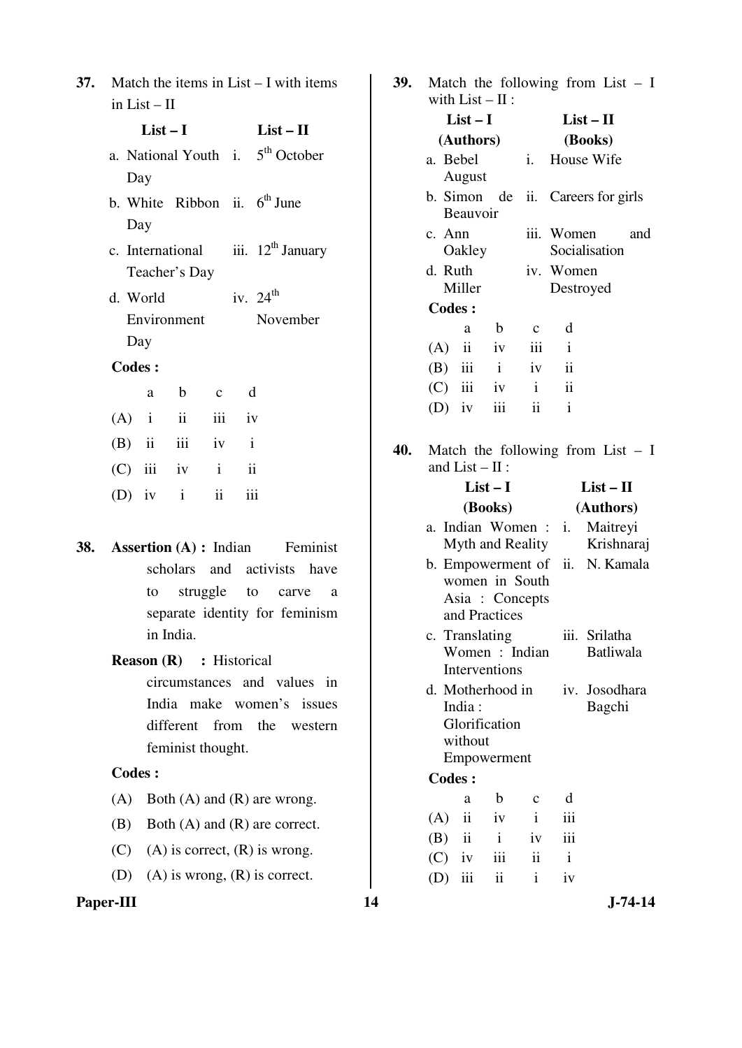| 37. Match the items in List $-$ I with items |
|----------------------------------------------|
| in List $-$ II                               |

| $List-I$          |          |     | $List - II$                                  |
|-------------------|----------|-----|----------------------------------------------|
|                   |          |     | a. National Youth i. 5 <sup>th</sup> October |
| Day               |          |     |                                              |
|                   |          |     | b. White Ribbon ii. $6th$ June               |
| Day               |          |     |                                              |
|                   |          |     | c. International iii. $12^{th}$ January      |
| Teacher's Day     |          |     |                                              |
| d. World          |          |     | iv. $24^{\text{th}}$                         |
| Environment       |          |     | November                                     |
| Day               |          |     |                                              |
| <b>Codes:</b>     |          |     |                                              |
| a b               | $c \, d$ |     |                                              |
| $(A)$ i ii iii iv |          |     |                                              |
| $(B)$ ii iii iv i |          |     |                                              |
| $(C)$ iii iv i ii |          |     |                                              |
| (D) iv $i$ ii     |          | iii |                                              |
|                   |          |     |                                              |
|                   |          |     |                                              |

# **Reason (R)** : Historical circumstances and values in India make women's issues different from the western feminist thought.

# **Codes :**

- (A) Both  $(A)$  and  $(R)$  are wrong.
- (B) Both (A) and (R) are correct.
- (C) (A) is correct,  $(R)$  is wrong.
- (D) (A) is wrong, (R) is correct.

**39.** Match the following from List – I with  $List - II$ :

| $W \sim 100 - 11$ .   |              |              |                                   |     |
|-----------------------|--------------|--------------|-----------------------------------|-----|
| $List-I$              |              |              | $List-II$                         |     |
| (Authors)             |              |              | (Books)                           |     |
| a. Bebel<br>August    |              | $i$ .        | House Wife                        |     |
| <b>Beauvoir</b>       |              |              | b. Simon de ii. Careers for girls |     |
| c. Ann<br>Oakley      |              |              | iii. Women<br>Socialisation       | and |
| d. Ruth<br>Miller     |              |              | iv. Women<br>Destroyed            |     |
| <b>Codes:</b>         |              |              |                                   |     |
| a                     | b            | $\mathbf c$  | d                                 |     |
| $\ddot{\rm n}$<br>(A) | iv           | iii          | $\mathbf{i}$                      |     |
| $\rm iii$<br>(B)      | $\mathbf{i}$ | iv           | $\mathbf{ii}$                     |     |
| $(C)$ iii             | iv           | $\mathbf{i}$ | ii                                |     |
| iv<br>(D)             | iii          | ii           | $\mathbf{i}$                      |     |

**40.** Match the following from List – I and  $List - II$  :

| $(D)$ iv  |                                                                                                                | $List-I$ |               |                                                    |                                                  | $List - II$                                                |              |                                   |
|-----------|----------------------------------------------------------------------------------------------------------------|----------|---------------|----------------------------------------------------|--------------------------------------------------|------------------------------------------------------------|--------------|-----------------------------------|
|           | $\mathbf{ii}$<br>$\mathbf{i}$<br>111                                                                           |          |               |                                                    | (Books)                                          |                                                            |              | (Authors)                         |
| 38.       | <b>Assertion</b> $(A)$ : Indian<br>Feminist                                                                    |          |               |                                                    |                                                  | a. Indian Women: i.<br>Myth and Reality                    |              | Maitreyi<br>Krishnaraj            |
|           | scholars and activists have<br>struggle<br>to<br>carve<br>to<br>a<br>separate identity for feminism            |          |               |                                                    | and Practices                                    | b. Empowerment of ii.<br>women in South<br>Asia : Concepts |              | N. Kamala                         |
|           | in India.<br><b>Reason (R)</b> : Historical                                                                    |          |               |                                                    | c. Translating<br>Interventions                  | Women : Indian                                             |              | iii. Srilatha<br><b>Batliwala</b> |
|           | circumstances and values in<br>India make women's issues<br>different from the<br>western<br>feminist thought. |          |               | India:<br>without                                  | d. Motherhood in<br>Glorification<br>Empowerment |                                                            |              | iv. Josodhara<br>Bagchi           |
|           | <b>Codes:</b>                                                                                                  |          | <b>Codes:</b> |                                                    |                                                  |                                                            |              |                                   |
| (A)       | Both $(A)$ and $(R)$ are wrong.                                                                                |          |               | a                                                  | b                                                | $\mathbf{C}$                                               | d            |                                   |
| (B)       | Both $(A)$ and $(R)$ are correct.                                                                              |          | (A)<br>(B)    | $\overline{\mathbf{u}}$<br>$\overline{\mathbf{u}}$ | iv<br>$\mathbf{i}$                               | $\mathbf{i}$<br>iv                                         | iii<br>iii   |                                   |
| (C)       | $(A)$ is correct, $(R)$ is wrong.                                                                              |          | (C)           | iv                                                 | iii                                              | ii                                                         | $\mathbf{i}$ |                                   |
| (D)       | $(A)$ is wrong, $(R)$ is correct.                                                                              |          | (D)           | iii                                                | ii                                               | $\mathbf{i}$                                               | iv           |                                   |
| Paper-III |                                                                                                                | 14       |               |                                                    |                                                  |                                                            |              | $J-74-14$                         |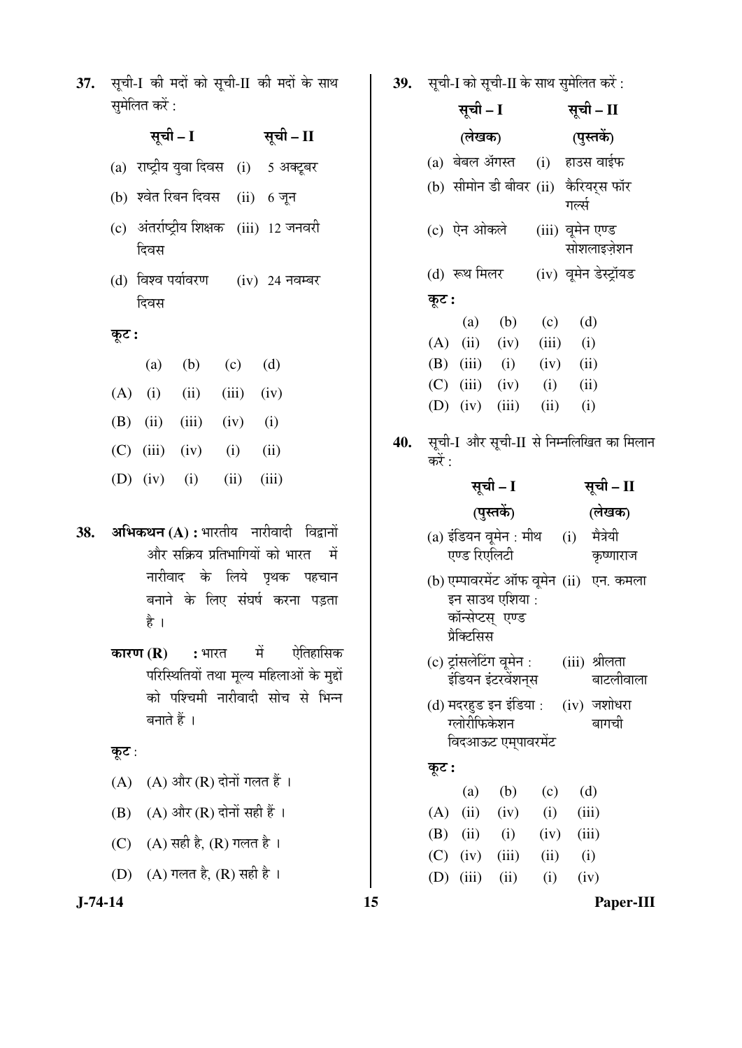37. सूची-I की मदों को सूची-II की मदों के साथ समेलित करें :

> सूची – I सूची – II  $(a)$  राष्ट्रीय युवा दिवस  $(i)$  5 अक्टूबर (b) श्वेत रिबन दिवस (ii) 6 जून (c) अंतर्राष्ट्रीय शिक्षक (iii) 12 जनवरी दिवस (d) विश्व पर्यावरण दिवस  $(iv)$  24 नवम्बर  $\overline{\phi}$ : (a) (b) (c) (d) (A) (i) (iii) (iii) (iv) (B) (ii) (iii) (iv) (i)  $(C)$  (iii) (iv) (i) (ii)

- (D) (iv) (i) (ii) (iii)
- **38. अभिकथन (A) :** भारतीय नारीवादी विद्वानों <u>और सक्रिय प्रतिभागियों को भारत यों</u> नारीवाद के लिये पृथक पहचान बनाने के लिए संघर्ष करना पड़ता है $\overrightarrow{z}$ 
	- **कारण (R) :** भारत में ऐतिहासिक परिस्थितियों तथा मुल्य महिलाओं के मुद्दों को पश्चिमी नारीवादी सोच से भिन्न बनाते हैं ।

### कूट :

- $(A)$   $(A)$  और  $(R)$  दोनों गलत हैं।
- $(B)$   $(A)$  और  $(R)$  दोनों सही हैं ।
- (C) (A) सही है, (R) गलत है।
- (D) (A) गलत है, (R) सही है ।

39. सृची-I को सृची-II के साथ सुमेलित करें :

- सूची I (लेखक) सूची – II (पुस्तकें)  $(a)$  बेबल ॲगस्त  $(i)$  हाउस वाईफ (b) सीमोन डी बीवर (ii) कैरियरस फॉर गर्ल्स (c) ऐन ओकले (iii) वूमेन एण्ड सोशलाइजेशन (d) रूथ मिलर (iv) वूमेन डेस्ट्रॉयड Ûæú™ü **:**  (a) (b) (c) (d)  $(A)$  (ii) (iv) (iii) (i) (B) (iii) (i) (iv) (ii)  $(C)$  (iii) (iv) (i) (ii) (D) (iv) (iii) (ii) (i)
- 40. सूची-I और सूची-II से निम्नलिखित का मिलान करें  $\cdot$

|       | सूची – I                                           |            | सूची – II      |              |                                             |  |
|-------|----------------------------------------------------|------------|----------------|--------------|---------------------------------------------|--|
|       |                                                    | (पुस्तकें) |                |              | (लेखक)                                      |  |
|       | (a) इंडियन वूमेन : मीथ<br>एण्ड रिएलिटी             |            |                | (i)          | मैत्रेयी<br>कृष्णाराज                       |  |
|       | इन साउथ एशिया :<br>कॉन्सेप्टस् एण्ड<br>प्रैक्टिसिस |            |                |              | (b) एम्पावरमेंट ऑफ वूमेन (ii) एन. कमला      |  |
|       | (c) ट्रांसलेटिंग वूमेन :<br>इंडियन इंटरवेंशनुस     |            |                |              | (iii) श्रीलता<br>बाटलीवाला                  |  |
|       | ग्लोरीफिकेशन<br>विदआऊट एम्पावरमेंट                 |            |                |              | (d) मदरहुड इन इंडिया : (iv) जशोधरा<br>बागची |  |
| कूट : |                                                    |            |                |              |                                             |  |
|       | (a)                                                | (b)        | (c)            | (d)          |                                             |  |
|       | $(A)$ (ii) (iv)                                    |            | (i)            | (iii)        |                                             |  |
|       | $(B)$ (ii) (i)                                     |            | $(iv)$ $(iii)$ |              |                                             |  |
|       | $(C)$ (iv) (iii)                                   |            |                | $(ii)$ $(i)$ |                                             |  |
|       | $(D)$ (iii)                                        | (ii)       | (i)            | (iv)         |                                             |  |

**J-74-14 15 Paper-III**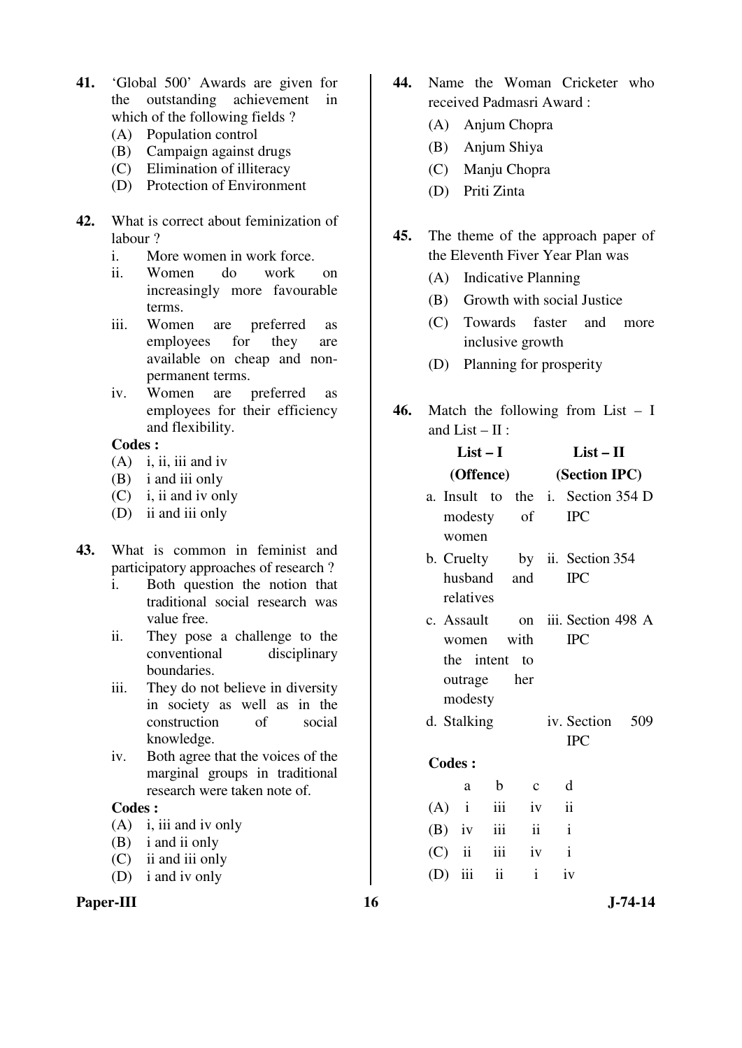- **41.** 'Global 500' Awards are given for the outstanding achievement in which of the following fields ?
	- (A) Population control
	- (B) Campaign against drugs
	- (C) Elimination of illiteracy
	- (D) Protection of Environment
- **42.** What is correct about feminization of labour ?
	- i. More women in work force.
	- ii. Women do work on increasingly more favourable terms.
	- iii. Women are preferred as employees for they are available on cheap and nonpermanent terms.
	- iv. Women are preferred as employees for their efficiency and flexibility.

- $(A)$  i, ii, iii and iv
- (B) i and iii only
- (C) i, ii and iv only
- (D) ii and iii only
- **43.** What is common in feminist and participatory approaches of research ?
	- i. Both question the notion that traditional social research was value free.
	- ii. They pose a challenge to the conventional disciplinary boundaries.
	- iii. They do not believe in diversity in society as well as in the construction of social knowledge.
	- iv. Both agree that the voices of the marginal groups in traditional research were taken note of.

#### **Codes :**

- (A) i, iii and iv only
- (B) i and ii only
- (C) ii and iii only
- (D) i and iv only

#### Paper-III 16 J-74-14

- **44.** Name the Woman Cricketer who received Padmasri Award :
	- (A) Anjum Chopra
	- (B) Anjum Shiya
	- (C) Manju Chopra
	- (D) Priti Zinta
- **45.** The theme of the approach paper of the Eleventh Fiver Year Plan was
	- (A) Indicative Planning
	- (B) Growth with social Justice
	- (C) Towards faster and more inclusive growth
	- (D) Planning for prosperity
- **46.** Match the following from List I and List –  $\Pi$  :

|               | $List-I$      |                   | $List - II$             |                                           |  |  |
|---------------|---------------|-------------------|-------------------------|-------------------------------------------|--|--|
|               |               |                   | (Offence) (Section IPC) |                                           |  |  |
|               |               |                   |                         | a. Insult to the <i>i</i> . Section 354 D |  |  |
|               |               | modesty of IPC    |                         |                                           |  |  |
| women         |               |                   |                         |                                           |  |  |
|               |               |                   |                         | b. Cruelty by ii. Section 354             |  |  |
|               |               | husband and       |                         | $\Gamma$                                  |  |  |
|               | relatives     |                   |                         |                                           |  |  |
|               |               |                   |                         | c. Assault on iii. Section 498 A          |  |  |
|               |               | women with        |                         | $\text{IPC}$                              |  |  |
|               | the intent to |                   |                         |                                           |  |  |
|               | outrage her   |                   |                         |                                           |  |  |
|               | modesty       |                   |                         |                                           |  |  |
| d. Stalking   |               |                   |                         | iv. Section 509                           |  |  |
|               |               |                   |                         | <b>IPC</b>                                |  |  |
| <b>Codes:</b> |               |                   |                         |                                           |  |  |
|               | a             | b c               | $\mathbf d$             |                                           |  |  |
|               |               | $(A)$ i iii iv ii |                         |                                           |  |  |
| $(B)$ iv iii  |               |                   | ii i                    |                                           |  |  |

 $(C)$  ii iii iv i  $(D)$  iii ii iv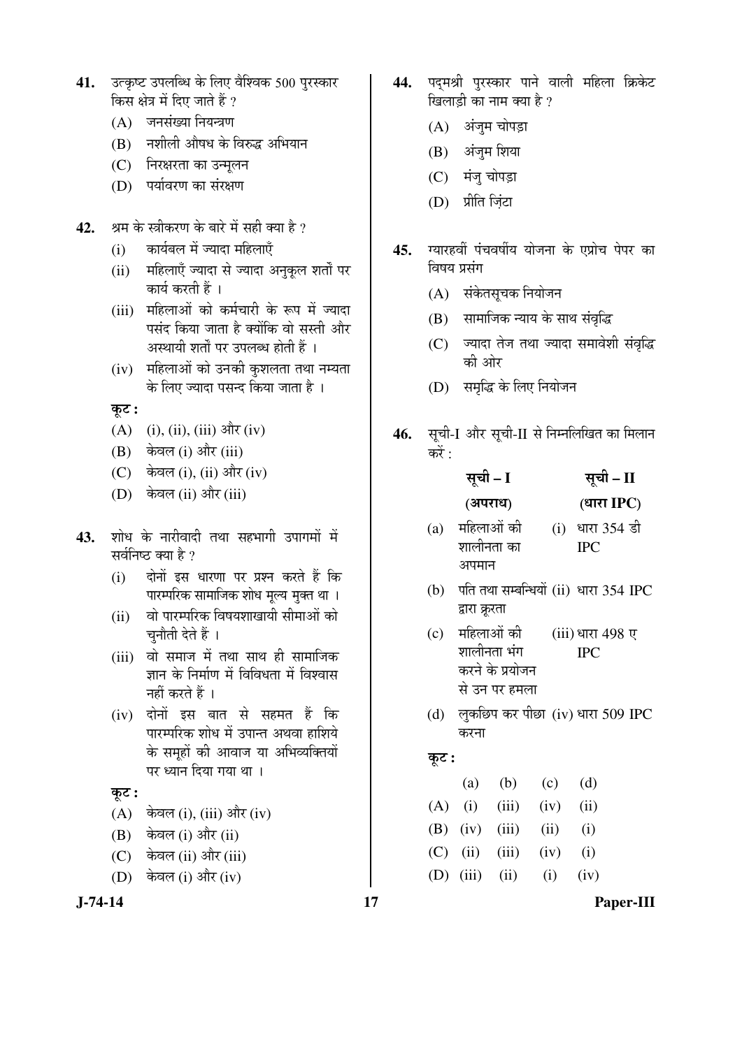- 41. उत्कृष्ट उपलब्धि के लिए वैश्विक 500 पुरस्कार किस क्षेत्र में दिए जाते हैं ?
	- $(A)$  जनसंख्या नियन्त्रण
	- (B) नशीली औषध के विरुद्ध अभियान
	- (C) निरक्षरता का उन्मुलन
	- (D) पर्यावरण का संरक्षण
- 42. ÞAH के स्त्रीकरण के बारे में सही क्या है ?
	- (i) कार्यबल में ज्यादा महिलाएँ
	- (ii) महिलाएँ ज्यादा से ज्यादा अनुकूल शर्तों पर कार्य करती हैं ।
	- (iii) महिलाओं को कर्मचारी के रूप में ज्यादा पसंद किया जाता है क्योंकि वो सस्ती और अस्थायी शर्तों पर उपलब्ध होती हैं ।
	- (iv) महिलाओं को उनकी कशलता तथा नम्यता के लिए ज्यादा पसन्द किया जाता है ।

 $\overline{\phi}$ :

- (A) (i), (ii), (iii)  $\frac{d}{dx}$  (iv)
- (B) केवल (i) और (iii)
- $(C)$  केवल (i), (ii) और (iv)
- (D) केवल (ii) और (iii)
- 43. शोध के नारीवादी तथा सहभागी उपागमों में सर्वनिष्ठ क्या है ?
	- (i) दोनों इस धारणा पर प्रश्न करते हैं कि पारम्परिक सामाजिक शोध मूल्य मुक्त था ।
	- (ii) वो पारम्परिक विषयशाखायी सीमाओं को चुनौती देते हैं ।
	- (iii) वो समाज में तथा साथ ही सामाजिक ज्ञान के निर्माण में विविधता में विश्वास नहीं करते हैं ।
	- (iv) दोनों इस बात से सहमत हैं कि पारम्परिक शोध में उपान्त अथवा हाशिये के समूहों की आवाज या अभिव्यक्तियों पर ध्यान दिया गया था ।

#### $\overline{\phi}$ :

- $(A)$  केवल (i), (iii) और (iv)
- (B) केवल (i) और (ii)
- (C) केवल (ii) और (iii)
- (D) केवल (i) और (iv)
- 44. पदमश्री पुरस्कार पाने वाली महिला क्रिकेट खिलाड़ी का नाम क्या है ?
	- (A) अंजुम चोपड़ा
	- $(B)$  अंजुम शिया
	- (C) मंजु चोपड़ा
	- (D) प्रीति ज़िंटा
- 45. म्यारहवीं पंचवर्षीय योजना के एप्रोच पेपर का विषय प्रसंग
	- (A) संकेतसूचक नियोजन
	- (B) सामाजिक न्याय के साथ संवृद्धि
	- (C) ज्यादा तेज तथा ज्यादा समावेशी संवृद्धि की ओर
	- (D) समृद्धि के लिए नियोजन
- 46. सूची-I और सूची-II से निम्नलिखित का मिलान करें :

|     | सूची – I                              |     | सूची – II   |
|-----|---------------------------------------|-----|-------------|
|     | (अपराध)                               |     | (धारा IPC)  |
| (a) | महिलाओं की                            | (i) | धारा 354 डी |
|     | शालीनता का                            |     | <b>IPC</b>  |
|     | अपमान                                 |     |             |
| (b) | पति तथा सम्बन्धियों (ii) धारा 354 IPC |     |             |
|     | द्वारा क्रूरता                        |     |             |

- (c) महिलाओं की शालीनता भंग करने के प्रयोजन से उन पर हमला (iii) धारा 498 ए IPC
- (d) लुकछिप कर पीछा (iv) धारा 509 IPC करना

# Ûæú™ü **:**

|  | (a) (b) (c) (d)           |  |
|--|---------------------------|--|
|  | $(A)$ (i) (iii) (iv) (ii) |  |
|  | (B) (iv) (iii) (ii) (i)   |  |
|  | (C) (ii) (iii) (iv) (i)   |  |
|  | (D) (iii) (ii) (i) (iv)   |  |

**J-74-14 17 Paper-III**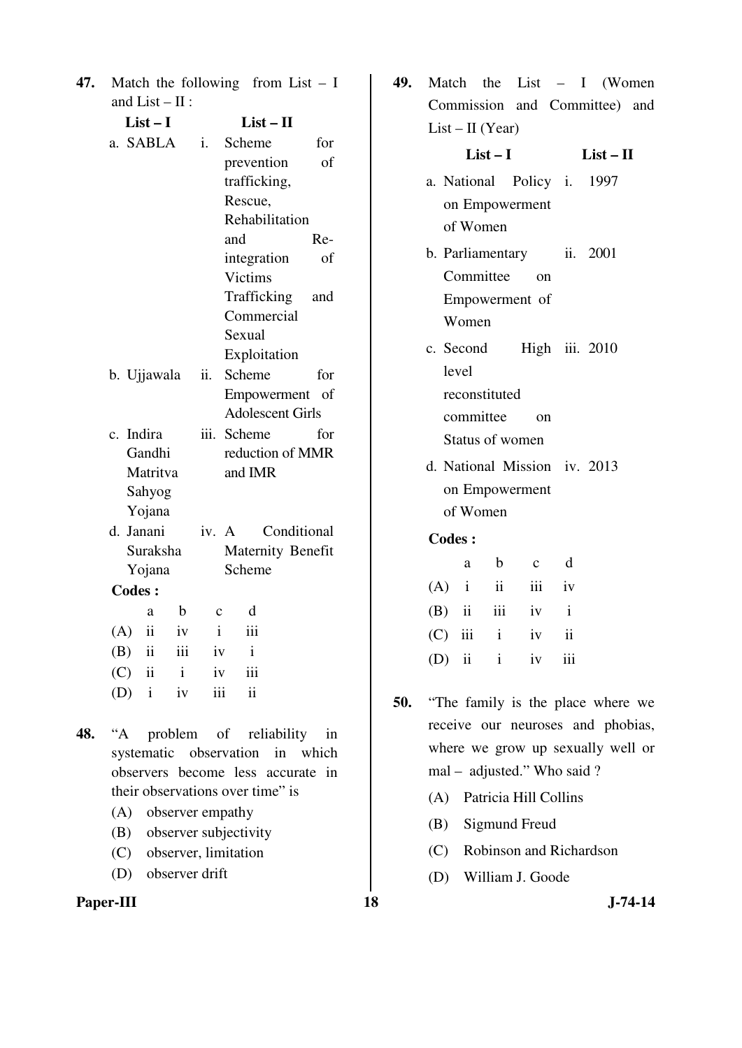| 47. Match the following from List $- I$ |  |
|-----------------------------------------|--|
| and $List - II$ :                       |  |

| $List-I$                       |              |             |                  | $List - II$             |                   |  |
|--------------------------------|--------------|-------------|------------------|-------------------------|-------------------|--|
| a. SABLA                       |              | i.          |                  | Scheme                  | for               |  |
|                                |              |             |                  | prevention              | οf                |  |
|                                |              |             |                  | trafficking,            |                   |  |
|                                |              |             |                  | Rescue,                 |                   |  |
|                                |              |             |                  | Rehabilitation          |                   |  |
|                                |              |             | and              |                         | Re-               |  |
|                                |              |             |                  | integration             | οf                |  |
|                                |              |             |                  | Victims                 |                   |  |
|                                |              |             |                  | Trafficking             | and               |  |
|                                |              |             |                  | Commercial              |                   |  |
|                                |              |             | Sexual           |                         |                   |  |
|                                |              |             |                  | Exploitation            |                   |  |
| b. Ujjawala                    |              | ii.         |                  | Scheme                  | for               |  |
|                                |              |             |                  | Empowerment             | - of              |  |
|                                |              |             |                  | <b>Adolescent Girls</b> |                   |  |
| Indira<br>$\mathbf{c}$ .       |              |             | iii. Scheme      |                         | for               |  |
| Gandhi                         |              |             | reduction of MMR |                         |                   |  |
| Matritva                       |              |             |                  | and IMR                 |                   |  |
| Sahyog                         |              |             |                  |                         |                   |  |
| Yojana                         |              |             |                  |                         |                   |  |
| d. Janani                      |              | iv. A       |                  |                         | Conditional       |  |
| Suraksha                       |              |             |                  |                         | Maternity Benefit |  |
|                                | Yojana       |             |                  | Scheme                  |                   |  |
| <b>Codes:</b>                  |              |             |                  |                         |                   |  |
| a                              | b            | $\mathbf c$ |                  | d                       |                   |  |
| (A)<br>$\mathbf{ii}$           | iv           | i           |                  | iii                     |                   |  |
| (B)<br>$\overline{\mathbf{1}}$ | iii          | iv          |                  | i                       |                   |  |
| $(C)$ ii                       | $\mathbf{i}$ | iv          |                  | iii                     |                   |  |
| $(D)$ i                        | iv           | iii         |                  | ii                      |                   |  |

- **48.** "A problem of reliability in systematic observation in which observers become less accurate in their observations over time" is
	- (A) observer empathy
	- (B) observer subjectivity
	- (C) observer, limitation
	- (D) observer drift



**49.** Match the List – I (Women Commission and Committee) and  $List - II (Year)$ 

|               | $List-I$                     | $List - II$ |                |                                      |  |  |  |  |
|---------------|------------------------------|-------------|----------------|--------------------------------------|--|--|--|--|
|               | a. National Policy i. 1997   |             |                |                                      |  |  |  |  |
|               | on Empowerment               |             |                |                                      |  |  |  |  |
|               | of Women                     |             |                |                                      |  |  |  |  |
|               | b. Parliamentary ii. 2001    |             |                |                                      |  |  |  |  |
|               | Committee                    |             | $\alpha$       |                                      |  |  |  |  |
|               | Empowerment of               |             |                |                                      |  |  |  |  |
|               | Women                        |             |                |                                      |  |  |  |  |
|               | c. Second High iii. 2010     |             |                |                                      |  |  |  |  |
|               | level                        |             |                |                                      |  |  |  |  |
|               | reconstituted                |             |                |                                      |  |  |  |  |
|               | committee                    |             | $^{0n}$        |                                      |  |  |  |  |
|               | Status of women              |             |                |                                      |  |  |  |  |
|               | d. National Mission iv. 2013 |             |                |                                      |  |  |  |  |
|               | on Empowerment               |             |                |                                      |  |  |  |  |
|               | of Women                     |             |                |                                      |  |  |  |  |
| <b>Codes:</b> |                              |             |                |                                      |  |  |  |  |
|               | b<br>a                       |             | $\overline{c}$ | d                                    |  |  |  |  |
|               | $(\Lambda)$ :                |             |                | $\mathbf{1}_{\mathbf{v} \mathbf{v}}$ |  |  |  |  |

|  | $(A)$ i ii iii iv |  |
|--|-------------------|--|
|  | $(B)$ ii iii iv i |  |
|  | $(C)$ iii i iv ii |  |
|  | $(D)$ ii i iv iii |  |

- **50.** "The family is the place where we receive our neuroses and phobias, where we grow up sexually well or mal – adjusted." Who said ?
	- (A) Patricia Hill Collins
	- (B) Sigmund Freud
	- (C) Robinson and Richardson
	- (D) William J. Goode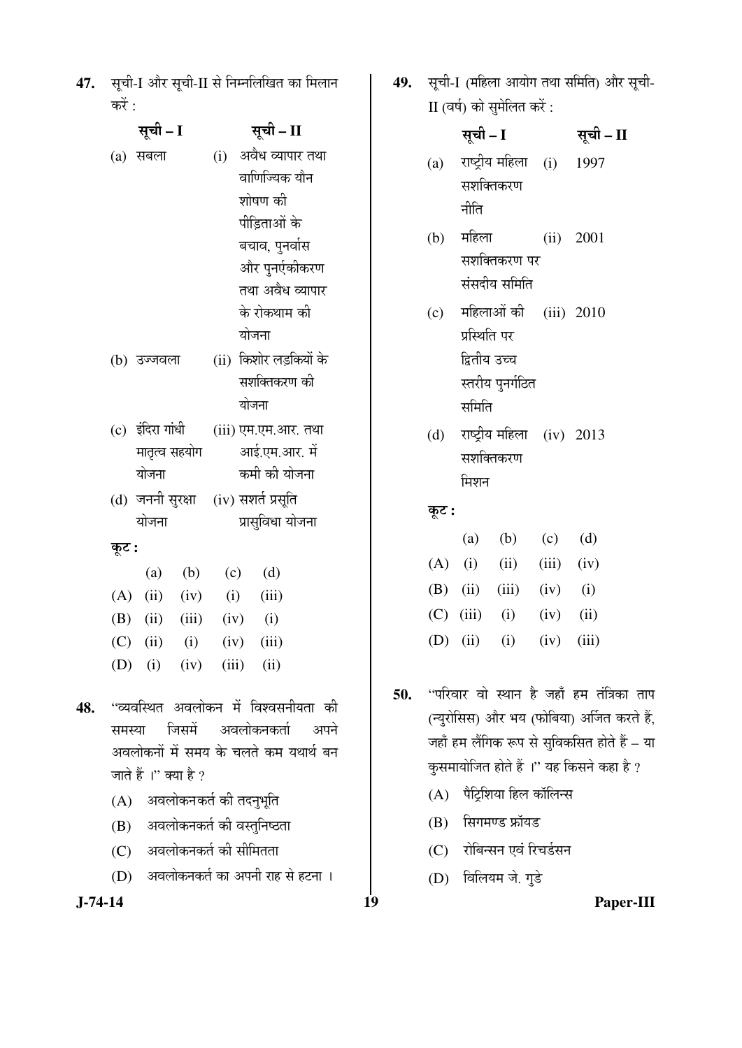47. सूची-I और सूची-II से निम्नलिखित का मिलान करें $\cdot$ 

|     |       | सूची – I                              |             | सूची – II |                |                        |  |  |
|-----|-------|---------------------------------------|-------------|-----------|----------------|------------------------|--|--|
|     |       | (a) सबला                              |             | (i)       |                | अवैध व्यापार तथा       |  |  |
|     |       |                                       |             |           |                | वाणिज्यिक यौन          |  |  |
|     |       |                                       |             |           |                | शोषण की                |  |  |
|     |       |                                       |             |           |                | पीड़िताओं के           |  |  |
|     |       |                                       |             |           |                | बचाव, पुनर्वास         |  |  |
|     |       |                                       |             |           |                | और पुनर्एकीकरण         |  |  |
|     |       |                                       |             |           |                | तथा अवैध व्यापार       |  |  |
|     |       |                                       |             |           |                | के रोकथाम की           |  |  |
|     |       |                                       |             |           | योजना          |                        |  |  |
|     |       | (b) उज्जवला                           |             |           |                | (ii) किशोर लड़कियों के |  |  |
|     |       |                                       |             |           | सशक्तिकरण की   |                        |  |  |
|     |       |                                       |             |           | योजना          |                        |  |  |
|     |       | (c) इंदिरा गांधी                      |             |           |                | (iii) एम.एम.आर. तथा    |  |  |
|     |       | मातृत्व सहयोग                         |             |           |                | आई.एम.आर. में          |  |  |
|     |       | योजना                                 |             |           |                | कमी की योजना           |  |  |
|     |       | (d) जननी सुरक्षा (iv) सशर्त प्रसूति   |             |           |                |                        |  |  |
|     |       | योजना                                 |             |           |                | प्रासुविधा योजना       |  |  |
|     | कूट : |                                       |             |           |                |                        |  |  |
|     |       |                                       | $(a)$ $(b)$ |           | $(c)$ (d)      |                        |  |  |
|     |       | $(A)$ (ii) (iv)                       |             |           | $(i)$ $(iii)$  |                        |  |  |
|     |       | (B) (ii) (iii) (iv) (i)               |             |           |                |                        |  |  |
|     |       | $(C)$ (ii) (i) (iv) (iii)             |             |           |                |                        |  |  |
|     |       | (D) (i) (iv)                          |             |           | $(iii)$ $(ii)$ |                        |  |  |
|     |       |                                       |             |           |                |                        |  |  |
| 48. |       | ''व्यवस्थित अवलोकन में विश्वसनीयता की |             |           |                |                        |  |  |
|     |       | समस्या जिसमें अवलोकनकर्ता अपने        |             |           |                |                        |  |  |
|     |       | अवलोकनों में समय के चलते कम यथार्थ बन |             |           |                |                        |  |  |
|     |       | जाते हैं।" क्या है ?                  |             |           |                |                        |  |  |

- $(A)$  अवलोकनकर्त की तदनुभूति
- (B) अवलोकनकर्त की वस्तुनिष्ठता
- (C) अवलोकनकर्त की सीमितता
- (D) अवलोकनकर्त का अपनी राह से हटना ।
- 

49. सूची-I (महिला आयोग तथा समिति) और सूची-II (वर्ष) को सुमेलित करें :

|       | सूची – I     |                               |                | सूची – II |  |
|-------|--------------|-------------------------------|----------------|-----------|--|
|       |              | (a) राष्ट्रीय महिला (i) 1997  |                |           |  |
|       |              | सशक्तिकरण                     |                |           |  |
|       | नीति         |                               |                |           |  |
|       |              | (b) महिला                     |                | (ii) 2001 |  |
|       |              | सशक्तिकरण पर                  |                |           |  |
|       |              | संसदीय समिति                  |                |           |  |
|       |              | (c) महिलाओं की (iii) 2010     |                |           |  |
|       | प्रस्थिति पर |                               |                |           |  |
|       | द्वितीय उच्च |                               |                |           |  |
|       |              | स्तरीय पुनर्गठित              |                |           |  |
|       | समिति        |                               |                |           |  |
|       |              | (d) राष्ट्रीय महिला (iv) 2013 |                |           |  |
|       |              | सशक्तिकरण                     |                |           |  |
|       | मिशन         |                               |                |           |  |
| कूट : |              |                               |                |           |  |
|       |              | (a) (b) (c) (d)               |                |           |  |
|       |              | $(A)$ (i) (ii) (iii) (iv)     |                |           |  |
|       |              | (B) (ii) (iii) (iv) (i)       |                |           |  |
|       |              | $(C)$ (iii) (i) (iv) (ii)     |                |           |  |
|       | (D) (ii) (i) |                               | $(iv)$ $(iii)$ |           |  |

- 50. "परिवार वो स्थान है जहाँ हम तंत्रिका ताप (न्युरोसिस) और भय (फोबिया) अर्जित करते हैं, जहाँ हम लैंगिक रूप से सुविकसित होते हैं – या कुसमायोजित होते हैं ।" यह किसने कहा है ?
	- $(A)$  पैट्रिशिया हिल कॉलिन्स
	- $(B)$  सिगमण्ड फ्रॉयड
	- (C) रोबिन्सन एवं रिचर्डसन
	- (D) विलियम जे. गुडे

**J-74-14 19 Paper-III**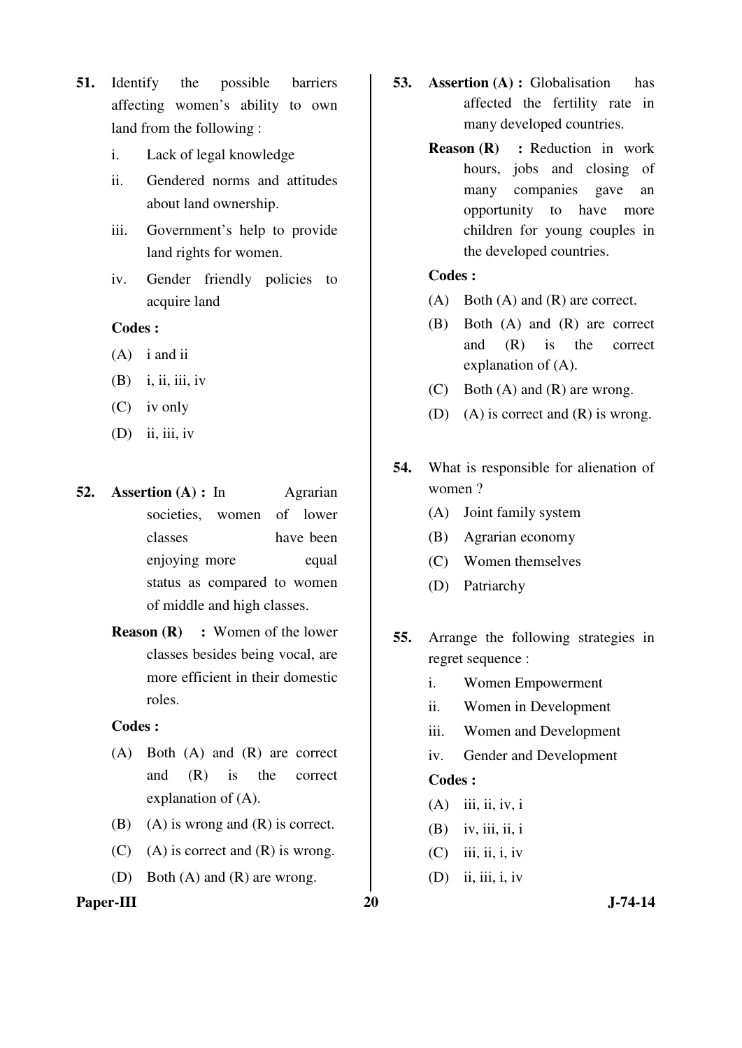- **51.** Identify the possible barriers affecting women's ability to own land from the following :
	- i. Lack of legal knowledge
	- ii. Gendered norms and attitudes about land ownership.
	- iii. Government's help to provide land rights for women.
	- iv. Gender friendly policies to acquire land

- (A) i and ii
- $(B)$  i, ii, iii, iv
- (C) iv only
- $(D)$  ii, iii, iv
- **52. Assertion (A) :** In Agrarian societies, women of lower classes have been enjoying more equal status as compared to women of middle and high classes.
	- **Reason (R) :** Women of the lower classes besides being vocal, are more efficient in their domestic roles.

#### **Codes :**

- (A) Both (A) and (R) are correct and (R) is the correct explanation of (A).
- (B) (A) is wrong and  $(R)$  is correct.
- (C) (A) is correct and  $(R)$  is wrong.
- (D) Both (A) and (R) are wrong.

#### Paper-III 20 J-74-14

- **53. Assertion (A) :** Globalisation has affected the fertility rate in many developed countries.
	- **Reason (R)** : Reduction in work hours, jobs and closing of many companies gave an opportunity to have more children for young couples in the developed countries.

# **Codes :**

- (A) Both (A) and (R) are correct.
- (B) Both (A) and (R) are correct and (R) is the correct explanation of (A).
- (C) Both (A) and (R) are wrong.
- (D) (A) is correct and (R) is wrong.
- **54.** What is responsible for alienation of women ?
	- (A) Joint family system
	- (B) Agrarian economy
	- (C) Women themselves
	- (D) Patriarchy
- **55.** Arrange the following strategies in regret sequence :
	- i. Women Empowerment
	- ii. Women in Development
	- iii. Women and Development
	- iv. Gender and Development

- $(A)$  iii, ii, iv, i
- $(B)$  iv, iii, ii, i
- $(C)$  iii, ii, i, iv
- (D) ii, iii, i, iv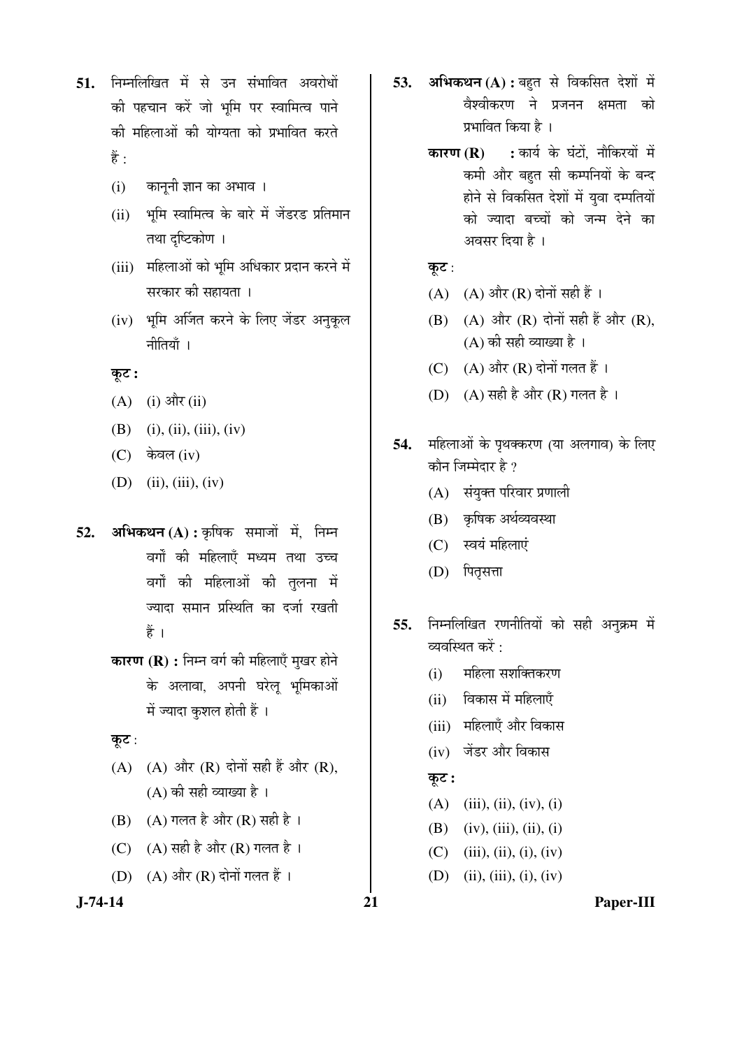- 51. निम्नलिखित में से उन संभावित अवरोधों की पहचान करें जो भूमि पर स्वामित्व पाने की महिलाओं की योग्यता को प्रभावित करते हैं $\cdot$ 
	- (i) कानूनी ज्ञान का अभाव ।
	- (ii) भूमि स्वामित्व के बारे में जेंडरड प्रतिमान तथा दृष्टिकोण ।
	- (iii) महिलाओं को भूमि अधिकार प्रदान करने में सरकार की सहायता ।
	- (iv) भूमि अर्जित करने के लिए जेंडर अनुकूल नीतियाँ ।

# Ûæú™ü **:**

- $(A)$  (i) और (ii)
- (B) (i), (ii), (iii), (iv)
- $(C)$  केवल (iv)
- (D) (ii), (iii), (iv)
- 52. अभिकथन (A) : कृषिक समाजों में, निम्न वर्गों की महिलाएँ मध्यम तथा उच्च वर्गों की महिलाओं की तुलना में ज्यादा समान प्रस्थिति का दर्जा रखती हैं ।
	- **कारण (R) :** निम्न वर्ग की महिलाएँ मुखर होने के अलावा, अपनी घरेलू भूमिकाओं में ज्यादा कुशल होती हैं ।

#### कूट:

- (A) (A) और  $(R)$  दोनों सही हैं और  $(R)$ ,  $(A)$  की सही व्याख्या है।
- (B) (A) गलत है और (R) सही है ।
- (C)  $(A)$  सही है और (R) गलत है।
- $(D)$   $(A)$  और  $(R)$  दोनों गलत हैं।
- 
- **53. अभिकथन (A) :** बहुत से विकसित देशों में वैश्वीकरण ने प्रजनन क्षमता को प्रभावित किया है ।
	- **कारण (R) :** कार्य के घंटों, नौकिरयों में कमी और बहुत सी कम्पनियों के बन्द होने से विकसित देशों में युवा दम्पतियों को ज्यादा बच्चों को जन्म देने का अवसर दिया है ।

# कूट $:$

- (A)  $(A)$  और  $(R)$  दोनों सही हैं।
- $(B)$   $(A)$  और  $(R)$  दोनों सही हैं और  $(R)$ ,  $(A)$  की सही व्याख्या है।
- (C)  $(A)$  और  $(R)$  दोनों गलत हैं।
- (D) (A) सही है और (R) गलत है।
- **54.** महिलाओं के पृथक्करण (या अलगाव) के लिए कौन जिम्मेदार है ?
	- (A) संयुक्त परिवार प्रणाली
	- (B) कृषिक अर्थव्यवस्था
	- (C) स्वयं महिलाएं
	- (D) पितृसत्ता
- 55. निम्नलिखित रणनीतियों को सही अनुक्रम में व्यवस्थित करें  $\cdot$ 
	- (i) महिला सशक्तिकरण
	- (ii) विकास में महिलाएँ
	- (iii) महिलाएँ और विकास
	- $(iv)$  जेंडर और विकास

### कूट :

- $(A)$  (iii), (ii), (iv), (i)
- (B) (iv), (iii), (ii), (i)
- $(C)$  (iii), (ii), (i), (iv)
- (D) (ii), (iii), (i), (iv)

#### **J-74-14 21 Paper-III**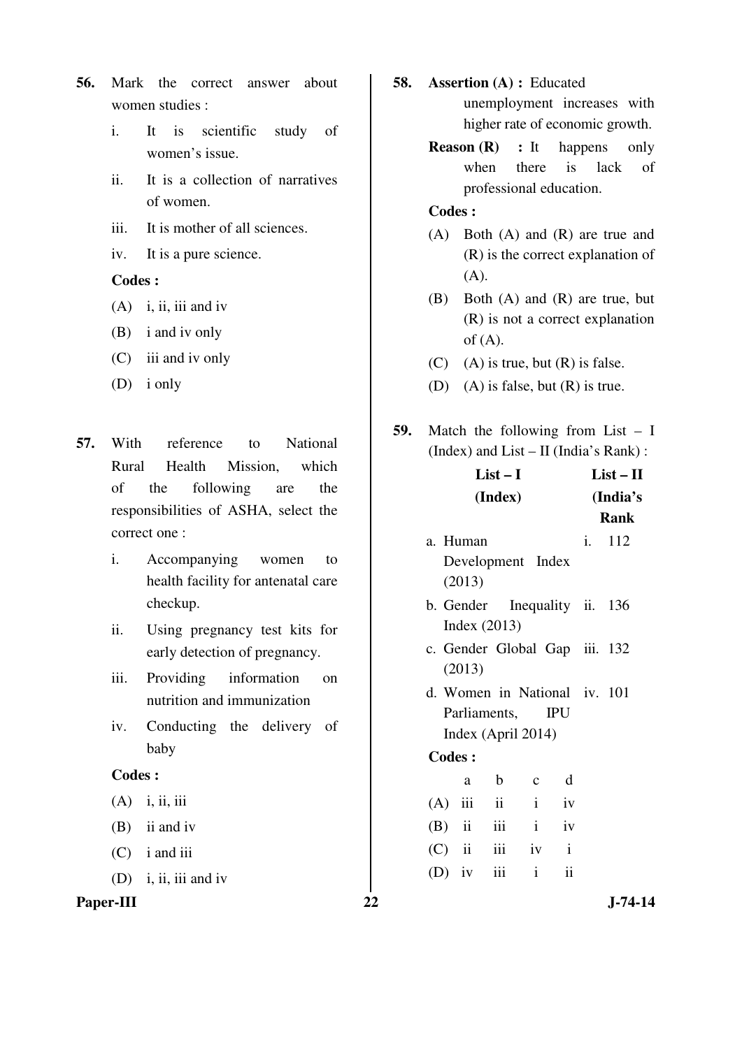- **56.** Mark the correct answer about women studies :
	- i. It is scientific study of women's issue.
	- ii. It is a collection of narratives of women.
	- iii. It is mother of all sciences.
	- iv. It is a pure science.

- (A) i, ii, iii and iv
- (B) i and iv only
- (C) iii and iv only
- (D) i only
- **57.** With reference to National Rural Health Mission, which of the following are the responsibilities of ASHA, select the correct one :
	- i. Accompanying women to health facility for antenatal care checkup.
	- ii. Using pregnancy test kits for early detection of pregnancy.
	- iii. Providing information on nutrition and immunization
	- iv. Conducting the delivery of baby

#### **Codes :**

- $(A)$  i, ii, iii
- (B) ii and iv
- (C) i and iii
- (D) i, ii, iii and iv

# Paper-III 22 J-74-14

- **58. Assertion (A) :** Educated unemployment increases with higher rate of economic growth.
	- **Reason (R)** : It happens only when there is lack of professional education.

- (A) Both (A) and (R) are true and (R) is the correct explanation of (A).
- (B) Both (A) and (R) are true, but (R) is not a correct explanation of  $(A)$ .
- $(C)$  (A) is true, but  $(R)$  is false.
- (D) (A) is false, but  $(R)$  is true.
- **59.** Match the following from List I (Index) and List – II (India's Rank) :

| $List-I$      |          |                |                               | $List-II$    |          |             |
|---------------|----------|----------------|-------------------------------|--------------|----------|-------------|
|               | (Index)  |                |                               |              | (India's |             |
|               |          |                |                               |              |          | <b>Rank</b> |
| a. Human      |          |                |                               |              | i.       | 112         |
|               |          |                | Development Index             |              |          |             |
|               | (2013)   |                |                               |              |          |             |
|               |          |                | b. Gender Inequality ii. 136  |              |          |             |
|               |          | Index $(2013)$ |                               |              |          |             |
|               |          |                | c. Gender Global Gap iii. 132 |              |          |             |
|               | (2013)   |                |                               |              |          |             |
|               |          |                | d. Women in National iv. 101  |              |          |             |
|               |          | Parliaments,   |                               | <b>IPU</b>   |          |             |
|               |          |                | Index (April 2014)            |              |          |             |
| <b>Codes:</b> |          |                |                               |              |          |             |
|               | a        | $\mathbf b$    | $\mathbf{C}$                  | d            |          |             |
|               |          | $(A)$ iii ii   | $\mathbf{i}$                  | iv           |          |             |
|               | $(B)$ ii | <i>iii</i>     | $\mathbf{i}$                  | iv           |          |             |
|               | $(C)$ ii | <i>iii</i>     | iv                            | $\mathbf{i}$ |          |             |
|               | $(D)$ iv | iii            | $\mathbf{i}$                  | ii           |          |             |
|               |          |                |                               |              |          |             |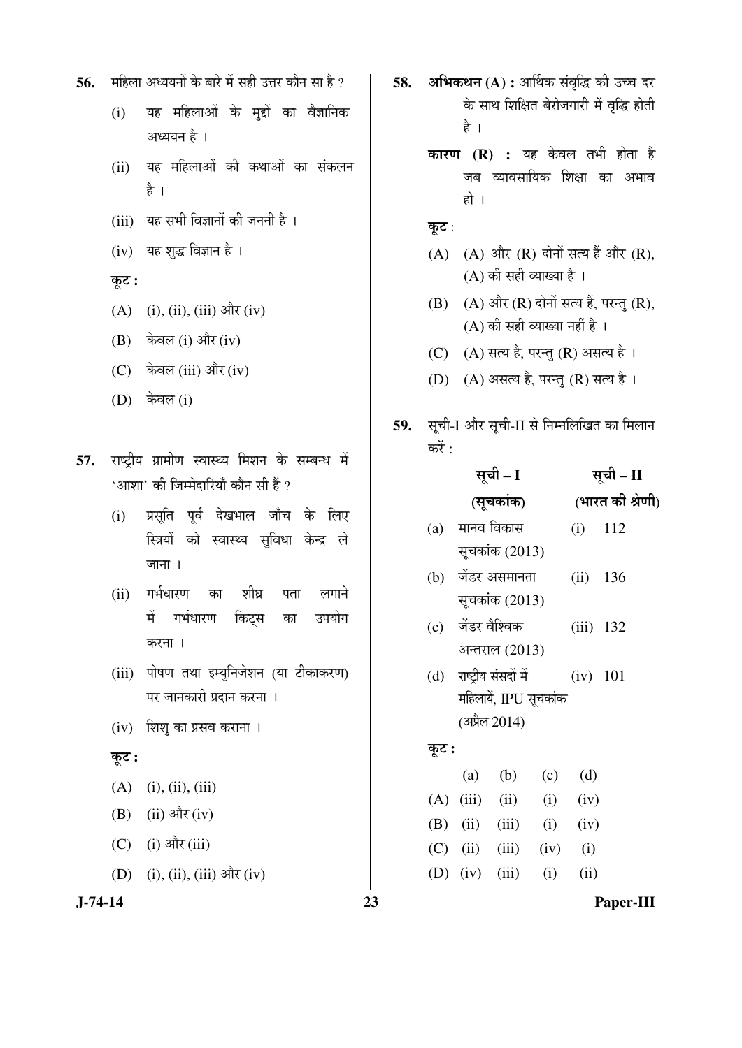- 56. THEM अध्ययनों के बारे में सही उत्तर कौन सा है ?
	- (i) यह महिलाओं के मुद्दों का वैज्ञानिक अध्ययन है ।
	- (ii) यह महिलाओं की कथाओं का संकलन हे ।
	- (iii) यह सभी विज्ञानों की जननी है।
	- $(iv)$  यह शुद्ध विज्ञान है ।

# कूट :

- (A) (i), (ii), (iii) और (iv)
- $(B)$  केवल (i) और (iv)
- $(C)$  केवल (iii) और (iv)
- (D) केवल (i)

57. राष्टीय ग्रामीण स्वास्थ्य मिशन के सम्बन्ध में  $^{\prime}$ आशा' की जिम्मेदारियाँ कौन सी हैं ?

- (i) प्रसूति पूर्व देखभाल जाँच के लिए स्त्रियों को स्वास्थ्य सुविधा केन्द्र ले जाना $\overline{a}$ ।
- (ii) गर्भधारण का शीघ्र पता लगाने में गर्भधारण किट्स का उपयोग करना ।
- (iii) पोषण तथा इम्युनिजेशन (या टीकाकरण) पर जानकारी प्रदान करना ।
- $(iv)$  शिशु का प्रसव कराना ।

### कूट :

- $(A)$  (i), (ii), (iii)
- (B) (ii) और (iv)
- (C) (i) और (iii)

 $(D)$  (i), (ii), (iii) और (iv)

58. अभिकथन (A) : आर्थिक संवृद्धि की उच्च दर के साथ शिक्षित बेरोजगारी में वृद्धि होती है ।

- **कारण (R) :** यह केवल तभी होता है जब व्यावसायिक शिक्षा का अभाव हो ।
- कूट:
- $(A)$   $(A)$  और  $(R)$  दोनों सत्य हैं और  $(R)$ ,  $(A)$  की सही व्याख्या है ।
- $(B)$   $(A)$  और  $(R)$  दोनों सत्य हैं, परन्तु  $(R)$ ,  $(A)$  की सही व्याख्या नहीं है ।
- (C)  $(A)$  सत्य है, परन्तु (R) असत्य है।
- (D) (A) असत्य है, परन्तु (R) सत्य है।
- 59. सूची-I और सूची-II से निम्नलिखित का मिलान करें $:$

|       | सूची – I          |                          |      | सूची – II    |                  |  |
|-------|-------------------|--------------------------|------|--------------|------------------|--|
|       |                   | (सूचकांक)                |      |              | (भारत की श्रेणी) |  |
|       |                   | (a) मानव विकास           |      | (i)          | 112              |  |
|       |                   | सूचकांक (2013)           |      |              |                  |  |
|       |                   | (b) जेंडर असमानता        |      | $(ii)$ 136   |                  |  |
|       |                   | सूचकांक (2013)           |      |              |                  |  |
|       | (c) जेंडर वैश्विक |                          |      | $(iii)$ 132  |                  |  |
|       |                   | अन्तराल (2013)           |      |              |                  |  |
|       |                   | (d) राष्ट्रीय संसदों में |      | (iv) 101     |                  |  |
|       |                   | महिलायें, IPU सूचकांक    |      |              |                  |  |
|       |                   | (अप्रैल 2014)            |      |              |                  |  |
| कूट : |                   |                          |      |              |                  |  |
|       |                   | $(a)$ $(b)$              |      | $(c)$ $(d)$  |                  |  |
| (A)   |                   | $(iii)$ $(ii)$           |      | $(i)$ $(iv)$ |                  |  |
|       |                   | (B) (ii) (iii) (i) (iv)  |      |              |                  |  |
|       |                   | $(C)$ (ii) (iii)         | (iv) | (i)          |                  |  |

(D) (iv) (iii) (i) (ii)

**J-74-14 23 Paper-III**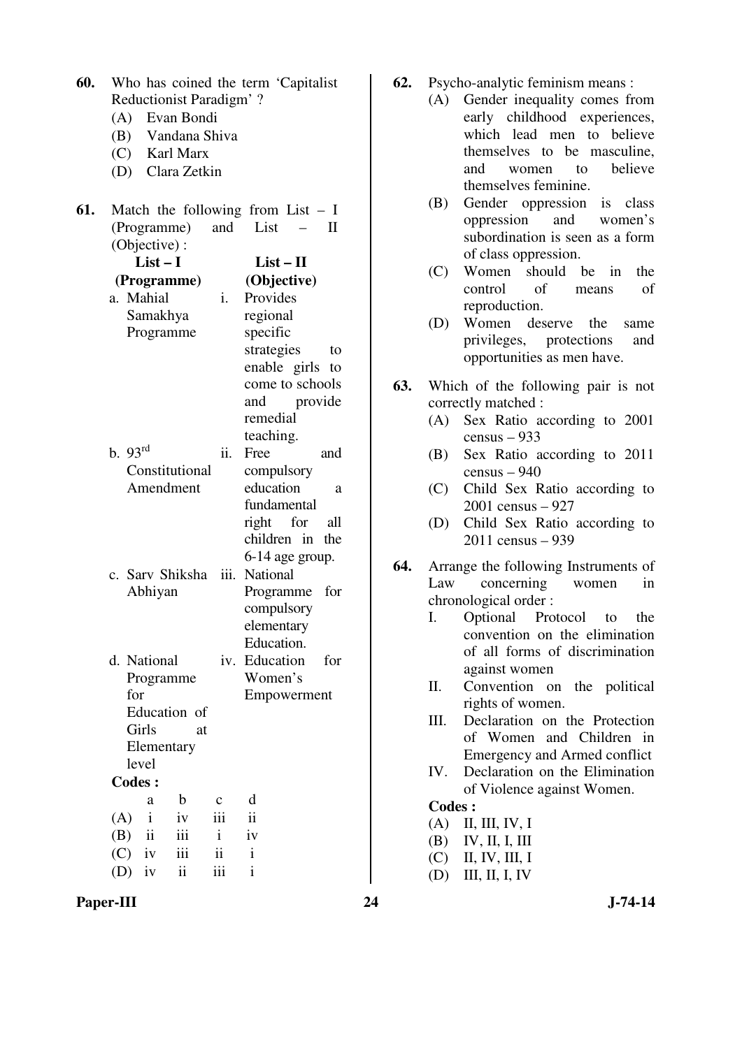| 60. | Who has coined the term 'Capitalist         |                      |  |  |  |  |
|-----|---------------------------------------------|----------------------|--|--|--|--|
|     | Reductionist Paradigm'?                     |                      |  |  |  |  |
|     | (A) Evan Bondi                              |                      |  |  |  |  |
|     | (B) Vandana Shiva                           |                      |  |  |  |  |
|     | (C) Karl Marx                               |                      |  |  |  |  |
|     | (D) Clara Zetkin                            |                      |  |  |  |  |
| 61. | Match the following from List $- I$         |                      |  |  |  |  |
|     | (Programme)<br>and                          | List<br>$\mathbf{I}$ |  |  |  |  |
|     | (Objective):                                |                      |  |  |  |  |
|     | $List-I$                                    | $List-II$            |  |  |  |  |
|     | (Programme)                                 | (Objective)          |  |  |  |  |
|     | a. Mahial<br>i.                             | Provides             |  |  |  |  |
|     | Samakhya                                    | regional             |  |  |  |  |
|     | Programme                                   | specific             |  |  |  |  |
|     |                                             | strategies<br>to     |  |  |  |  |
|     |                                             | enable girls<br>to   |  |  |  |  |
|     |                                             | come to schools      |  |  |  |  |
|     |                                             | and<br>provide       |  |  |  |  |
|     |                                             | remedial             |  |  |  |  |
|     |                                             | teaching.            |  |  |  |  |
|     | b.93 <sup>rd</sup><br>ii.                   | Free<br>and          |  |  |  |  |
|     | Constitutional                              | compulsory           |  |  |  |  |
|     | Amendment                                   | education<br>a       |  |  |  |  |
|     |                                             | fundamental          |  |  |  |  |
|     |                                             | right for<br>all     |  |  |  |  |
|     |                                             | children in<br>the   |  |  |  |  |
|     |                                             | 6-14 age group.      |  |  |  |  |
|     | c. Sarv Shiksha<br>iii.                     | <b>National</b>      |  |  |  |  |
|     | Abhiyan                                     | for<br>Programme     |  |  |  |  |
|     |                                             | compulsory           |  |  |  |  |
|     |                                             | elementary           |  |  |  |  |
|     |                                             | Education.           |  |  |  |  |
|     | d. National<br>iv.                          | Education<br>for     |  |  |  |  |
|     | Programme                                   | Women's              |  |  |  |  |
|     | for                                         | Empowerment          |  |  |  |  |
|     | Education of                                |                      |  |  |  |  |
|     | Girls<br>at                                 |                      |  |  |  |  |
|     | Elementary                                  |                      |  |  |  |  |
|     | level                                       |                      |  |  |  |  |
|     | <b>Codes:</b>                               |                      |  |  |  |  |
|     | $\mathbf b$<br>a<br>$\mathbf c$             | d                    |  |  |  |  |
|     | $\mathbf{i}$<br>(A)<br>iv<br>iii            | ii                   |  |  |  |  |
|     | iii<br>$\mathbf{i}$<br>(B)<br>$\mathbf{ii}$ | iv                   |  |  |  |  |
|     | iii<br>$(C)$ iv<br>ii                       | i                    |  |  |  |  |
|     | $(D)$ iv<br>ii<br>iii                       | i                    |  |  |  |  |

- **62.** Psycho-analytic feminism means :
	- (A) Gender inequality comes from early childhood experiences, which lead men to believe themselves to be masculine, and women to believe themselves feminine.
		- (B) Gender oppression is class oppression and women's subordination is seen as a form of class oppression.
		- (C) Women should be in the control of means of reproduction.
	- (D) Women deserve the same privileges, protections and opportunities as men have.
- **63.** Which of the following pair is not correctly matched :
	- (A) Sex Ratio according to 2001 census – 933
	- (B) Sex Ratio according to 2011 census – 940
	- (C) Child Sex Ratio according to 2001 census – 927
	- (D) Child Sex Ratio according to 2011 census – 939
- **64.** Arrange the following Instruments of Law concerning women in chronological order :
	- I. Optional Protocol to the convention on the elimination of all forms of discrimination against women
	- II. Convention on the political rights of women.
	- III. Declaration on the Protection of Women and Children in Emergency and Armed conflict
	- IV. Declaration on the Elimination of Violence against Women.

- (A) II, III, IV, I
- (B) IV, II, I, III
- (C) II, IV, III, I
- (D) III, II, I, IV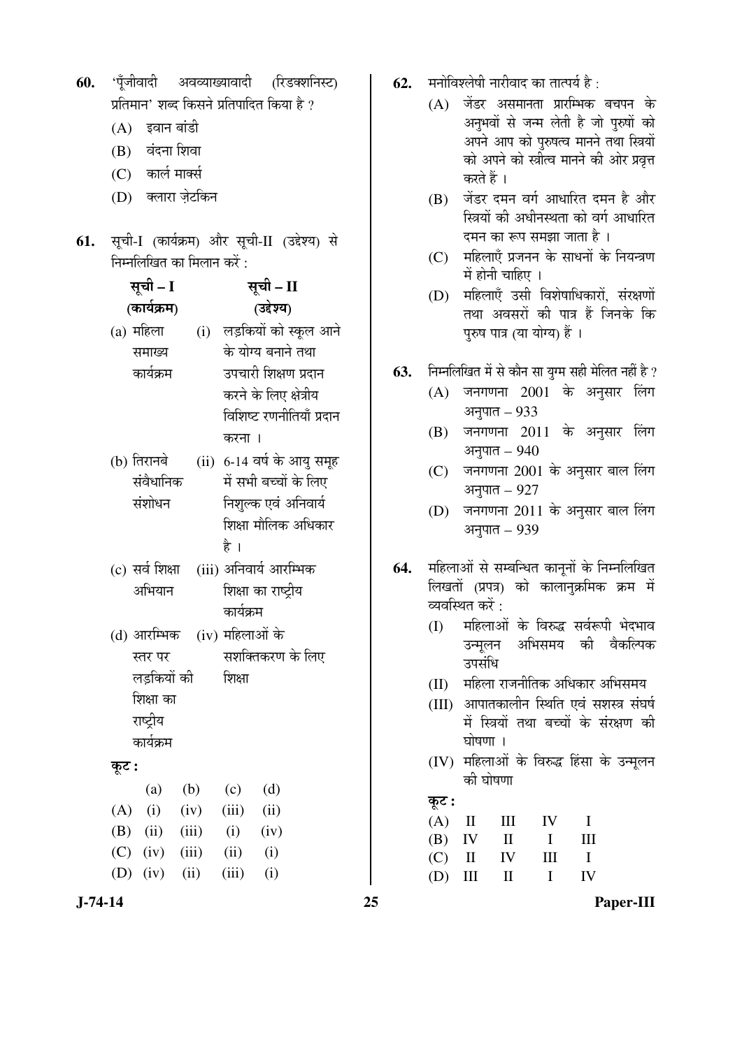| 60.           |                                              | 'पूँजीवादी अवव्याख्यावादी (रिडक्शनिस्ट)         | 62. |       | मनोविश्लेषी नारीवाद का तात्पर्य है :                                                    |
|---------------|----------------------------------------------|-------------------------------------------------|-----|-------|-----------------------------------------------------------------------------------------|
|               | प्रतिमान' शब्द किसने प्रतिपादित किया है ?    |                                                 |     | (A)   | जेंडर असमानता प्रारम्भिक बचपन के                                                        |
|               | $(A)$ इवान बांडी                             |                                                 |     |       | अनुभवों से जन्म लेती है जो पुरुषों को                                                   |
|               | वंदना शिवा<br>(B)                            |                                                 |     |       | अपने आप को पुरुषत्व मानने तथा स्त्रियों                                                 |
|               | कार्ल मार्क्स<br>(C)                         |                                                 |     |       | को अपने को स्त्रीत्व मानने की ओर प्रवृत्त<br>करते हैं ।                                 |
|               | क्लारा ज़ेटकिन<br>(D)                        |                                                 |     | (B)   | जेंडर दमन वर्ग आधारित दमन है और                                                         |
|               |                                              |                                                 |     |       | स्त्रियों की अधीनस्थता को वर्ग आधारित                                                   |
|               |                                              | 61. सूची-I (कार्यक्रम) और सूची-II (उद्देश्य) से |     |       | दमन का रूप समझा जाता है ।                                                               |
|               | निम्नलिखित का मिलान करें :                   |                                                 |     | (C)   | महिलाएँ प्रजनन के साधनों के नियन्त्रण                                                   |
|               |                                              |                                                 |     |       | में होनी चाहिए ।                                                                        |
|               | सूची – I                                     | सूची – II                                       |     | (D)   | महिलाएँ उसी विशेषाधिकारों, संरक्षणों                                                    |
|               | (कार्यक्रम)                                  | (उद्देश्य)                                      |     |       | तथा अवसरों की पात्र हैं जिनके कि                                                        |
|               | (a) महिला                                    | (i) लड़कियों को स्कूल आने                       |     |       | पुरुष पात्र (या योग्य) हैं ।                                                            |
|               | समाख्य                                       | के योग्य बनाने तथा                              |     |       |                                                                                         |
|               | कार्यक्रम                                    | उपचारी शिक्षण प्रदान                            | 63. | (A)   | निम्नलिखित में से कौन सा युग्म सही मेलित नहीं है ?<br>जनगणना 2001 के अनुसार लिंग        |
|               |                                              | करने के लिए क्षेत्रीय                           |     |       | अनुपात - 933                                                                            |
|               |                                              | विशिष्ट रणनीतियाँ प्रदान                        |     | (B)   | जनगणना 2011 के अनुसार लिंग                                                              |
|               |                                              | करना ।                                          |     |       | अनुपात – 940                                                                            |
|               | (b) तिरानबे                                  | (ii) 6-14 वर्ष के आयु समूह                      |     | (C)   | जनगणना 2001 के अनुसार बाल लिंग                                                          |
|               | संवैधानिक                                    | में सभी बच्चों के लिए                           |     |       | अनुपात - 927                                                                            |
|               | संशोधन                                       | निशुल्क एवं अनिवार्य<br>शिक्षा मौलिक अधिकार     |     | (D)   | जनगणना 2011 के अनुसार बाल लिंग                                                          |
|               |                                              |                                                 |     |       | अनुपात – 939                                                                            |
|               |                                              | है ।                                            |     |       |                                                                                         |
|               | (c) सर्व शिक्षा                              | (iii) अनिवार्य आरम्भिक                          | 64. |       | महिलाओं से सम्बन्धित कानूनों के निम्नलिखित<br>लिखतों (प्रपत्र) को कालानुक्रमिक क्रम में |
|               | अभियान                                       | शिक्षा का राष्ट्रीय<br>कार्यक्रम                |     |       | व्यवस्थित करें :                                                                        |
|               |                                              |                                                 |     |       | (I) महिलाओं के विरुद्ध सर्वरूपी भेदभाव                                                  |
|               | (d) आरम्भिक (iv) महिलाओं के                  |                                                 |     |       | अभिसमय<br>की<br>वैकल्पिक<br>उन्मूलन                                                     |
|               | स्तर पर                                      | सशक्तिकरण के लिए                                |     |       | उपसंधि                                                                                  |
|               | लड़कियों की                                  | शिक्षा                                          |     | (II)  | महिला राजनीतिक अधिकार अभिसमय                                                            |
|               | शिक्षा का<br>राष्ट्रीय                       |                                                 |     | (III) | आपातकालीन स्थिति एवं सशस्त्र संघर्ष                                                     |
|               | कार्यक्रम                                    |                                                 |     |       | में स्त्रियों तथा बच्चों के संरक्षण की<br>घोषणा ।                                       |
|               |                                              |                                                 |     | (IV)  | महिलाओं के विरुद्ध हिंसा के उन्मूलन                                                     |
|               | कूट :                                        |                                                 |     |       | की घोषणा                                                                                |
|               | (b)<br>(a)                                   | (d)<br>(c)                                      |     | कूट : |                                                                                         |
|               | (A)<br>(i)<br>(iv)                           | (ii)<br>(iii)                                   |     | (A)   | III<br>$\mathop{\mathrm{II}}\nolimits$<br>IV<br>$\bf{I}$                                |
|               | (B)<br>(ii)<br>(iii)<br>(C)<br>(iii)<br>(iv) | (i)<br>(iv)<br>(ii)<br>(i)                      |     | (B)   | III<br>IV<br>$\mathbf{I}$<br>I                                                          |
|               | (D)<br>(iv)<br>(ii)                          | (iii)<br>(i)                                    |     | (C)   | $\mathbf I$<br>$\rm II$<br>IV<br>III                                                    |
|               |                                              |                                                 |     | (D)   | IV<br>$\mathbf{I}$<br>$\mathbf I$<br>Ш                                                  |
| $J - 74 - 14$ |                                              |                                                 | 25  |       | Paper-III                                                                               |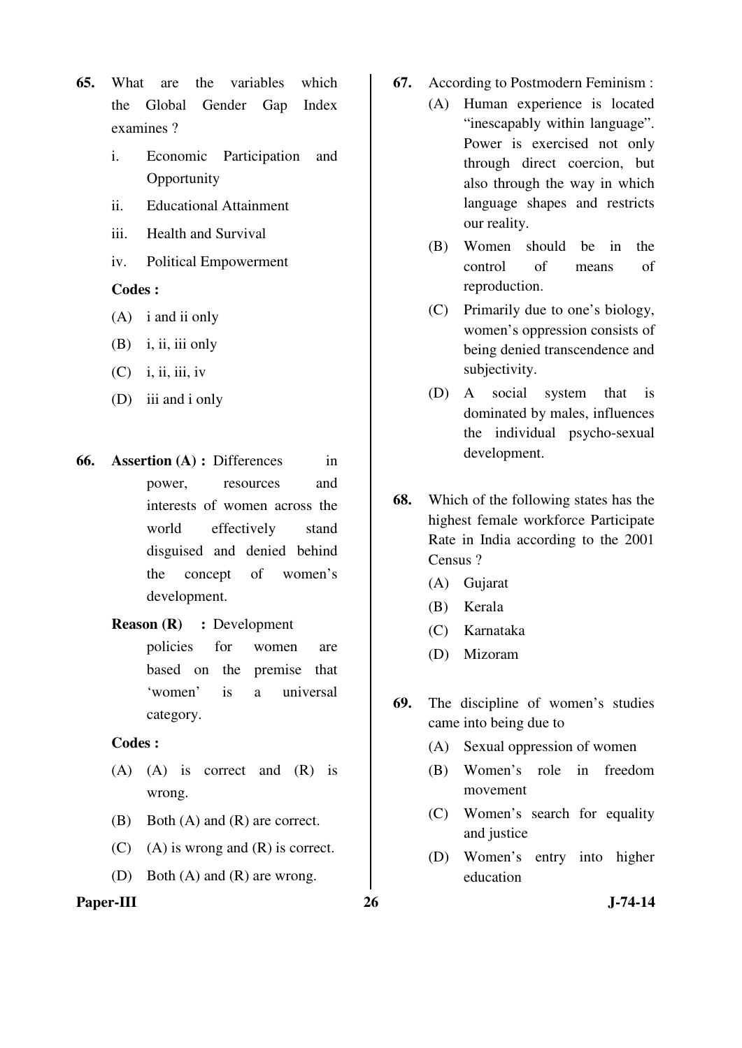- **65.** What are the variables which the Global Gender Gap Index examines ?
	- i. Economic Participation and **Opportunity**
	- ii. Educational Attainment
	- iii. Health and Survival
	- iv. Political Empowerment

- (A) i and ii only
- $(B)$  i, ii, iii only
- $(C)$  i, ii, iii, iv
- (D) iii and i only
- **66. Assertion (A) : Differences** in power, resources and interests of women across the world effectively stand disguised and denied behind the concept of women's development.
	- **Reason (R)** : Development policies for women are based on the premise that 'women' is a universal category.

# **Codes :**

- (A) (A) is correct and (R) is wrong.
- (B) Both (A) and (R) are correct.
- $(C)$  (A) is wrong and  $(R)$  is correct.
- (D) Both (A) and (R) are wrong.

# Paper-III 26 J-74-14

- **67.** According to Postmodern Feminism :
	- (A) Human experience is located "inescapably within language". Power is exercised not only through direct coercion, but also through the way in which language shapes and restricts our reality.
	- (B) Women should be in the control of means of reproduction.
	- (C) Primarily due to one's biology, women's oppression consists of being denied transcendence and subjectivity.
	- (D) A social system that is dominated by males, influences the individual psycho-sexual development.
- **68.** Which of the following states has the highest female workforce Participate Rate in India according to the 2001 Census ?
	- (A) Gujarat
	- (B) Kerala
	- (C) Karnataka
	- (D) Mizoram
- **69.** The discipline of women's studies came into being due to
	- (A) Sexual oppression of women
	- (B) Women's role in freedom movement
	- (C) Women's search for equality and justice
	- (D) Women's entry into higher education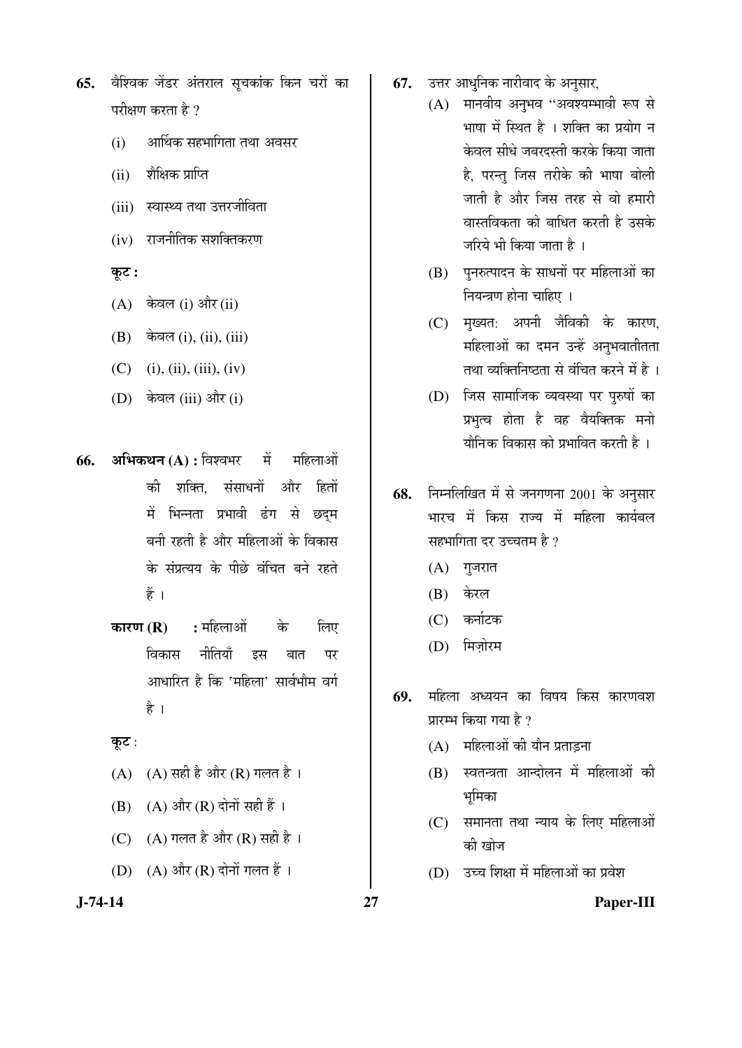- **65.** वैश्विक जेंडर अंतराल सुचकांक किन चरों का परीक्षण करता है ?
	- $(i)$  आर्थिक सहभागिता तथा अवसर
	- $(ii)$  शैक्षिक प्राप्ति
	- (iii) स्वास्थ्य तथा उत्तरजीविता
	- $(iv)$  राजनीतिक सशक्तिकरण

### Ûæú™ü **:**

- $(A)$  केवल (i) और (ii)
- $(B)$  केवल (i), (ii), (iii)
- $(C)$  (i), (ii), (iii), (iv)
- $(D)$  केवल (iii) और (i)
- **66. अभिकथन (A) : विश्वभर पें महिलाओं** की शक्ति. संसाधनों और हितों में भिन्नता प्रभावी ढंग से छदम बनी रहती है और महिलाओं के विकास के संप्रत्यय के पीछे वंचित बने रहते हैं ।
	- **कारण (R) :** महिलाओं के लिए <u>विकास नीतियाँ इस बात पर</u> आधारित है कि 'महिला' सार्वभौम वर्ग है ।

### कूट:

- (A)  $(A)$  सही है और (R) गलत है।
- $(B)$   $(A)$  और  $(R)$  दोनों सही हैं ।
- (C)  $(A)$  गलत है और  $(R)$  सही है।
- $(D)$   $(A)$  और  $(R)$  दोनों गलत हैं।
- **67.** उत्तर आधुनिक नारीवाद के अनुसार,
	- $(A)$  मानवीय अनुभव "अवश्यम्भावी रूप से भाषा में स्थित है । शक्ति का प्रयोग न केवल सीधे जबरदस्ती करके किया जाता है, परन्तु जिस तरीके की भाषा बोली जाती है और जिस तरह से वो हमारी वास्तविकता को बाधित करती है उसके जरिये भी किया जाता है।
		- (B) पुनरुत्पादन के साधनों पर महिलाओं का नियन्त्रण होना चाहिए ।
		- (C) मुख्यत: अपनी जैविकी के कारण, महिलाओं का दमन उन्हें अनुभवातीतता तथा व्यक्तिनिष्ठता से वंचित करने में है ।
	- (D) जिस सामाजिक व्यवस्था पर पुरुषों का प्रभृत्व होता है वह वैयक्तिक मनो थौनिक विकास को प्रभावित करती है ।
- **68.** निम्नलिखित में से जनगणना 2001 के अनुसार भारच में किस राज्य में महिला कार्यबल सहभागिता दर उच्चतम है ?
	- $(A)$  गुजरात
	- (B) केरल
	- (C) कर्नाटक
	- (D) मिजोरम
- 69. महिला अध्ययन का विषय किस कारणवश प्रारम्भ किया गया है ?
	- $(A)$  महिलाओं की यौन प्रताडना
	- (B) स्वतन्त्रता आन्दोलन में महिलाओं की भूमिका
	- (C) समानता तथा न्याय के लिए महिलाओं की खोज
	- (D) उच्च शिक्षा में महिलाओं का प्रवेश

**J-74-14 27 Paper-III**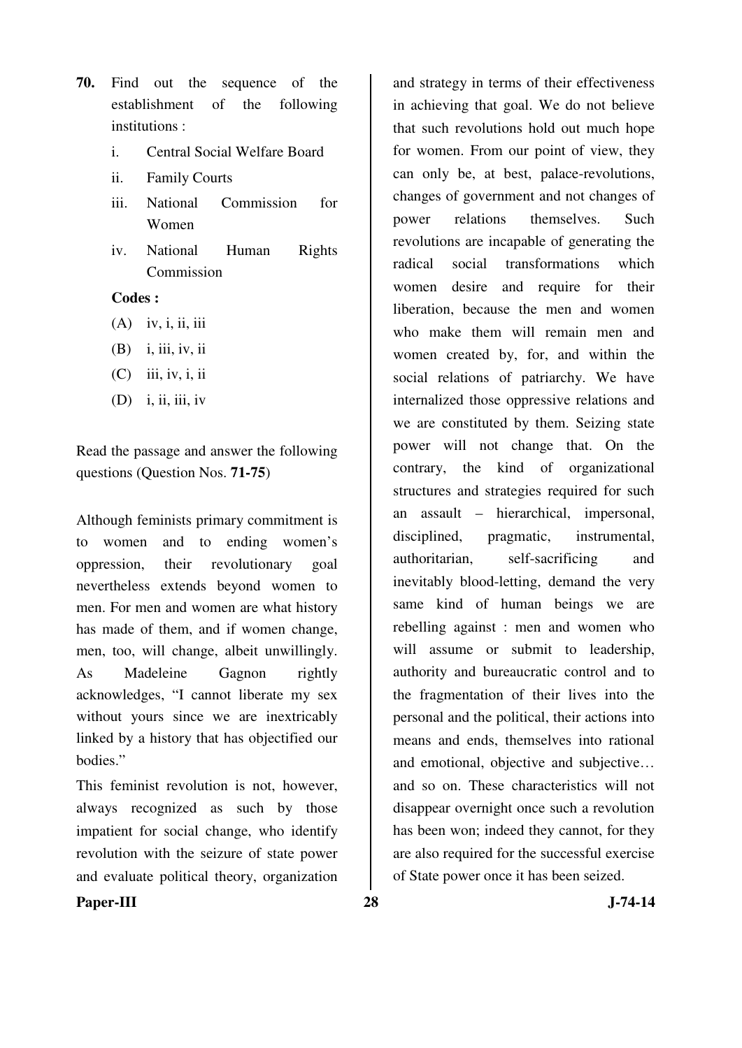- **70.** Find out the sequence of the establishment of the following institutions :
	- i. Central Social Welfare Board
	- ii. Family Courts
	- iii. National Commission for Women
	- iv. National Human Rights Commission

- $(A)$  iv, i, ii, iii
- (B) i, iii, iv, ii
- (C) iii, iv, i, ii
- $(D)$  i, ii, iii, iv

Read the passage and answer the following questions (Question Nos. **71-75**)

Although feminists primary commitment is to women and to ending women's oppression, their revolutionary goal nevertheless extends beyond women to men. For men and women are what history has made of them, and if women change, men, too, will change, albeit unwillingly. As Madeleine Gagnon rightly acknowledges, "I cannot liberate my sex without yours since we are inextricably linked by a history that has objectified our bodies."

This feminist revolution is not, however, always recognized as such by those impatient for social change, who identify revolution with the seizure of state power and evaluate political theory, organization

and strategy in terms of their effectiveness in achieving that goal. We do not believe that such revolutions hold out much hope for women. From our point of view, they can only be, at best, palace-revolutions, changes of government and not changes of power relations themselves. Such revolutions are incapable of generating the radical social transformations which women desire and require for their liberation, because the men and women who make them will remain men and women created by, for, and within the social relations of patriarchy. We have internalized those oppressive relations and we are constituted by them. Seizing state power will not change that. On the contrary, the kind of organizational structures and strategies required for such an assault – hierarchical, impersonal, disciplined, pragmatic, instrumental, authoritarian, self-sacrificing and inevitably blood-letting, demand the very same kind of human beings we are rebelling against : men and women who will assume or submit to leadership, authority and bureaucratic control and to the fragmentation of their lives into the personal and the political, their actions into means and ends, themselves into rational and emotional, objective and subjective… and so on. These characteristics will not disappear overnight once such a revolution has been won; indeed they cannot, for they are also required for the successful exercise of State power once it has been seized.

**Paper-III 28 J-74-14**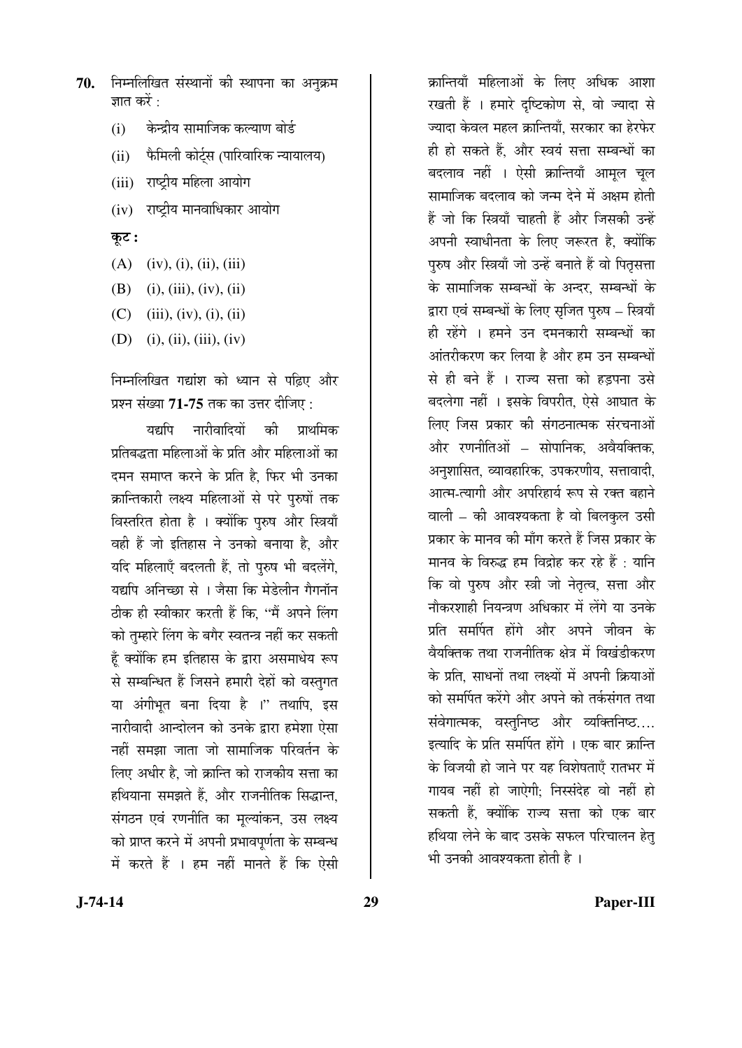- 70. **निम्नलिखित संस्थानों की स्थापना का अनुक्र**म ज्ञात करें $\cdot$ 
	- (i) व्केन्द्रीय सामाजिक कल्याण बोर्ड
	- (ii) फैमिली कोर्टस (पारिवारिक न्यायालय)
	- (iii) राष्ट्रीय महिला आयोग
	- (iv) राष्ट्रीय मानवाधिकार आयोग
	- कूट :
	- $(A)$  (iv), (i), (ii), (iii)
	- (B) (i), (iii), (iv), (ii)
	- (C) (iii), (iv), (i), (ii)
	- (D) (i), (ii), (iii), (iv)

निम्नलिखित गद्यांश को ध्यान से पढ़िए और प्रश्न संख्या 71-75 तक का उत्तर दीजिए :

यद्यपि नारीवादियों की प्राथमिक प्रतिबद्धता महिलाओं के प्रति और महिलाओं का दमन समाप्त करने के प्रति है, फिर भी उनका क्रान्तिकारी लक्ष्य महिलाओं से परे पुरुषों तक विस्तरित होता है । क्योंकि पुरुष और स्त्रियाँ वही हैं जो इतिहास ने उनको बनाया है, और यदि महिलाएँ बदलती हैं. तो परुष भी बदलेंगे. यद्यपि अनिच्छा से । जैसा कि मेडेलीन गैगनॉन ठीक ही स्वीकार करती हैं कि. ''मैं अपने लिंग को तुम्हारे लिंग के बगैर स्वतन्त्र नहीं कर सकती हूँ क्योंकि हम इतिहास के द्वारा असमाधेय रूप से सम्बन्धित हैं जिसने हमारी देहों को वस्तुगत या अंगीभृत बना दिया है ।" तथापि, इस नारीवादी आन्दोलन को उनके द्वारा हमेशा ऐसा नहीं समझा जाता जो सामाजिक परिवर्तन के लिए अधीर है. जो क्रान्ति को राजकीय सत्ता का हथियाना समझते हैं, और राजनीतिक सिद्धान्त, संगठन एवं रणनीति का मूल्यांकन, उस लक्ष्य को प्राप्त करने में अपनी प्रभावपर्णता के सम्बन्ध में करते हैं । हम नहीं मानते हैं कि ऐसी

क्रान्तियाँ महिलाओं के लिए अधिक आशा रखती हैं । हमारे दष्टिकोण से. वो ज्यादा से ज्यादा केवल महल क्रान्तियाँ, सरकार का हेरफेर ही हो सकते हैं. और स्वयं सत्ता सम्बन्धों का बदलाव नहीं । ऐसी क्रान्तियाँ आमूल चूल सामाजिक बदलाव को जन्म देने में अक्षम होती हैं जो कि स्त्रियाँ चाहती हैं और जिसकी उन्हें अपनी स्वाधीनता के लिए जरूरत है, क्योंकि पुरुष और स्त्रियाँ जो उन्हें बनाते हैं वो पितृसत्ता के सामाजिक सम्बन्धों के अन्दर, सम्बन्धों के द्वारा एवं सम्बन्धों के लिए सुजित परुष – स्त्रियाँ ही रहेंगे । हमने उन दमनकारी सम्बन्धों का आंतरीकरण कर लिया है और हम उन सम्बन्धों से ही बने हैं । राज्य सत्ता को हडपना उसे बदलेगा नहीं । इसके विपरीत, ऐसे आघात के लिए जिस प्रकार की संगठनात्मक संरचनाओं और रणनीतिओं – सोपानिक, अवैयक्तिक, अनुशासित, व्यावहारिक, उपकरणीय, सत्तावादी, आत्म-त्यागी और अपरिहार्य रूप से रक्त बहाने वाली – की आवश्यकता है वो बिलकुल उसी प्रकार के मानव की माँग करते हैं जिस प्रकार के मानव के विरुद्ध हम विद्रोह कर रहे हैं : यानि कि वो पुरुष और स्त्री जो नेतृत्व, सत्ता और नौकरशाही नियन्त्रण अधिकार में लेंगे या उनके प्रति समर्पित होंगे और अपने जीवन के वेयक्तिक तथा राजनीतिक क्षेत्र में विखंडीकरण के प्रति. साधनों तथा लक्ष्यों में अपनी क्रियाओं को समर्पित करेंगे और अपने को तर्कसंगत तथा संवेगात्मक, वस्तुनिष्ठ और व्यक्तिनिष्ठ.... इत्यादि के प्रति समर्पित होंगे । एक बार क्रान्ति के विजयी हो जाने पर यह विशेषताएँ रातभर में गायब नहीं हो जाऐगी: निस्संदेह वो नहीं हो सकती हैं. क्योंकि राज्य सत्ता को एक बार हथिया लेने के बाद उसके सफल परिचालन हेतु भी उनकी आवश्यकता होती है ।

**J-74-14 29 Paper-III**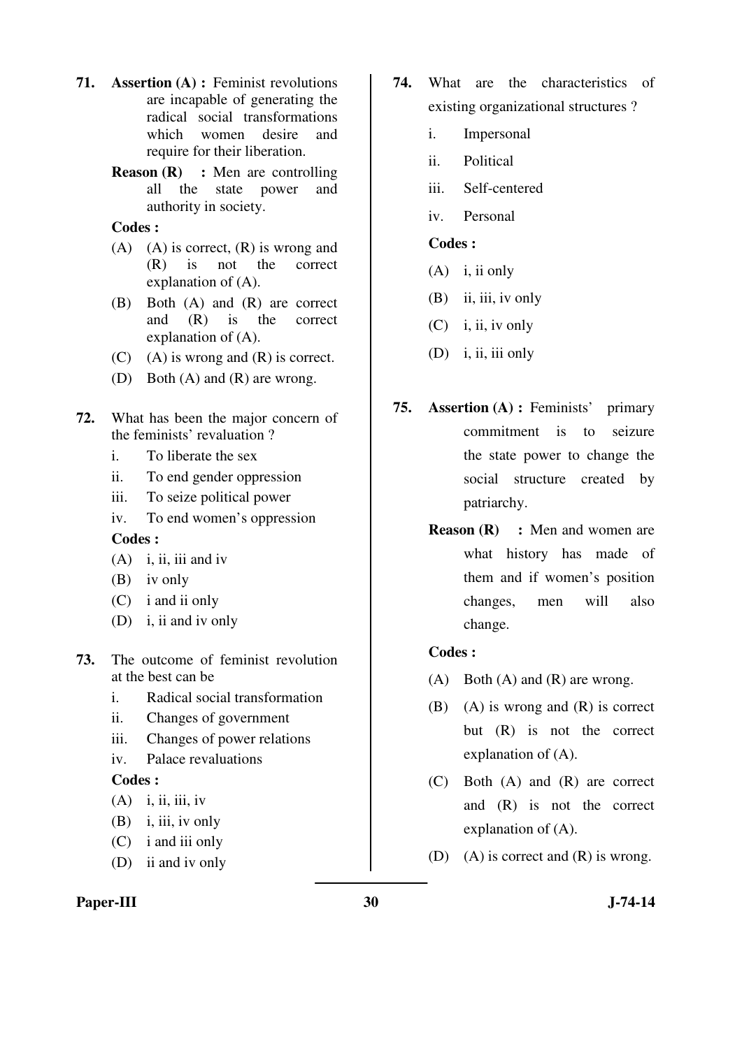- **71. Assertion (A) :** Feminist revolutions are incapable of generating the radical social transformations which women desire and require for their liberation.
	- **Reason (R)** : Men are controlling all the state power and authority in society.

- $(A)$   $(A)$  is correct,  $(R)$  is wrong and (R) is not the correct explanation of (A).
- (B) Both (A) and (R) are correct and (R) is the correct explanation of (A).
- $(C)$  (A) is wrong and  $(R)$  is correct.
- (D) Both (A) and (R) are wrong.
- **72.** What has been the major concern of the feminists' revaluation ?
	- i. To liberate the sex
	- ii. To end gender oppression
	- iii. To seize political power
	- iv. To end women's oppression

#### **Codes :**

- $(A)$  i, ii, iii and iv
- (B) iv only
- (C) i and ii only
- (D) i, ii and iv only
- **73.** The outcome of feminist revolution at the best can be
	- i. Radical social transformation
	- ii. Changes of government
	- iii. Changes of power relations
	- iv. Palace revaluations

### **Codes :**

- $(A)$  i, ii, iii, iv
- $(B)$  i, iii, iv only
- (C) i and iii only
- (D) ii and iv only

### Paper-III 30 J-74-14

- **74.** What are the characteristics of existing organizational structures ?
	- i. Impersonal
	- ii. Political
	- iii. Self-centered
	- iv. Personal

# **Codes :**

- (A) i, ii only
- $(B)$  ii, iii, iv only
- $(C)$  i, ii, iv only
- (D) i, ii, iii only
- **75. Assertion (A) :** Feminists' primary commitment is to seizure the state power to change the social structure created by patriarchy.
	- **Reason (R)** : Men and women are what history has made of them and if women's position changes, men will also change.

- $(A)$  Both  $(A)$  and  $(R)$  are wrong.
- (B) (A) is wrong and (R) is correct but (R) is not the correct explanation of (A).
- (C) Both (A) and (R) are correct and (R) is not the correct explanation of (A).
- (D) (A) is correct and (R) is wrong.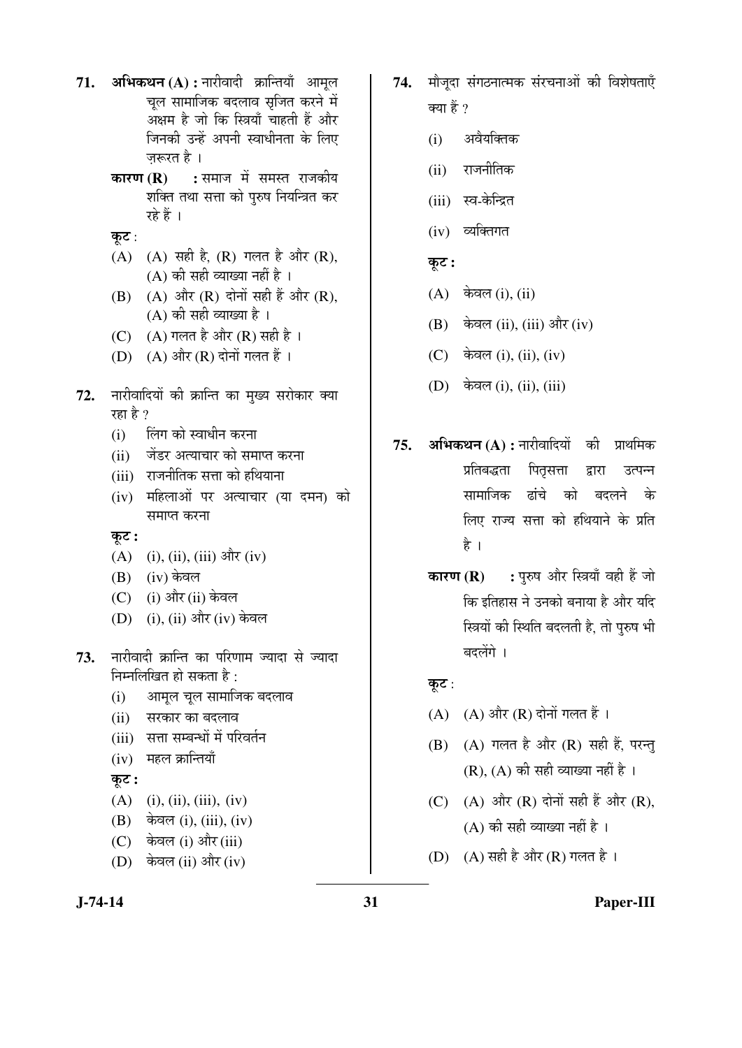- **71. अभिकथन (A) :** नारीवादी क्रान्तियाँ आमुल चल सामाजिक बदलाव सृजित करने में अक्षम है जो कि स्त्रियाँ चाहती हैं और जिनकी उन्हें अपनी स्वाधीनता के लिए जरूरत है ।
	- **कारण (R) :** समाज में समस्त राजकीय शक्ति तथा सत्ता को पुरुष नियन्त्रित कर रहे हैं ।
	- कूट :
	- $(A)$   $(A)$  सही है,  $(R)$  गलत है और  $(R)$ ,  $(A)$  की सही व्याख्या नहीं है ।
	- $(B)$   $(A)$  और  $(R)$  दोनों सही हैं और  $(R)$ ,  $(A)$  की सही व्याख्या है।
	- (C)  $(A)$  गलत है और (R) सही है ।
	- $(D)$   $(A)$  और  $(R)$  दोनों गलत हैं।
- **72.** नारीवादियों की क्रान्ति का मुख्य सरोकार क्या रहा है ?
	- (i) लिंग को स्वाधीन करना
	- (ii) जेंडर अत्याचार को समाप्त करना
	- (iii) राजनीतिक सत्ता को हथियाना
	- (iv) महिलाओं पर अत्याचार (या दमन) को समाप्त करना
	- कूट :
	- $(A)$  (i), (ii), (iii) और (iv)
	- $(B)$  (iv) केवल
	- (C) (i) और (ii) केवल
	- (D) (i), (ii) और (iv) केवल
- 73. नारीवादी क्रान्ति का परिणाम ज्यादा से ज्यादा निम्नलिखित हो सकता है $\cdot$ 
	- (i) आमूल चूल सामाजिक बदलाव
	- (ii) सरकार का बदलाव
	- (iii) सत्ता सम्बन्धों में परिवर्तन
	- $(iv)$  महल क्रान्तियाँ
	- कूट :
	- $(A)$  (i), (ii), (iii), (iv)
	- $(B)$  केवल (i), (iii), (iv)
	- (C) केवल (i) और (iii)
	- (D) केवल (ii) और (iv)
- 74. मौजदा संगठनात्मक संरचनाओं की विशेषताएँ क्या हैं $\gamma$ 
	- (i) अवैयक्तिक
	- $(ii)$  राजनीतिक
	- (iii) स्व-केन्द्रित
	- $(iv)$  व्यक्तिगत
	- कूट :
	- $(A)$  केवल (i), (ii)
	- $(B)$  केवल (ii), (iii) और (iv)
	- $(C)$  केवल (i), (ii), (iv)
	- $(D)$  केवल (i), (ii), (iii)
- 75. **अभिकथन (A) :** नारीवादियों की प्राथमिक प्रतिबद्धता पितसत्ता द्वारा उत्पन्न सामाजिक ढांचे को बदलने के लिए राज्य सत्ता को हथियाने के प्रति है ।
	- **कारण (R) :** पुरुष और स्त्रियाँ वही हैं जो कि इतिहास ने उनको बनाया है और यदि स्त्रियों की स्थिति बदलती है, तो पुरुष भी बदलेंगे ।

# कूट :

- $(A)$   $(A)$  और  $(R)$  दोनों गलत हैं।
- $(B)$   $(A)$  गलत है और  $(R)$  सही हैं, परन्तु  $(R)$ ,  $(A)$  की सही व्याख्या नहीं है ।
- $(C)$   $(A)$  और  $(R)$  दोनों सही हैं और  $(R)$ .  $(A)$  की सही व्याख्या नहीं है ।
- (D)  $(A)$  सही है और  $(R)$  गलत है।

# **J-74-14 31 Paper-III**